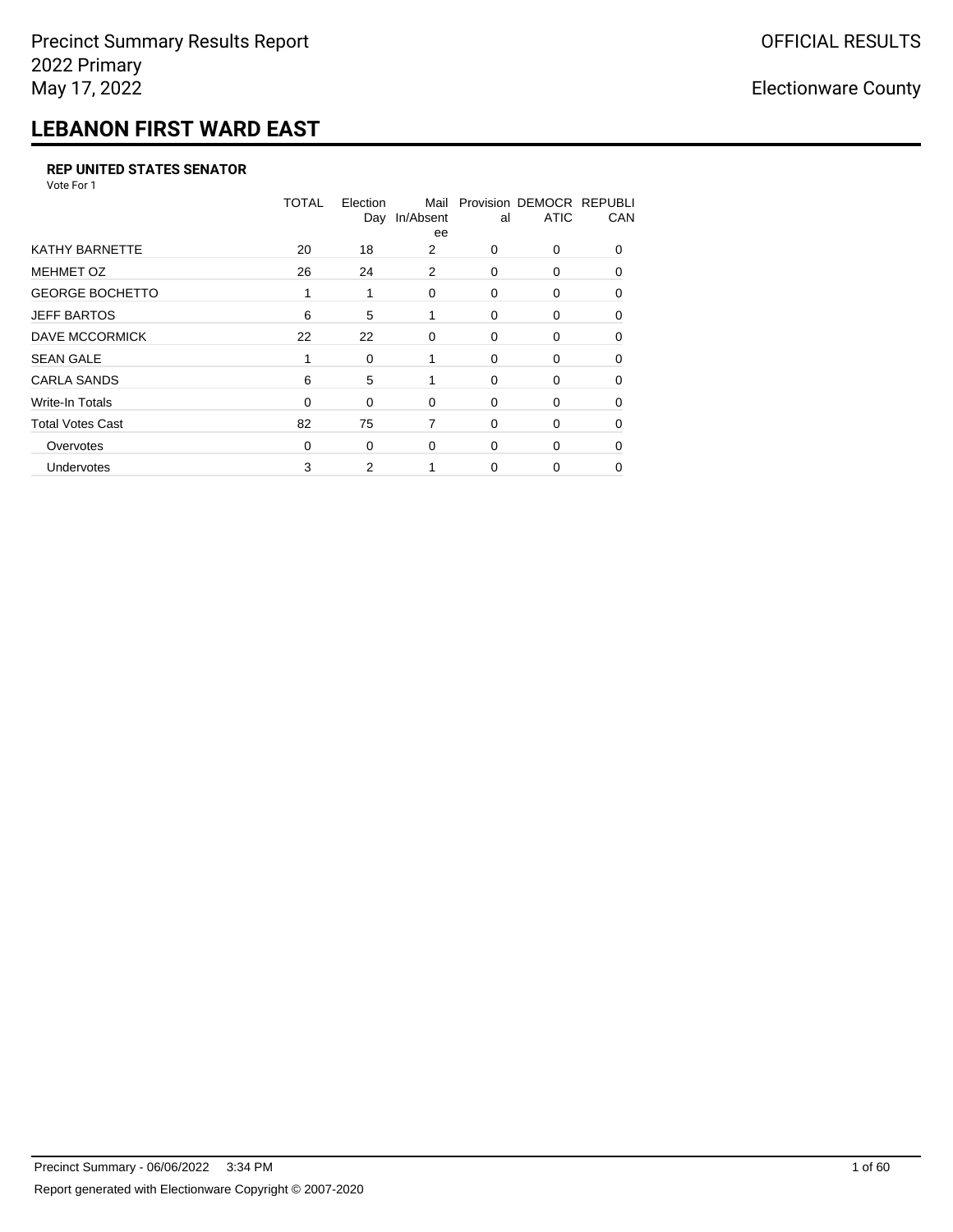## **LEBANON FIRST WARD EAST**

#### **REP UNITED STATES SENATOR**

Vote For 1

|                         | <b>TOTAL</b> | Election<br>Day | Mail<br>In/Absent<br>ee | al       | Provision DEMOCR REPUBLI<br><b>ATIC</b> | CAN      |
|-------------------------|--------------|-----------------|-------------------------|----------|-----------------------------------------|----------|
| <b>KATHY BARNETTE</b>   | 20           | 18              | 2                       | $\Omega$ | 0                                       | $\Omega$ |
| <b>MEHMET OZ</b>        | 26           | 24              | 2                       | $\Omega$ | $\Omega$                                | $\Omega$ |
| <b>GEORGE BOCHETTO</b>  | 1            | 1               | 0                       | 0        | 0                                       | 0        |
| <b>JEFF BARTOS</b>      | 6            | 5               | 1                       | 0        | 0                                       | 0        |
| <b>DAVE MCCORMICK</b>   | 22           | 22              | 0                       | 0        | 0                                       | $\Omega$ |
| <b>SEAN GALE</b>        |              | 0               | 1                       | $\Omega$ | 0                                       | $\Omega$ |
| <b>CARLA SANDS</b>      | 6            | 5               | 1                       | 0        | 0                                       | 0        |
| <b>Write-In Totals</b>  | 0            | 0               | 0                       | 0        | 0                                       | 0        |
| <b>Total Votes Cast</b> | 82           | 75              | 7                       | 0        | 0                                       | $\Omega$ |
| Overvotes               | 0            | 0               | $\Omega$                | 0        | 0                                       | 0        |
| Undervotes              | 3            | 2               |                         | 0        | 0                                       | 0        |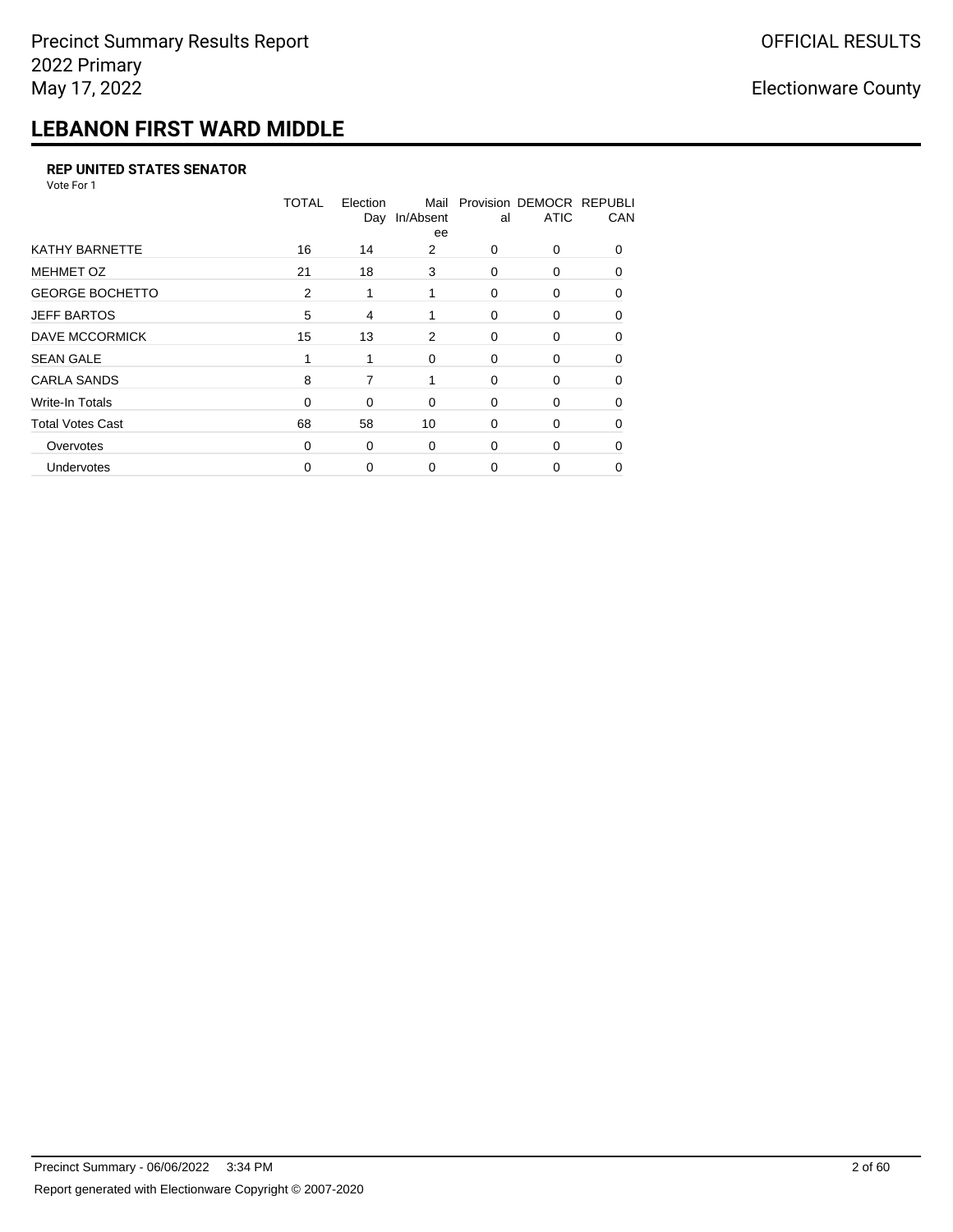## **LEBANON FIRST WARD MIDDLE**

#### **REP UNITED STATES SENATOR**

Vote For 1

|                         | TOTAL    | Election<br>Day | Mail<br>In/Absent<br>ee | al       | Provision DEMOCR REPUBLI<br><b>ATIC</b> | CAN          |
|-------------------------|----------|-----------------|-------------------------|----------|-----------------------------------------|--------------|
| KATHY BARNETTE          | 16       | 14              | 2                       | $\Omega$ | $\Omega$                                | $\Omega$     |
| <b>MEHMET OZ</b>        | 21       | 18              | 3                       | $\Omega$ | $\Omega$                                | $\Omega$     |
| <b>GEORGE BOCHETTO</b>  | 2        | 1               | 1                       | 0        | 0                                       | $\Omega$     |
| <b>JEFF BARTOS</b>      | 5        | 4               | 1                       | $\Omega$ | $\Omega$                                | $\Omega$     |
| <b>DAVE MCCORMICK</b>   | 15       | 13              | 2                       | 0        | 0                                       | $\Omega$     |
| <b>SEAN GALE</b>        |          |                 | $\Omega$                | $\Omega$ | 0                                       | <sup>0</sup> |
| <b>CARLA SANDS</b>      | 8        | 7               | 1                       | $\Omega$ | 0                                       | 0            |
| <b>Write-In Totals</b>  | 0        | $\Omega$        | $\Omega$                | 0        | 0                                       | 0            |
| <b>Total Votes Cast</b> | 68       | 58              | 10                      | 0        | 0                                       | 0            |
| Overvotes               | $\Omega$ | 0               | $\Omega$                | $\Omega$ | 0                                       | 0            |
| Undervotes              | 0        | 0               | $\Omega$                | $\Omega$ | 0                                       | 0            |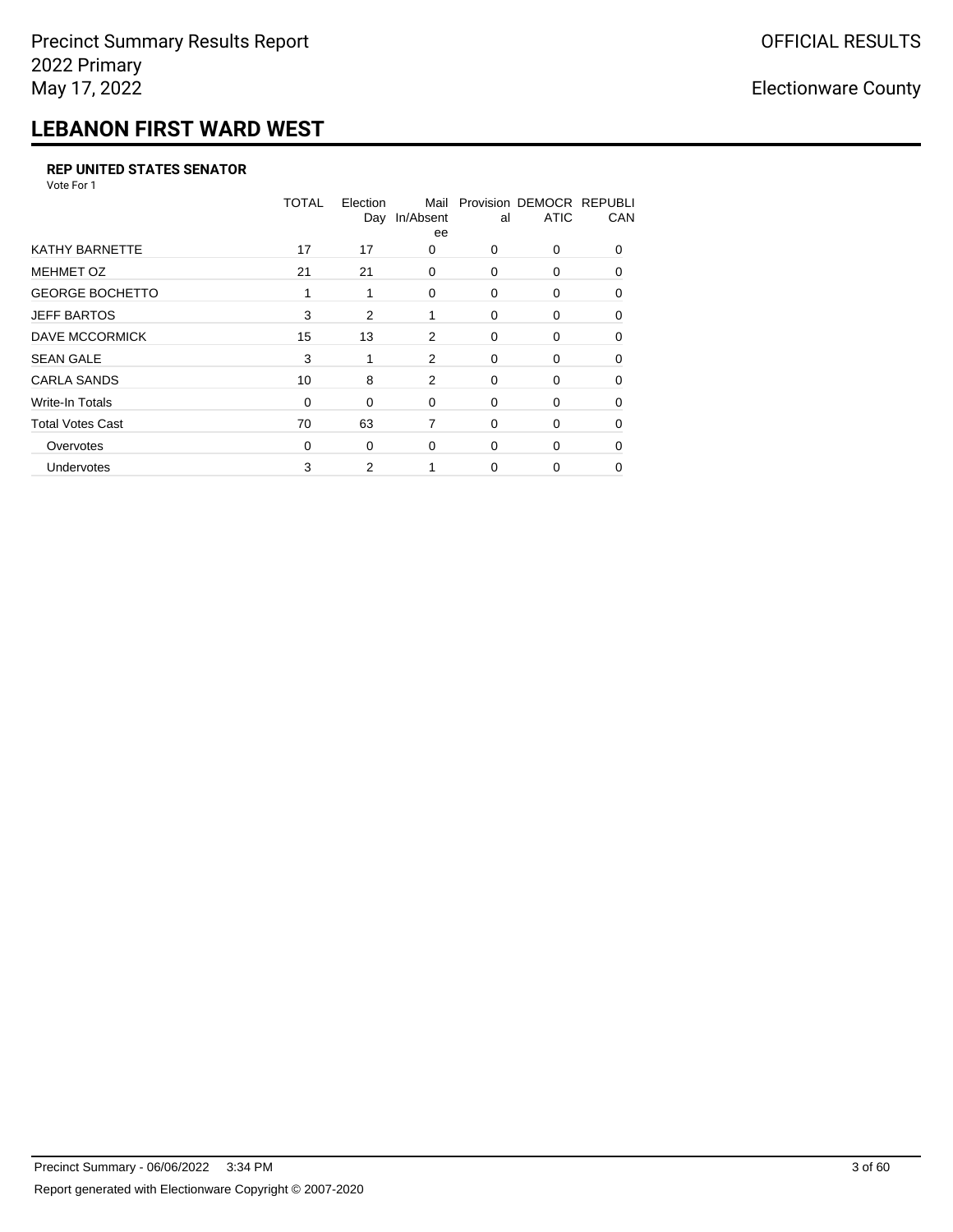## **LEBANON FIRST WARD WEST**

#### **REP UNITED STATES SENATOR**

Vote For 1

|                         | TOTAL | Election<br>Day | Mail<br>In/Absent<br>ee | al       | Provision DEMOCR REPUBLI<br><b>ATIC</b> | CAN      |
|-------------------------|-------|-----------------|-------------------------|----------|-----------------------------------------|----------|
| <b>KATHY BARNETTE</b>   | 17    | 17              | 0                       | $\Omega$ | 0                                       | $\Omega$ |
| <b>MEHMET OZ</b>        | 21    | 21              | $\Omega$                | $\Omega$ | $\Omega$                                | $\Omega$ |
| <b>GEORGE BOCHETTO</b>  | 1     | 1               | 0                       | 0        | 0                                       | 0        |
| <b>JEFF BARTOS</b>      | 3     | 2               | 1                       | 0        | 0                                       | 0        |
| <b>DAVE MCCORMICK</b>   | 15    | 13              | 2                       | 0        | 0                                       | $\Omega$ |
| <b>SEAN GALE</b>        | 3     |                 | 2                       | 0        | 0                                       | $\Omega$ |
| <b>CARLA SANDS</b>      | 10    | 8               | 2                       | 0        | 0                                       | 0        |
| <b>Write-In Totals</b>  | 0     | 0               | 0                       | 0        | 0                                       | 0        |
| <b>Total Votes Cast</b> | 70    | 63              | 7                       | 0        | 0                                       | $\Omega$ |
| Overvotes               | 0     | 0               | $\Omega$                | 0        | 0                                       | 0        |
| Undervotes              | 3     | 2               |                         | 0        | 0                                       | 0        |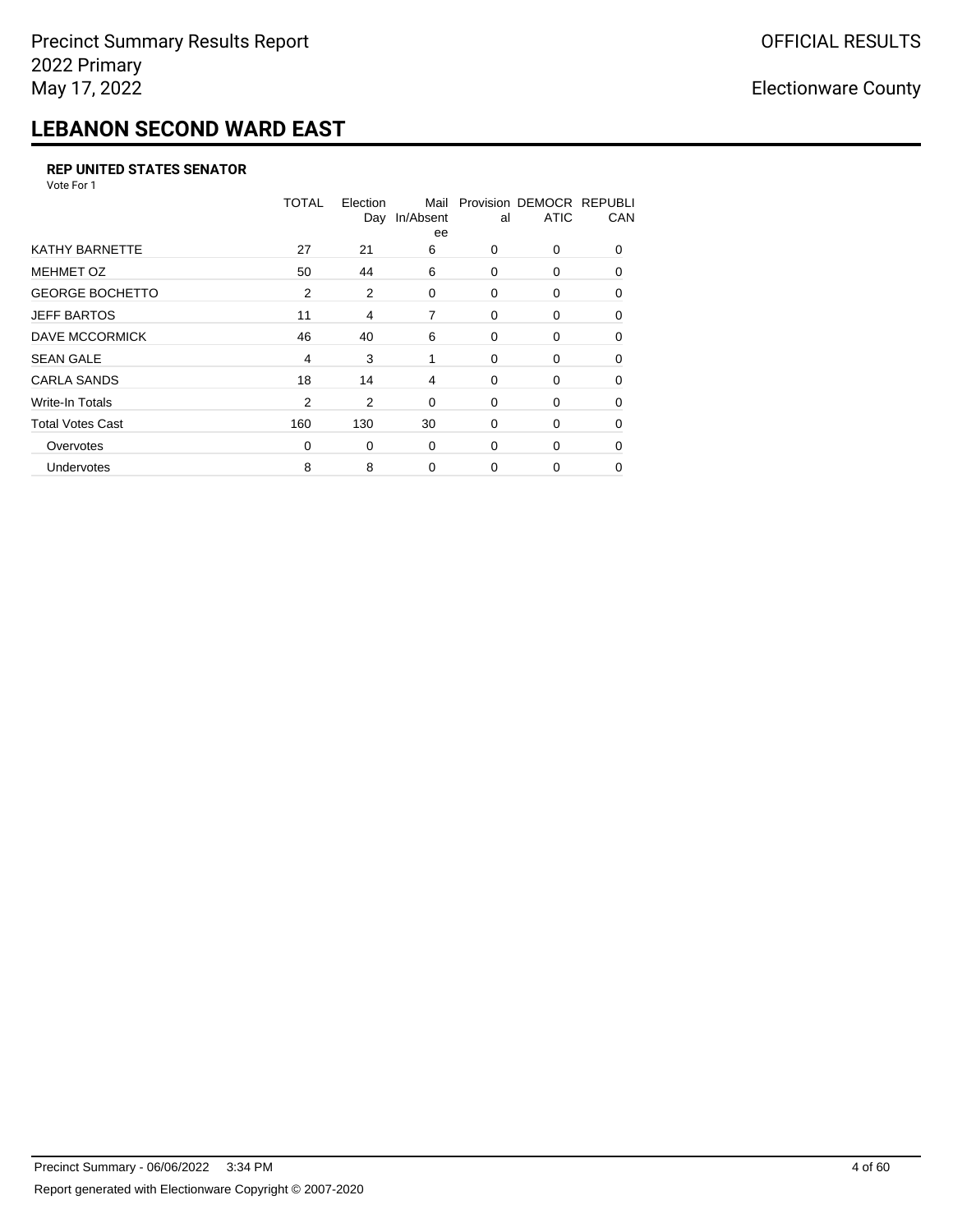## **LEBANON SECOND WARD EAST**

#### **REP UNITED STATES SENATOR**

Vote For 1

|                         | <b>TOTAL</b>   | Election<br>Day | Mail<br>In/Absent<br>ee | al       | Provision DEMOCR REPUBLI<br><b>ATIC</b> | CAN      |
|-------------------------|----------------|-----------------|-------------------------|----------|-----------------------------------------|----------|
| <b>KATHY BARNETTE</b>   | 27             | 21              | 6                       | $\Omega$ | 0                                       | $\Omega$ |
| <b>MEHMET OZ</b>        | 50             | 44              | 6                       | 0        | 0                                       | $\Omega$ |
| <b>GEORGE BOCHETTO</b>  | 2              | 2               | 0                       | 0        | 0                                       | 0        |
| <b>JEFF BARTOS</b>      | 11             | 4               | 7                       | 0        | 0                                       | 0        |
| <b>DAVE MCCORMICK</b>   | 46             | 40              | 6                       | 0        | 0                                       | $\Omega$ |
| <b>SEAN GALE</b>        | 4              | 3               | 1                       | $\Omega$ | 0                                       | $\Omega$ |
| <b>CARLA SANDS</b>      | 18             | 14              | 4                       | 0        | 0                                       | $\Omega$ |
| <b>Write-In Totals</b>  | $\overline{2}$ | 2               | 0                       | 0        | 0                                       | 0        |
| <b>Total Votes Cast</b> | 160            | 130             | 30                      | 0        | 0                                       | 0        |
| Overvotes               | 0              | 0               | 0                       | 0        | 0                                       | $\Omega$ |
| Undervotes              | 8              | 8               | 0                       | $\Omega$ | 0                                       | 0        |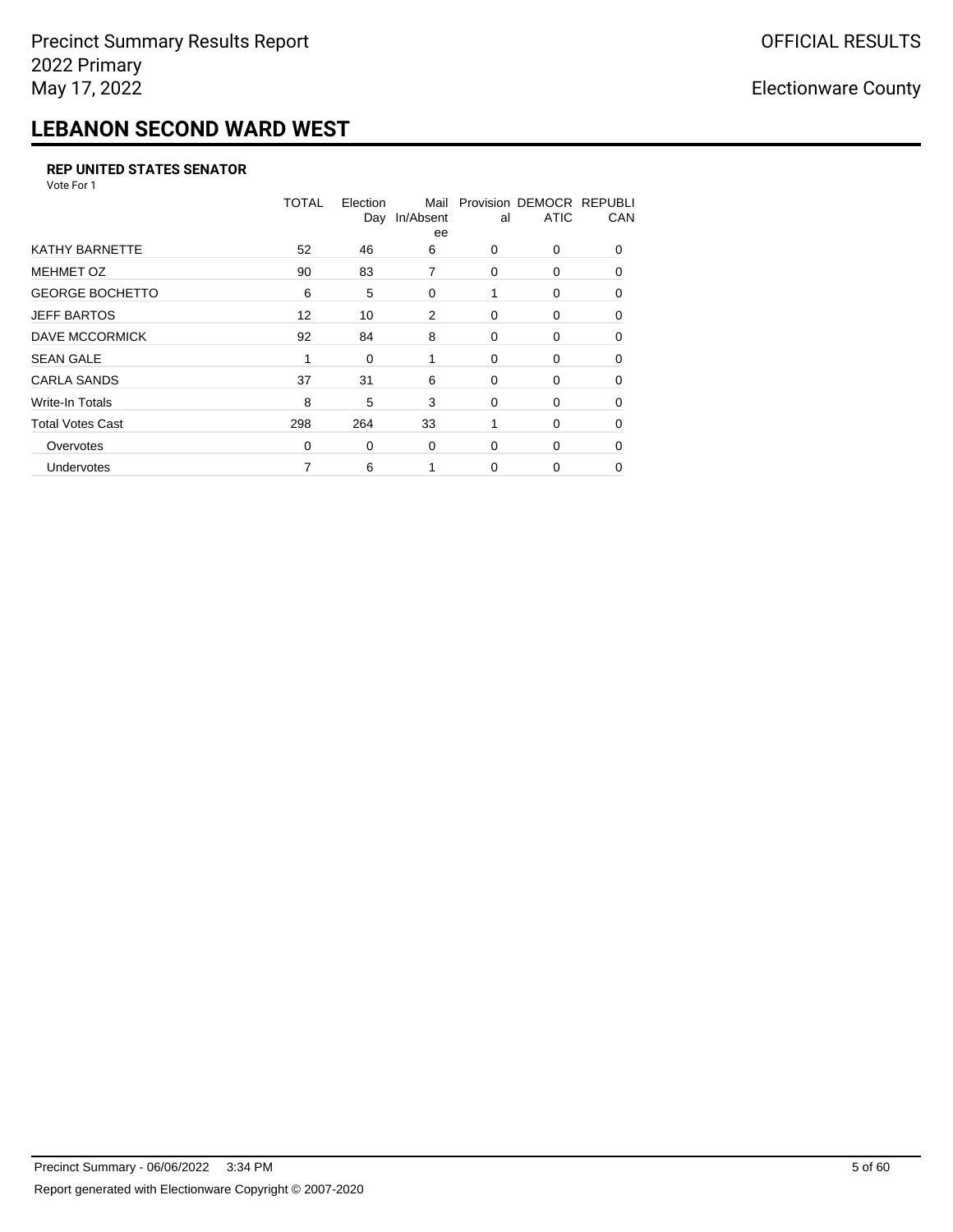## **LEBANON SECOND WARD WEST**

#### **REP UNITED STATES SENATOR**

Vote For 1

|                         | <b>TOTAL</b> | Election<br>Day | Mail<br>In/Absent<br>ee | al       | Provision DEMOCR REPUBLI<br><b>ATIC</b> | CAN      |
|-------------------------|--------------|-----------------|-------------------------|----------|-----------------------------------------|----------|
| KATHY BARNETTE          | 52           | 46              | 6                       | 0        | 0                                       | $\Omega$ |
| <b>MEHMET OZ</b>        | 90           | 83              | 7                       | 0        | 0                                       | $\Omega$ |
| <b>GEORGE BOCHETTO</b>  | 6            | 5               | 0                       | 1        | 0                                       | 0        |
| <b>JEFF BARTOS</b>      | 12           | 10              | 2                       | 0        | 0                                       | 0        |
| DAVE MCCORMICK          | 92           | 84              | 8                       | 0        | 0                                       | $\Omega$ |
| <b>SEAN GALE</b>        | 1            | 0               | 1                       | $\Omega$ | 0                                       | $\Omega$ |
| <b>CARLA SANDS</b>      | 37           | 31              | 6                       | 0        | 0                                       | $\Omega$ |
| Write-In Totals         | 8            | 5               | 3                       | 0        | 0                                       | 0        |
| <b>Total Votes Cast</b> | 298          | 264             | 33                      |          | 0                                       | 0        |
| Overvotes               | 0            | 0               | 0                       | 0        | 0                                       | $\Omega$ |
| <b>Undervotes</b>       |              | 6               |                         | 0        | 0                                       | 0        |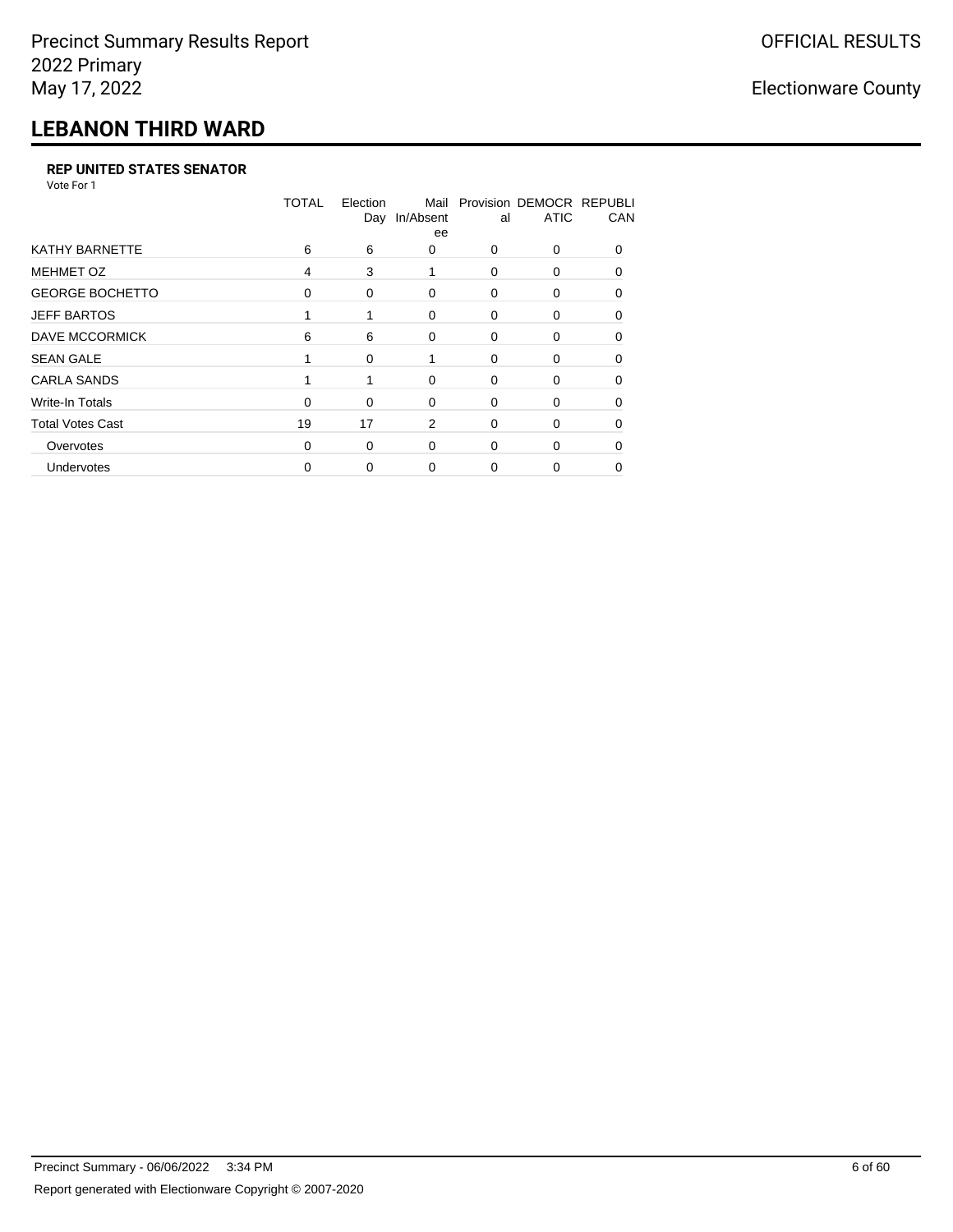## **LEBANON THIRD WARD**

#### **REP UNITED STATES SENATOR**

Vote For 1

|                         | <b>TOTAL</b> | Election<br>Day | Mail<br>In/Absent<br>ee | al       | Provision DEMOCR REPUBLI<br><b>ATIC</b> | CAN          |
|-------------------------|--------------|-----------------|-------------------------|----------|-----------------------------------------|--------------|
| <b>KATHY BARNETTE</b>   | 6            | 6               | 0                       | 0        | 0                                       | <sup>0</sup> |
| <b>MEHMET OZ</b>        | 4            | 3               |                         | $\Omega$ | 0                                       | $\Omega$     |
| <b>GEORGE BOCHETTO</b>  | 0            | 0               | 0                       | 0        | 0                                       | $\Omega$     |
| <b>JEFF BARTOS</b>      |              |                 | 0                       | 0        | 0                                       | 0            |
| DAVE MCCORMICK          | 6            | 6               | 0                       | 0        | 0                                       | $\Omega$     |
| <b>SEAN GALE</b>        |              | 0               |                         | 0        | 0                                       | O            |
| <b>CARLA SANDS</b>      |              |                 | $\Omega$                | 0        | 0                                       | 0            |
| Write-In Totals         | $\Omega$     | 0               | 0                       | 0        | 0                                       | 0            |
| <b>Total Votes Cast</b> | 19           | 17              | 2                       | 0        | 0                                       | 0            |
| Overvotes               | 0            | 0               | $\Omega$                | 0        | 0                                       | O            |
| Undervotes              | 0            | 0               | 0                       | 0        | 0                                       | 0            |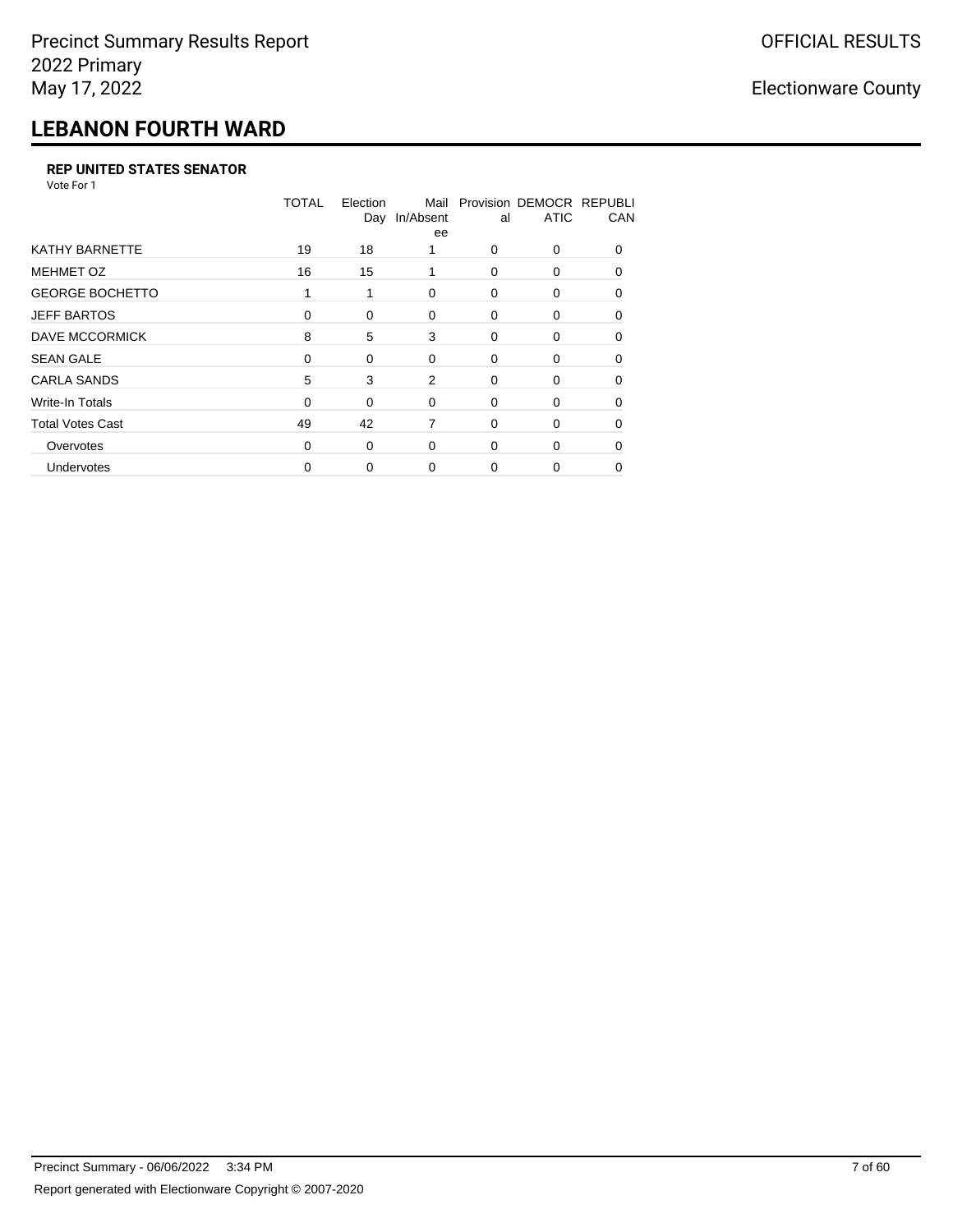## **LEBANON FOURTH WARD**

#### **REP UNITED STATES SENATOR**

Vote For 1

|                         | <b>TOTAL</b> | Election<br>Day | Mail<br>In/Absent<br>ee | al       | Provision DEMOCR REPUBLI<br><b>ATIC</b> | CAN      |
|-------------------------|--------------|-----------------|-------------------------|----------|-----------------------------------------|----------|
| <b>KATHY BARNETTE</b>   | 19           | 18              |                         | $\Omega$ | 0                                       | $\Omega$ |
| <b>MEHMET OZ</b>        | 16           | 15              |                         | $\Omega$ | 0                                       | $\Omega$ |
| <b>GEORGE BOCHETTO</b>  |              | 1               | $\Omega$                | $\Omega$ | 0                                       | $\Omega$ |
| <b>JEFF BARTOS</b>      | 0            | 0               | 0                       | 0        | 0                                       | $\Omega$ |
| DAVE MCCORMICK          | 8            | 5               | 3                       | 0        | 0                                       | $\Omega$ |
| <b>SEAN GALE</b>        | $\Omega$     | 0               | 0                       | $\Omega$ | 0                                       | $\Omega$ |
| <b>CARLA SANDS</b>      | 5            | 3               | 2                       | 0        | 0                                       | 0        |
| Write-In Totals         | $\Omega$     | 0               | 0                       | 0        | 0                                       | $\Omega$ |
| <b>Total Votes Cast</b> | 49           | 42              | 7                       | $\Omega$ | 0                                       | U        |
| Overvotes               | $\Omega$     | 0               | $\Omega$                | $\Omega$ | 0                                       | $\Omega$ |
| <b>Undervotes</b>       | 0            | 0               | 0                       | 0        | O                                       |          |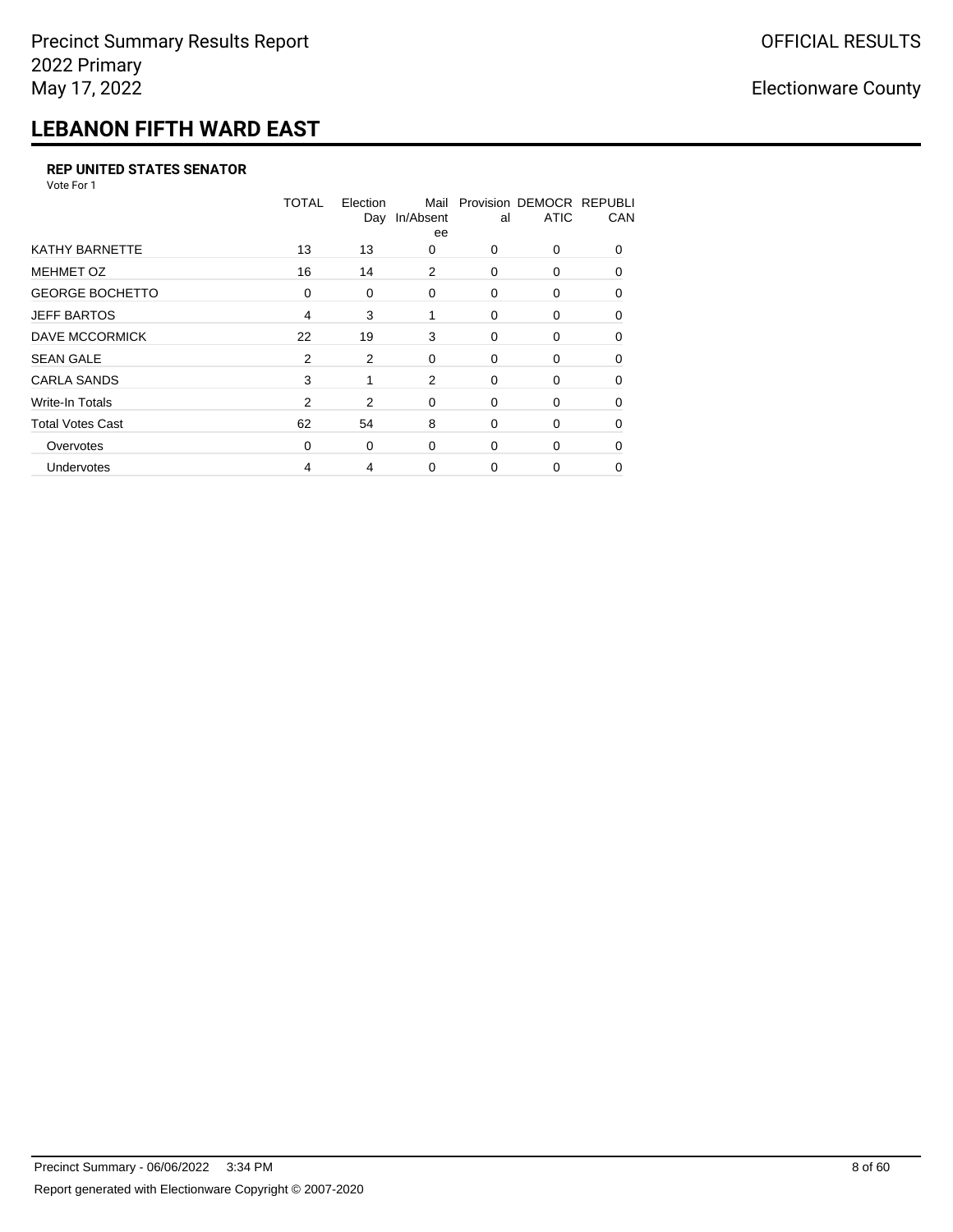## **LEBANON FIFTH WARD EAST**

#### **REP UNITED STATES SENATOR**

Vote For 1

|                         | <b>TOTAL</b>   | Election<br>Day | Mail<br>In/Absent<br>ee | al       | Provision DEMOCR REPUBLI<br><b>ATIC</b> | CAN      |
|-------------------------|----------------|-----------------|-------------------------|----------|-----------------------------------------|----------|
| <b>KATHY BARNETTE</b>   | 13             | 13              | 0                       | 0        | 0                                       | $\Omega$ |
| <b>MEHMET OZ</b>        | 16             | 14              | 2                       | $\Omega$ | $\Omega$                                | $\Omega$ |
| <b>GEORGE BOCHETTO</b>  | 0              | 0               | 0                       | 0        | 0                                       | $\Omega$ |
| <b>JEFF BARTOS</b>      | 4              | 3               | 1                       | $\Omega$ | $\Omega$                                | $\Omega$ |
| <b>DAVE MCCORMICK</b>   | 22             | 19              | 3                       | 0        | 0                                       | $\Omega$ |
| <b>SEAN GALE</b>        | 2              | 2               | $\Omega$                | 0        | 0                                       | $\Omega$ |
| <b>CARLA SANDS</b>      | 3              | 1               | 2                       | 0        | 0                                       | 0        |
| <b>Write-In Totals</b>  | $\overline{2}$ | 2               | 0                       | 0        | 0                                       | 0        |
| <b>Total Votes Cast</b> | 62             | 54              | 8                       | 0        | 0                                       | $\Omega$ |
| Overvotes               | 0              | 0               | $\Omega$                | $\Omega$ | 0                                       | $\Omega$ |
| Undervotes              | 4              | 4               | $\Omega$                | 0        | O                                       | 0        |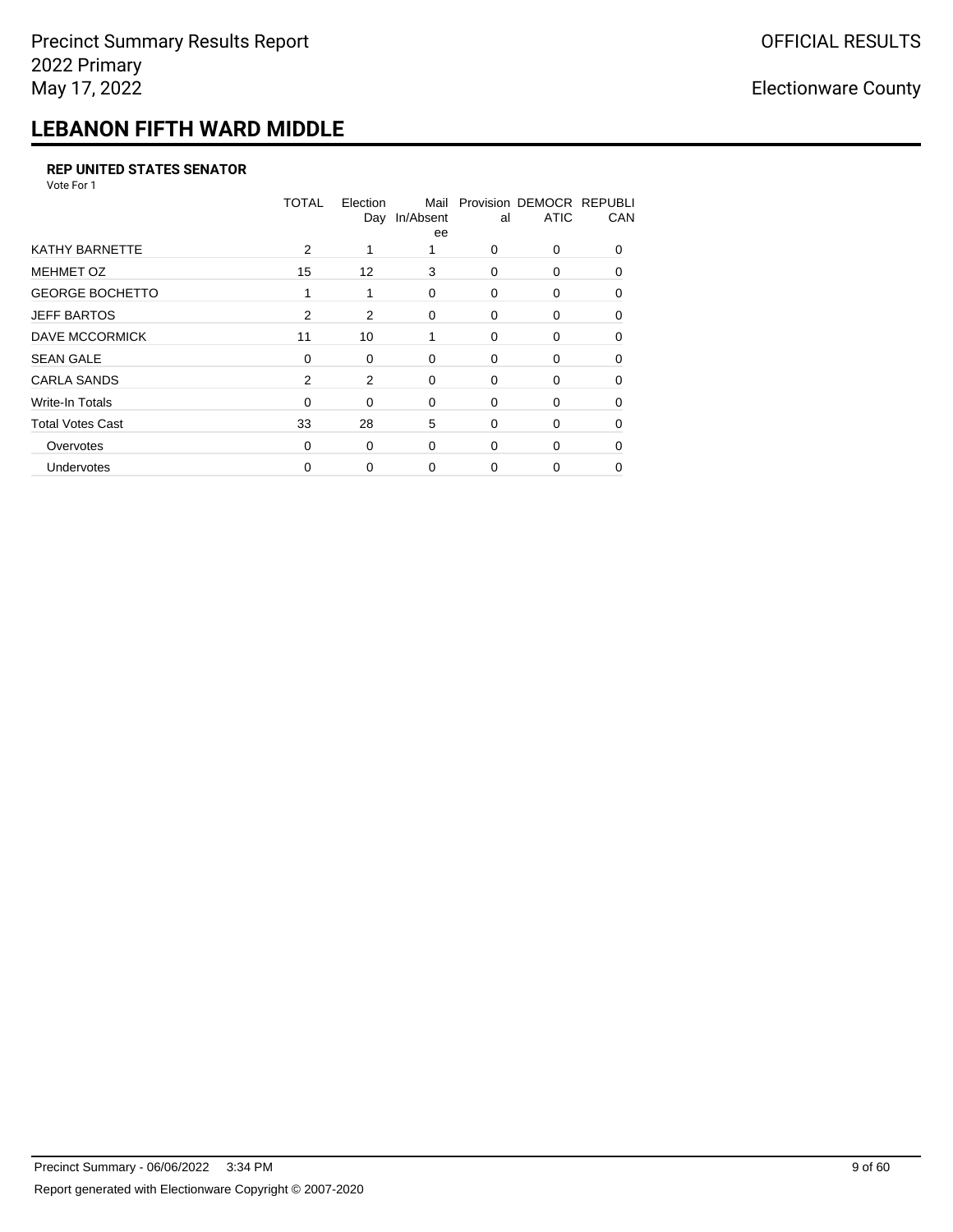## **LEBANON FIFTH WARD MIDDLE**

#### **REP UNITED STATES SENATOR**

Vote For 1

|                         | TOTAL    | Election<br>Day | Mail<br>In/Absent<br>ee | al       | Provision DEMOCR REPUBLI<br><b>ATIC</b> | CAN          |
|-------------------------|----------|-----------------|-------------------------|----------|-----------------------------------------|--------------|
| <b>KATHY BARNETTE</b>   | 2        |                 |                         | $\Omega$ | $\Omega$                                | $\Omega$     |
| <b>MEHMET OZ</b>        | 15       | 12              | 3                       | $\Omega$ | $\Omega$                                | <sup>0</sup> |
| <b>GEORGE BOCHETTO</b>  | 1        | 1               | 0                       | 0        | 0                                       | $\Omega$     |
| <b>JEFF BARTOS</b>      | 2        | 2               | $\Omega$                | $\Omega$ | $\Omega$                                | 0            |
| <b>DAVE MCCORMICK</b>   | 11       | 10              | 1                       | 0        | 0                                       | 0            |
| <b>SEAN GALE</b>        | 0        | 0               | 0                       | 0        | 0                                       | <sup>0</sup> |
| <b>CARLA SANDS</b>      | 2        | 2               | $\Omega$                | 0        | 0                                       | 0            |
| <b>Write-In Totals</b>  | $\Omega$ | $\Omega$        | 0                       | 0        | 0                                       | 0            |
| <b>Total Votes Cast</b> | 33       | 28              | 5                       | 0        | 0                                       | 0            |
| Overvotes               | $\Omega$ | 0               | $\Omega$                | $\Omega$ | 0                                       | 0            |
| Undervotes              | 0        | 0               | $\Omega$                | 0        | 0                                       | 0            |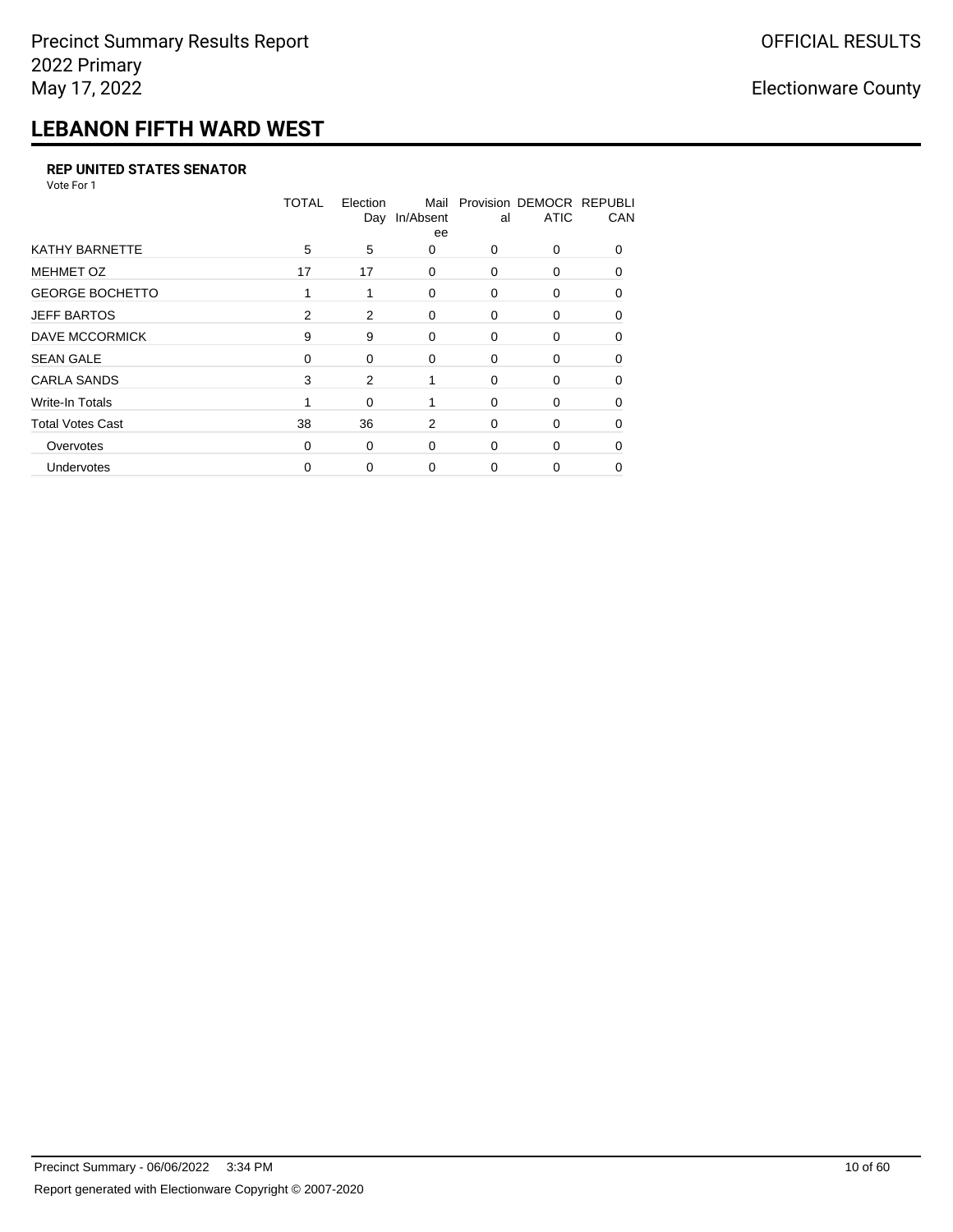## **LEBANON FIFTH WARD WEST**

#### **REP UNITED STATES SENATOR**

Vote For 1

|                         | <b>TOTAL</b> | Election<br>Day | Mail<br>In/Absent<br>ee | al | Provision DEMOCR REPUBLI<br><b>ATIC</b> | CAN          |
|-------------------------|--------------|-----------------|-------------------------|----|-----------------------------------------|--------------|
| <b>KATHY BARNETTE</b>   | 5            | 5               | 0                       | 0  | 0                                       | <sup>0</sup> |
| <b>MEHMET OZ</b>        | 17           | 17              | $\Omega$                | 0  | 0                                       | $\Omega$     |
| <b>GEORGE BOCHETTO</b>  | 1            | 1               | 0                       | 0  | 0                                       | $\Omega$     |
| <b>JEFF BARTOS</b>      | 2            | 2               | 0                       | 0  | 0                                       | 0            |
| DAVE MCCORMICK          | 9            | 9               | 0                       | 0  | 0                                       | 0            |
| <b>SEAN GALE</b>        | 0            | 0               | $\Omega$                | 0  | 0                                       | 0            |
| <b>CARLA SANDS</b>      | 3            | 2               | 1                       | 0  | 0                                       | 0            |
| Write-In Totals         |              | 0               |                         | 0  | 0                                       | 0            |
| <b>Total Votes Cast</b> | 38           | 36              | 2                       | 0  | 0                                       | 0            |
| Overvotes               | $\Omega$     | 0               | $\Omega$                | 0  | 0                                       | 0            |
| Undervotes              | 0            | 0               | 0                       | 0  | 0                                       | 0            |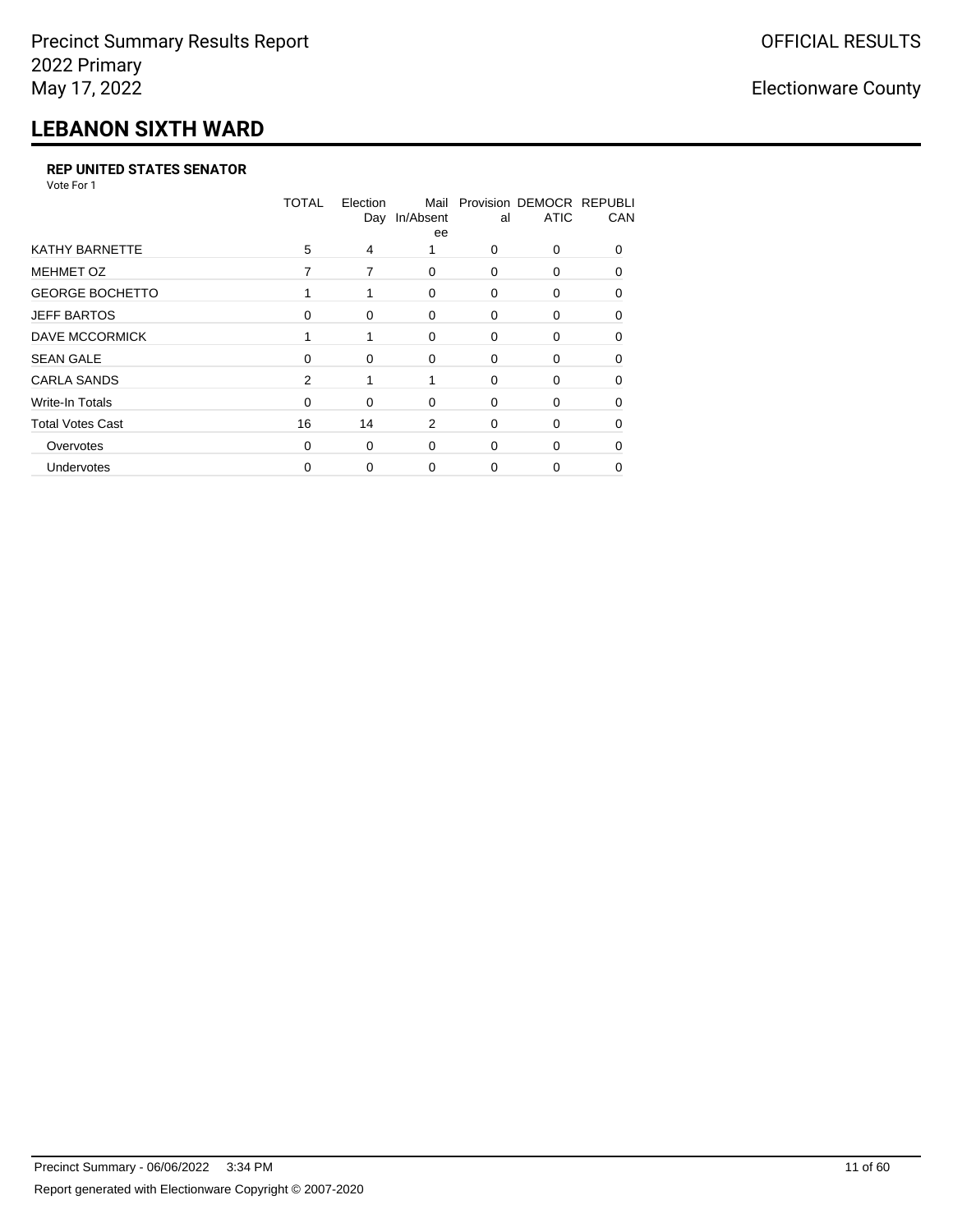## **LEBANON SIXTH WARD**

#### **REP UNITED STATES SENATOR**

Vote For 1

|                         | <b>TOTAL</b> | Election<br>Day | Mail<br>In/Absent<br>ee | al       | Provision DEMOCR REPUBLI<br><b>ATIC</b> | CAN          |
|-------------------------|--------------|-----------------|-------------------------|----------|-----------------------------------------|--------------|
| <b>KATHY BARNETTE</b>   | 5            | 4               |                         | $\Omega$ | 0                                       | <sup>0</sup> |
| <b>MEHMET OZ</b>        | 7            | 7               | $\Omega$                | $\Omega$ | 0                                       | $\Omega$     |
| <b>GEORGE BOCHETTO</b>  |              | 1               | $\mathbf 0$             | 0        | 0                                       | 0            |
| <b>JEFF BARTOS</b>      | $\Omega$     | 0               | 0                       | 0        | 0                                       | 0            |
| DAVE MCCORMICK          |              |                 | $\Omega$                | 0        | 0                                       | $\Omega$     |
| <b>SEAN GALE</b>        | $\Omega$     | 0               | $\Omega$                | $\Omega$ | 0                                       | O            |
| <b>CARLA SANDS</b>      | 2            |                 |                         | $\Omega$ | 0                                       | 0            |
| Write-In Totals         | $\Omega$     | 0               | 0                       | $\Omega$ | 0                                       | 0            |
| <b>Total Votes Cast</b> | 16           | 14              | 2                       | 0        | 0                                       | 0            |
| Overvotes               | $\Omega$     | 0               | $\Omega$                | $\Omega$ | 0                                       |              |
| Undervotes              | 0            | 0               | 0                       | 0        | 0                                       | 0            |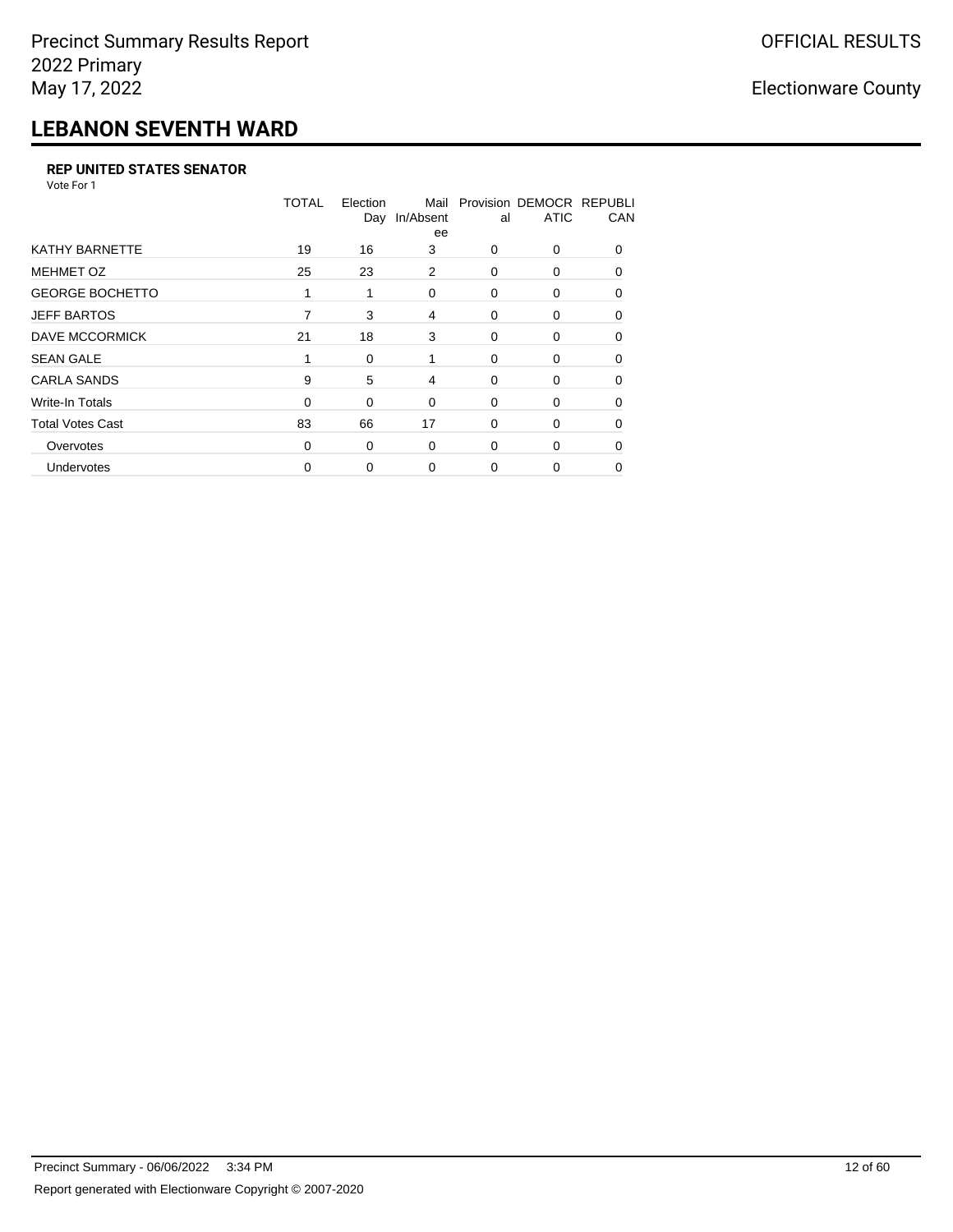## **LEBANON SEVENTH WARD**

#### **REP UNITED STATES SENATOR**

Vote For 1

|                         | <b>TOTAL</b> | Election<br>Day | Mail<br>In/Absent<br>ee | al       | Provision DEMOCR REPUBLI<br><b>ATIC</b> | CAN      |
|-------------------------|--------------|-----------------|-------------------------|----------|-----------------------------------------|----------|
| <b>KATHY BARNETTE</b>   | 19           | 16              | 3                       | 0        | 0                                       | $\Omega$ |
| <b>MEHMET OZ</b>        | 25           | 23              | 2                       | 0        | 0                                       | $\Omega$ |
| <b>GEORGE BOCHETTO</b>  | 1            | 1               | 0                       | $\Omega$ | 0                                       | $\Omega$ |
| <b>JEFF BARTOS</b>      | 7            | 3               | 4                       | 0        | 0                                       | $\Omega$ |
| DAVE MCCORMICK          | 21           | 18              | 3                       | 0        | 0                                       | $\Omega$ |
| <b>SEAN GALE</b>        |              | 0               | 1                       | $\Omega$ | 0                                       | $\Omega$ |
| <b>CARLA SANDS</b>      | 9            | 5               | 4                       | 0        | 0                                       | 0        |
| Write-In Totals         | $\Omega$     | 0               | 0                       | 0        | 0                                       | 0        |
| <b>Total Votes Cast</b> | 83           | 66              | 17                      | $\Omega$ | 0                                       | U        |
| Overvotes               | $\Omega$     | 0               | $\Omega$                | $\Omega$ | 0                                       | $\Omega$ |
| <b>Undervotes</b>       | 0            | 0               | 0                       | 0        | 0                                       |          |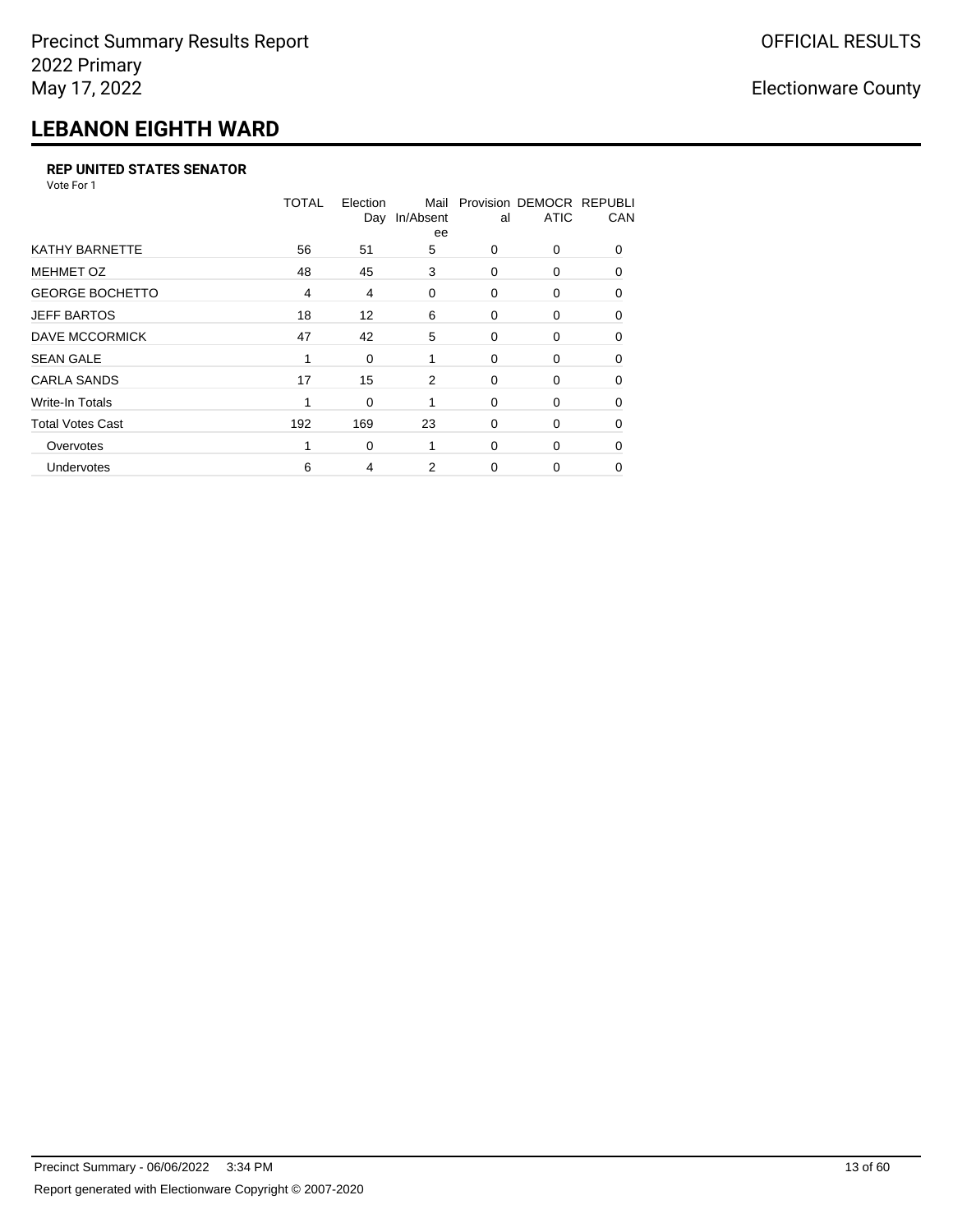## **LEBANON EIGHTH WARD**

#### **REP UNITED STATES SENATOR**

Vote For 1

|                         | <b>TOTAL</b>   | Election<br>Day | Mail<br>In/Absent<br>ee | al       | Provision DEMOCR REPUBLI<br><b>ATIC</b> | CAN      |
|-------------------------|----------------|-----------------|-------------------------|----------|-----------------------------------------|----------|
| <b>KATHY BARNETTE</b>   | 56             | 51              | 5                       | $\Omega$ | 0                                       | $\Omega$ |
| <b>MEHMET OZ</b>        | 48             | 45              | 3                       | $\Omega$ | 0                                       | $\Omega$ |
| <b>GEORGE BOCHETTO</b>  | $\overline{4}$ | 4               | 0                       | 0        | 0                                       | 0        |
| <b>JEFF BARTOS</b>      | 18             | 12              | 6                       | 0        | 0                                       | 0        |
| DAVE MCCORMICK          | 47             | 42              | 5                       | 0        | 0                                       | $\Omega$ |
| <b>SEAN GALE</b>        | 1              | 0               | 1                       | 0        | 0                                       | $\Omega$ |
| <b>CARLA SANDS</b>      | 17             | 15              | 2                       | 0        | 0                                       | 0        |
| Write-In Totals         | 1              | 0               |                         | 0        | 0                                       | 0        |
| <b>Total Votes Cast</b> | 192            | 169             | 23                      | 0        | 0                                       | $\Omega$ |
| Overvotes               | 1              | 0               | 1                       | $\Omega$ | 0                                       | $\Omega$ |
| Undervotes              | 6              | 4               | 2                       | $\Omega$ | 0                                       | 0        |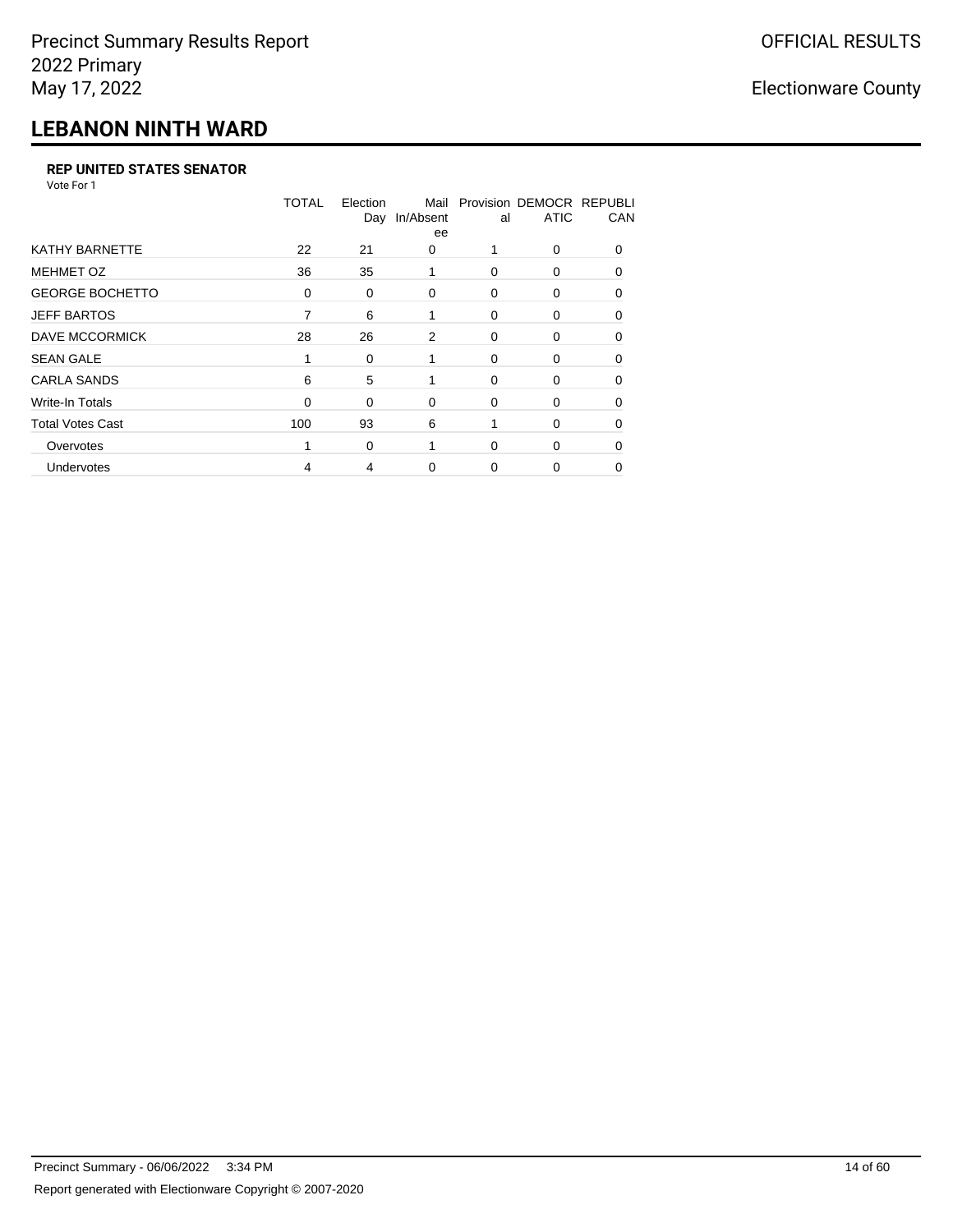## **LEBANON NINTH WARD**

#### **REP UNITED STATES SENATOR**

Vote For 1

|                         | <b>TOTAL</b> | Election<br>Day | Mail<br>In/Absent<br>ee | al       | Provision DEMOCR REPUBLI<br><b>ATIC</b> | CAN          |
|-------------------------|--------------|-----------------|-------------------------|----------|-----------------------------------------|--------------|
| <b>KATHY BARNETTE</b>   | 22           | 21              | $\Omega$                |          | 0                                       | <sup>0</sup> |
| <b>MEHMET OZ</b>        | 36           | 35              | 1                       | $\Omega$ | 0                                       | $\Omega$     |
| <b>GEORGE BOCHETTO</b>  | 0            | 0               | 0                       | 0        | 0                                       | 0            |
| <b>JEFF BARTOS</b>      | 7            | 6               |                         | 0        | 0                                       | $\Omega$     |
| DAVE MCCORMICK          | 28           | 26              | 2                       | 0        | 0                                       | $\Omega$     |
| <b>SEAN GALE</b>        |              | 0               |                         | 0        | 0                                       | $\Omega$     |
| <b>CARLA SANDS</b>      | 6            | 5               |                         | 0        | 0                                       | 0            |
| Write-In Totals         | 0            | 0               | 0                       | 0        | 0                                       | 0            |
| <b>Total Votes Cast</b> | 100          | 93              | 6                       |          | 0                                       | 0            |
| Overvotes               |              | 0               |                         | 0        | 0                                       | 0            |
| Undervotes              | 4            | 4               | 0                       | 0        | 0                                       | 0            |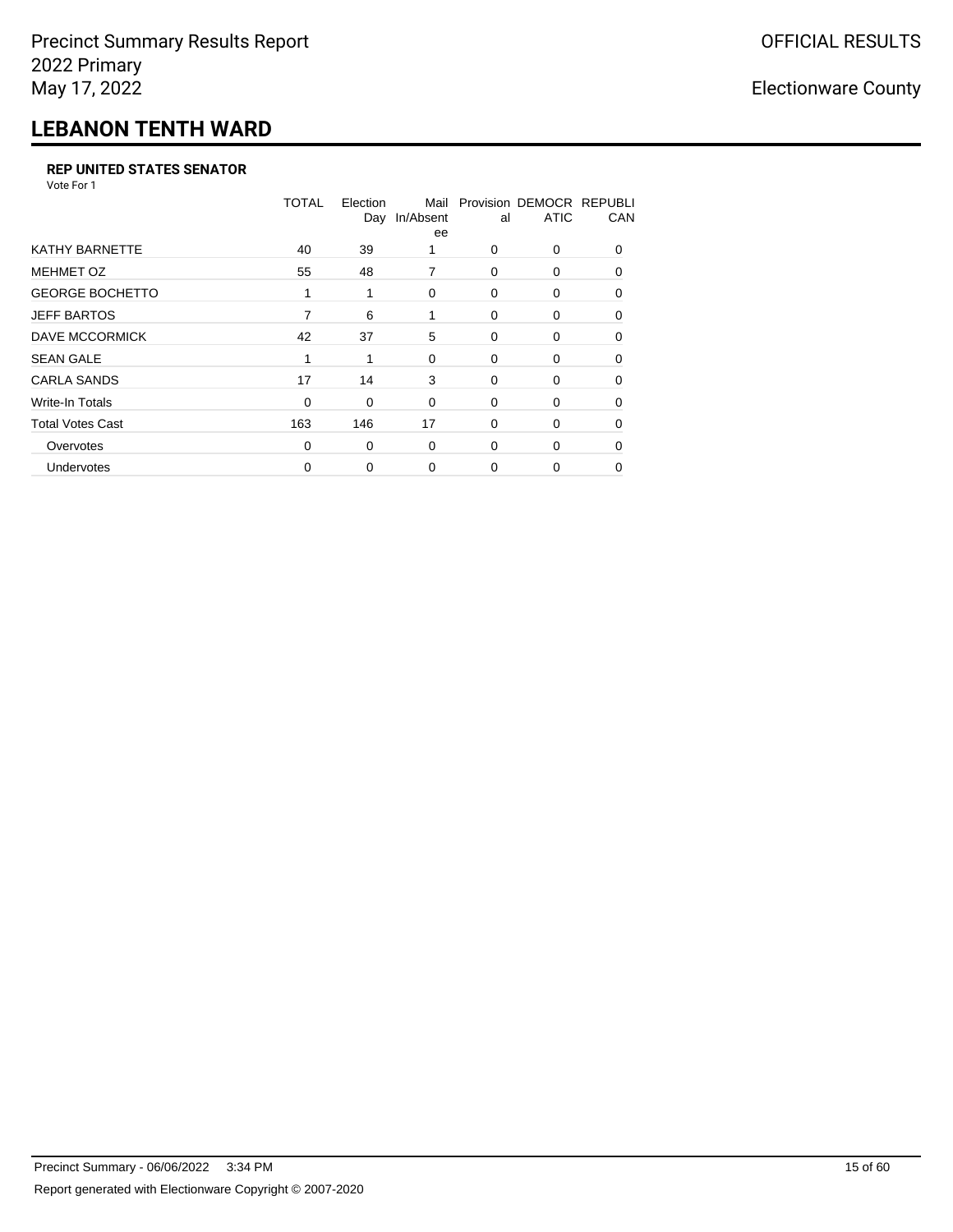## **LEBANON TENTH WARD**

#### **REP UNITED STATES SENATOR**

Vote For 1

|                         | <b>TOTAL</b> | Election<br>Day | Mail<br>In/Absent<br>ee | al       | Provision DEMOCR REPUBLI<br><b>ATIC</b> | CAN      |
|-------------------------|--------------|-----------------|-------------------------|----------|-----------------------------------------|----------|
| <b>KATHY BARNETTE</b>   | 40           | 39              |                         | $\Omega$ | 0                                       | $\Omega$ |
| <b>MEHMET OZ</b>        | 55           | 48              | 7                       | $\Omega$ | 0                                       | $\Omega$ |
| <b>GEORGE BOCHETTO</b>  | 1            | 1               | 0                       | 0        | 0                                       | 0        |
| <b>JEFF BARTOS</b>      | 7            | 6               |                         | 0        | 0                                       | $\Omega$ |
| DAVE MCCORMICK          | 42           | 37              | 5                       | 0        | 0                                       | $\Omega$ |
| <b>SEAN GALE</b>        | 1            | 1               | 0                       | $\Omega$ | 0                                       | 0        |
| <b>CARLA SANDS</b>      | 17           | 14              | 3                       | 0        | 0                                       | 0        |
| Write-In Totals         | $\Omega$     | 0               | 0                       | 0        | 0                                       | 0        |
| <b>Total Votes Cast</b> | 163          | 146             | 17                      | 0        | 0                                       | $\Omega$ |
| Overvotes               | $\Omega$     | 0               | $\Omega$                | $\Omega$ | 0                                       | $\Omega$ |
| <b>Undervotes</b>       | 0            | 0               | 0                       | 0        | 0                                       | 0        |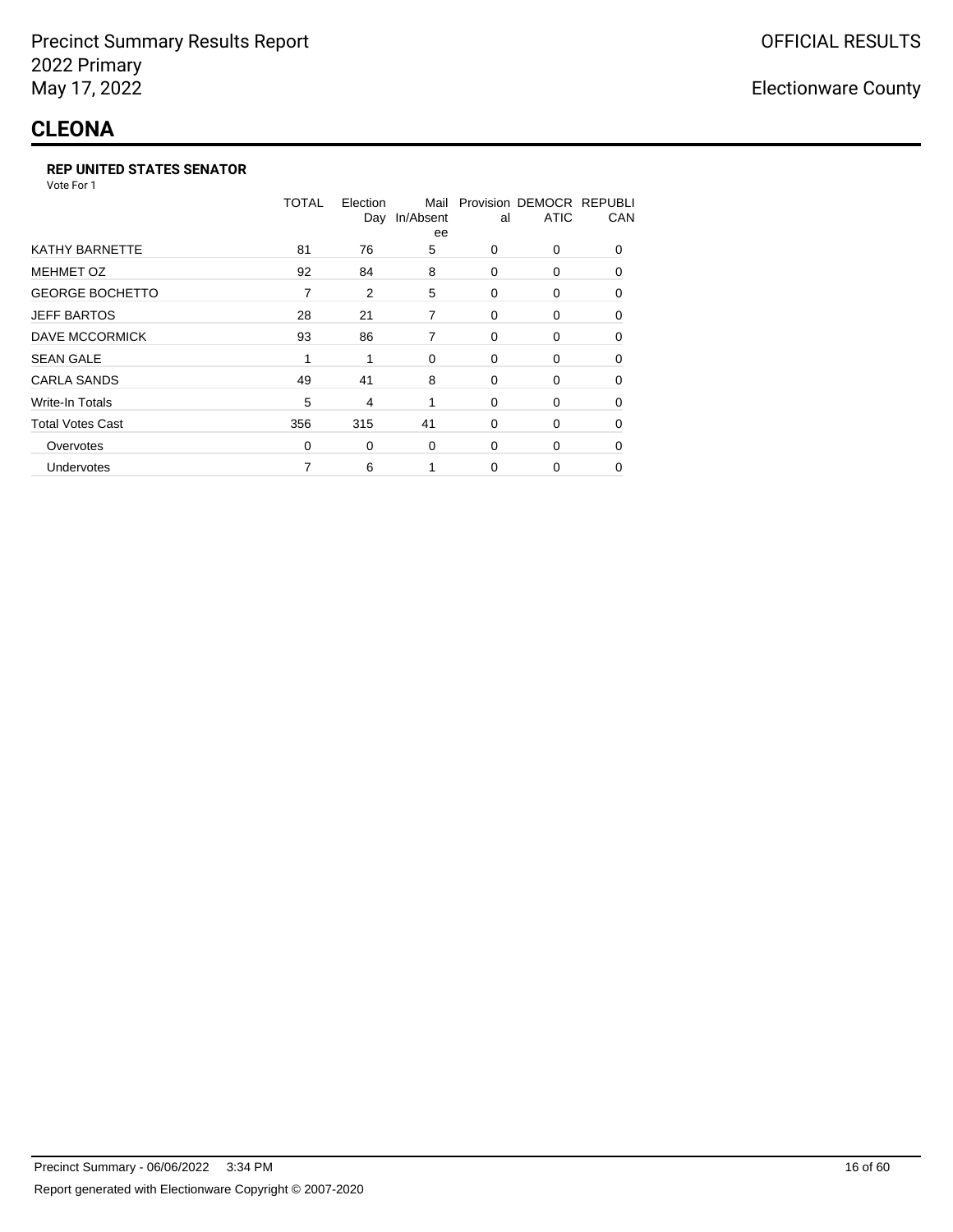## **CLEONA**

#### **REP UNITED STATES SENATOR**

Vote For 1

|                         | <b>TOTAL</b> | Election<br>Day | Mail<br>In/Absent<br>ee | al          | Provision DEMOCR REPUBLI<br><b>ATIC</b> | CAN      |
|-------------------------|--------------|-----------------|-------------------------|-------------|-----------------------------------------|----------|
| <b>KATHY BARNETTE</b>   | 81           | 76              | 5                       | $\Omega$    | $\Omega$                                | $\Omega$ |
| <b>MEHMET OZ</b>        | 92           | 84              | 8                       | 0           | 0                                       | 0        |
| <b>GEORGE BOCHETTO</b>  | 7            | 2               | 5                       | 0           | $\Omega$                                | $\Omega$ |
| <b>JEFF BARTOS</b>      | 28           | 21              | 7                       | 0           | 0                                       | 0        |
| <b>DAVE MCCORMICK</b>   | 93           | 86              | 7                       | 0           | 0                                       | 0        |
| <b>SEAN GALE</b>        | 1            | 1               | 0                       | 0           | 0                                       | $\Omega$ |
| <b>CARLA SANDS</b>      | 49           | 41              | 8                       | 0           | 0                                       | 0        |
| <b>Write-In Totals</b>  | 5            | 4               | 1                       | $\mathbf 0$ | 0                                       | 0        |
| <b>Total Votes Cast</b> | 356          | 315             | 41                      | 0           | 0                                       | 0        |
| Overvotes               | 0            | 0               | 0                       | $\Omega$    | 0                                       | 0        |
| Undervotes              | 7            | 6               |                         | $\Omega$    | 0                                       | $\Omega$ |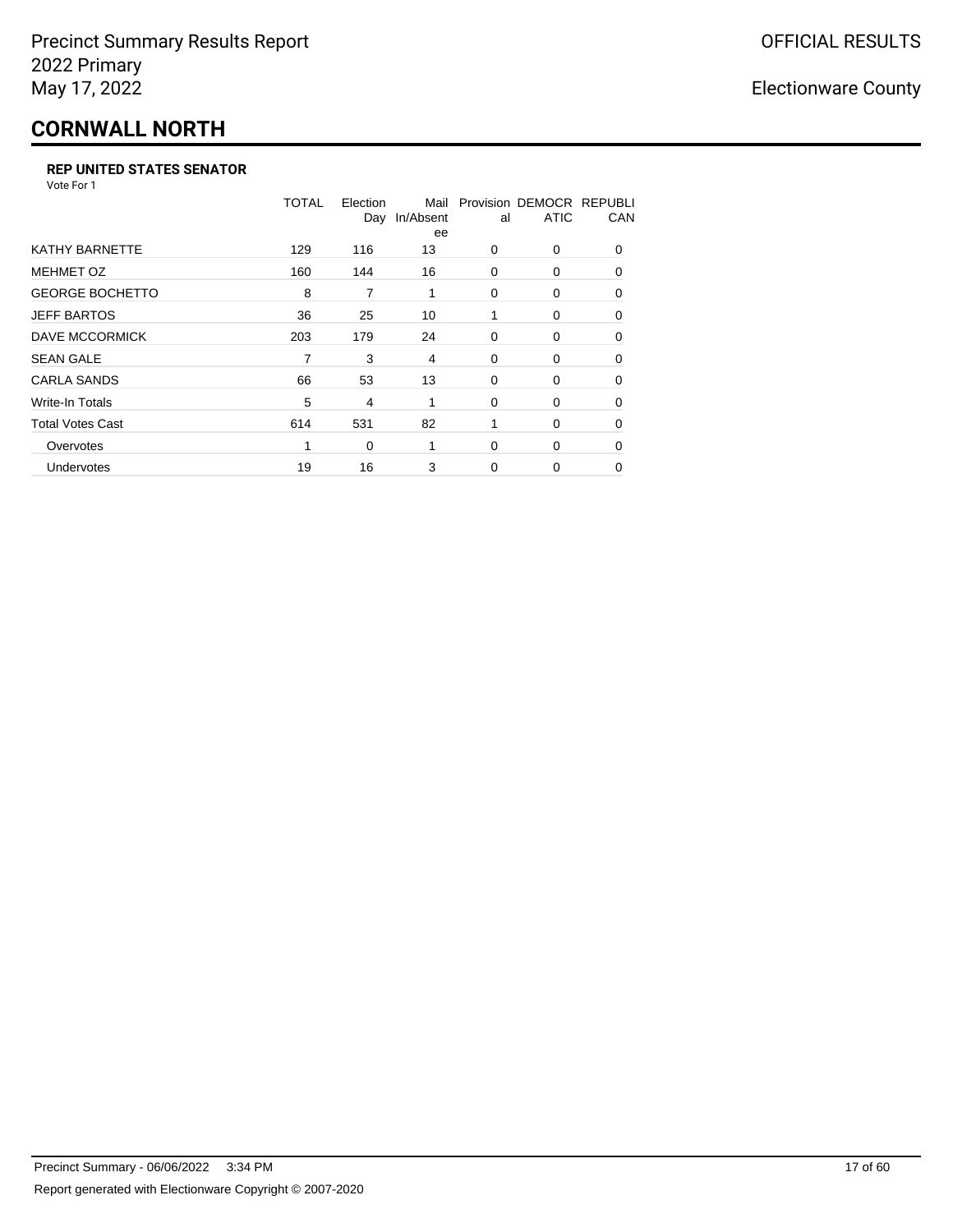# **CORNWALL NORTH**

#### **REP UNITED STATES SENATOR**

Vote For 1

|                         | TOTAL | Election<br>Day | Mail<br>In/Absent<br>ee | al       | Provision DEMOCR REPUBLI<br><b>ATIC</b> | CAN      |
|-------------------------|-------|-----------------|-------------------------|----------|-----------------------------------------|----------|
| <b>KATHY BARNETTE</b>   | 129   | 116             | 13                      | 0        | 0                                       | $\Omega$ |
| <b>MEHMET OZ</b>        | 160   | 144             | 16                      | 0        | $\Omega$                                | $\Omega$ |
| <b>GEORGE BOCHETTO</b>  | 8     | 7               | 1                       | 0        | 0                                       | 0        |
| <b>JEFF BARTOS</b>      | 36    | 25              | 10                      | 1        | 0                                       | 0        |
| <b>DAVE MCCORMICK</b>   | 203   | 179             | 24                      | 0        | 0                                       | $\Omega$ |
| <b>SEAN GALE</b>        |       | 3               | 4                       | 0        | 0                                       | $\Omega$ |
| <b>CARLA SANDS</b>      | 66    | 53              | 13                      | 0        | 0                                       | 0        |
| <b>Write-In Totals</b>  | 5     | 4               | 1                       | 0        | 0                                       | 0        |
| <b>Total Votes Cast</b> | 614   | 531             | 82                      | 1        | 0                                       | $\Omega$ |
| Overvotes               | 1     | 0               | 1                       | $\Omega$ | 0                                       | $\Omega$ |
| Undervotes              | 19    | 16              | 3                       | $\Omega$ | 0                                       | $\Omega$ |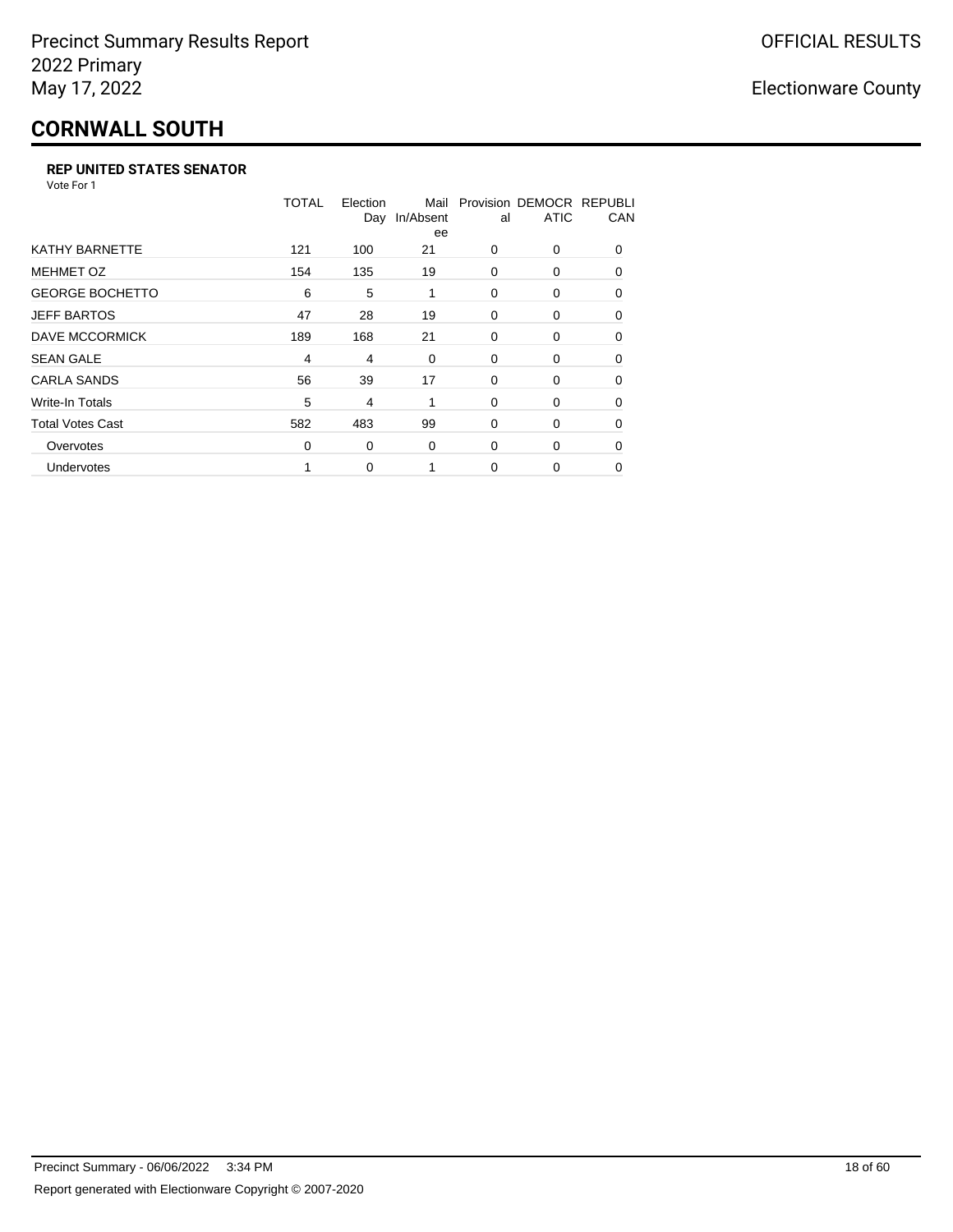# **CORNWALL SOUTH**

#### **REP UNITED STATES SENATOR**

Vote For 1

|                         | TOTAL | Election<br>Day | Mail<br>In/Absent<br>ee | al       | Provision DEMOCR REPUBLI<br><b>ATIC</b> | CAN      |
|-------------------------|-------|-----------------|-------------------------|----------|-----------------------------------------|----------|
| <b>KATHY BARNETTE</b>   | 121   | 100             | 21                      | $\Omega$ | 0                                       | $\Omega$ |
| <b>MEHMET OZ</b>        | 154   | 135             | 19                      | 0        | 0                                       | $\Omega$ |
| <b>GEORGE BOCHETTO</b>  | 6     | 5               | 1                       | 0        | 0                                       | 0        |
| <b>JEFF BARTOS</b>      | 47    | 28              | 19                      | 0        | 0                                       | 0        |
| DAVE MCCORMICK          | 189   | 168             | 21                      | 0        | 0                                       | $\Omega$ |
| <b>SEAN GALE</b>        | 4     | 4               | 0                       | 0        | 0                                       | $\Omega$ |
| <b>CARLA SANDS</b>      | 56    | 39              | 17                      | 0        | 0                                       | 0        |
| Write-In Totals         | 5     | 4               |                         | 0        | 0                                       | 0        |
| <b>Total Votes Cast</b> | 582   | 483             | 99                      | 0        | 0                                       | $\Omega$ |
| Overvotes               | 0     | 0               | 0                       | 0        | 0                                       | $\Omega$ |
| Undervotes              |       | 0               |                         | $\Omega$ | 0                                       | $\Omega$ |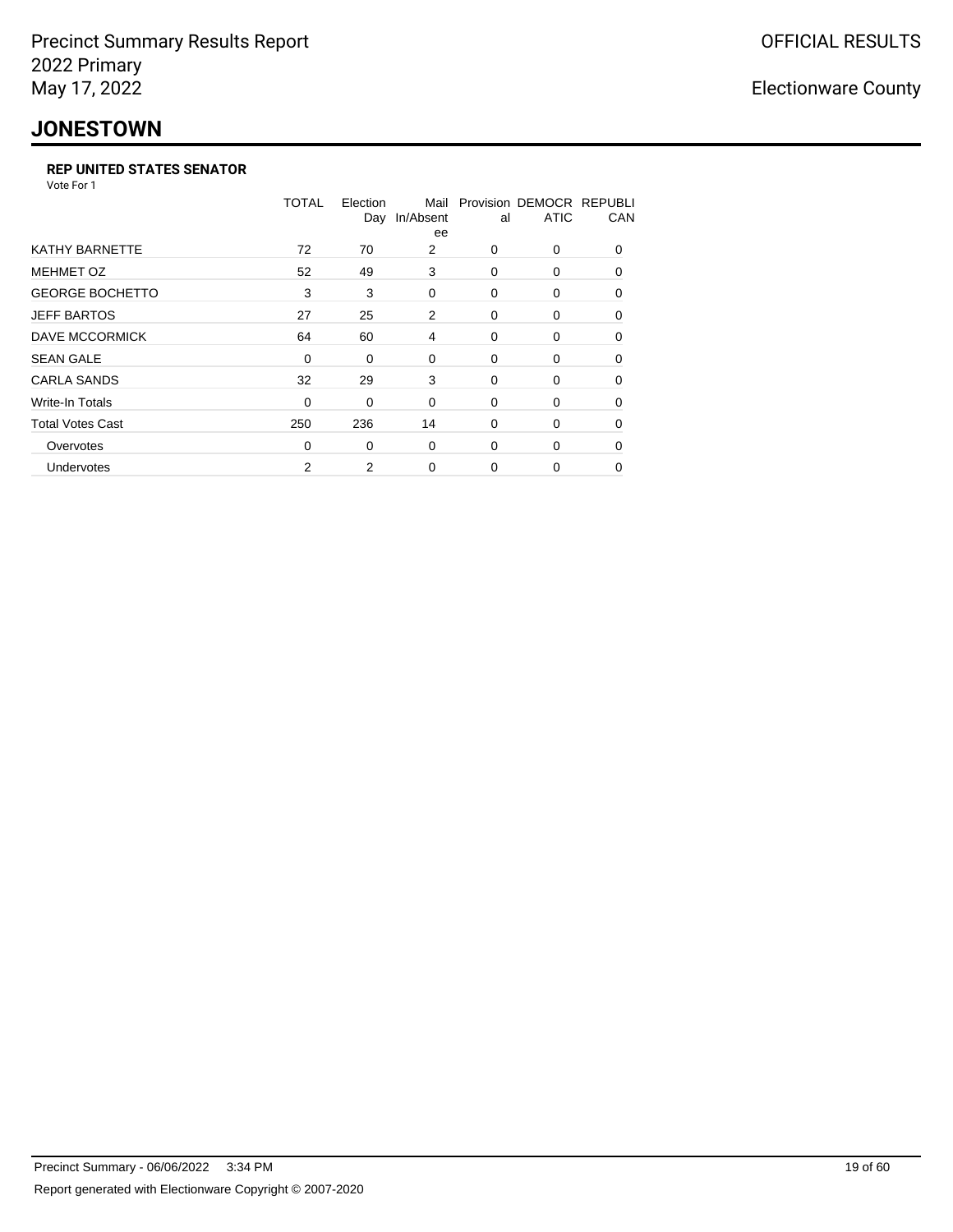## **JONESTOWN**

#### **REP UNITED STATES SENATOR**

Vote For 1

|                         | TOTAL    | Election<br>Day | Mail<br>In/Absent<br>ee | al       | Provision DEMOCR REPUBLI<br><b>ATIC</b> | CAN      |
|-------------------------|----------|-----------------|-------------------------|----------|-----------------------------------------|----------|
| <b>KATHY BARNETTE</b>   | 72       | 70              | 2                       | 0        | 0                                       | $\Omega$ |
| <b>MEHMET OZ</b>        | 52       | 49              | 3                       | $\Omega$ | $\Omega$                                | $\Omega$ |
| <b>GEORGE BOCHETTO</b>  | 3        | 3               | 0                       | 0        | 0                                       | 0        |
| <b>JEFF BARTOS</b>      | 27       | 25              | 2                       | $\Omega$ | 0                                       | 0        |
| <b>DAVE MCCORMICK</b>   | 64       | 60              | 4                       | 0        | 0                                       | $\Omega$ |
| <b>SEAN GALE</b>        | 0        | 0               | 0                       | 0        | 0                                       | $\Omega$ |
| <b>CARLA SANDS</b>      | 32       | 29              | 3                       | 0        | 0                                       | $\Omega$ |
| <b>Write-In Totals</b>  | 0        | 0               | 0                       | 0        | 0                                       | 0        |
| <b>Total Votes Cast</b> | 250      | 236             | 14                      | 0        | 0                                       | $\Omega$ |
| Overvotes               | $\Omega$ | 0               | 0                       | $\Omega$ | 0                                       | $\Omega$ |
| Undervotes              | 2        | 2               | 0                       | $\Omega$ | 0                                       | 0        |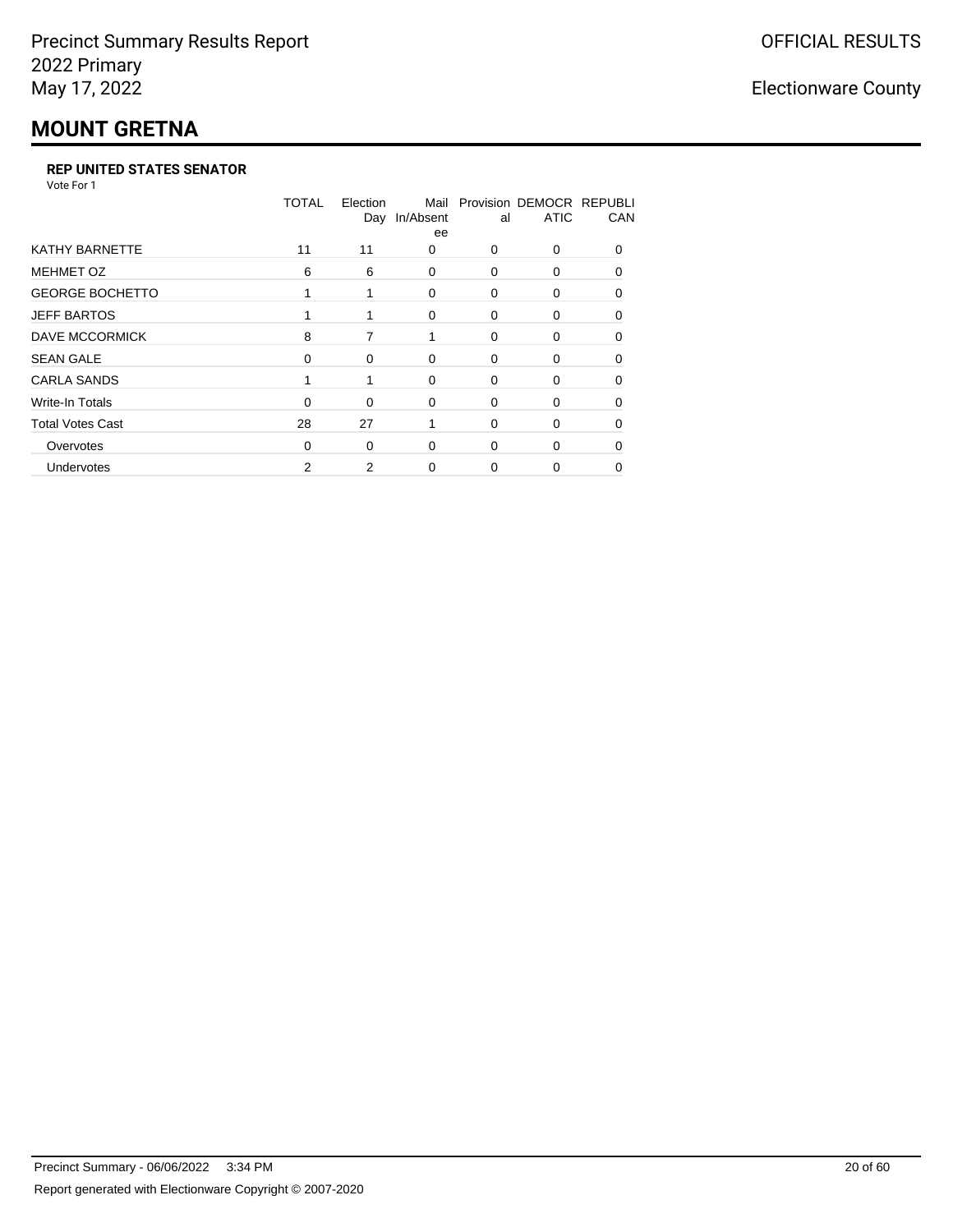## **MOUNT GRETNA**

#### **REP UNITED STATES SENATOR**

Vote For 1

|                         | <b>TOTAL</b> | Election<br>Day | Mail<br>In/Absent<br>ee | al       | Provision DEMOCR REPUBLI<br><b>ATIC</b> | CAN          |
|-------------------------|--------------|-----------------|-------------------------|----------|-----------------------------------------|--------------|
| <b>KATHY BARNETTE</b>   | 11           | 11              | 0                       | 0        | 0                                       | <sup>0</sup> |
| <b>MEHMET OZ</b>        | 6            | 6               | $\Omega$                | $\Omega$ | 0                                       | $\Omega$     |
| <b>GEORGE BOCHETTO</b>  |              |                 | 0                       | 0        | 0                                       | $\Omega$     |
| <b>JEFF BARTOS</b>      |              |                 | 0                       | 0        | 0                                       | 0            |
| <b>DAVE MCCORMICK</b>   | 8            | 7               |                         | 0        | 0                                       | 0            |
| <b>SEAN GALE</b>        | 0            | 0               | $\Omega$                | 0        | 0                                       | $\Omega$     |
| <b>CARLA SANDS</b>      |              |                 | $\Omega$                | 0        | 0                                       | 0            |
| <b>Write-In Totals</b>  | 0            | $\Omega$        | 0                       | 0        | 0                                       | 0            |
| <b>Total Votes Cast</b> | 28           | 27              |                         | 0        | 0                                       | 0            |
| Overvotes               | $\Omega$     | 0               | $\Omega$                | 0        | 0                                       | 0            |
| Undervotes              | 2            | 2               | 0                       | 0        | ი                                       | 0            |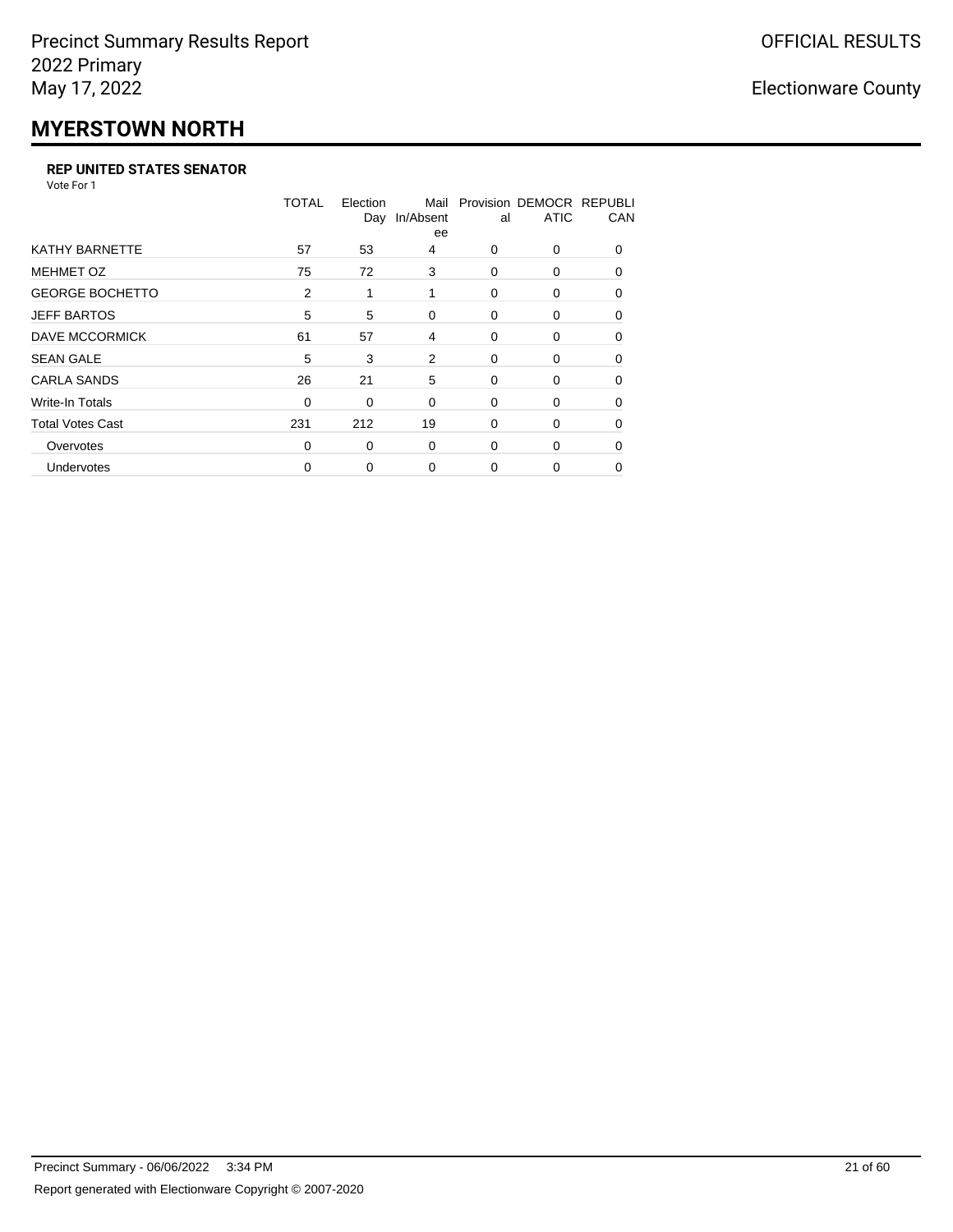# **MYERSTOWN NORTH**

#### **REP UNITED STATES SENATOR**

Vote For 1

|                         | <b>TOTAL</b> | Election<br>Day | Mail<br>In/Absent<br>ee | al       | Provision DEMOCR REPUBLI<br><b>ATIC</b> | CAN      |
|-------------------------|--------------|-----------------|-------------------------|----------|-----------------------------------------|----------|
| <b>KATHY BARNETTE</b>   | 57           | 53              | 4                       | $\Omega$ | 0                                       | $\Omega$ |
| <b>MEHMET OZ</b>        | 75           | 72              | 3                       | $\Omega$ | 0                                       | $\Omega$ |
| <b>GEORGE BOCHETTO</b>  | 2            | 1               | 1                       | 0        | 0                                       | 0        |
| <b>JEFF BARTOS</b>      | 5            | 5               | 0                       | 0        | 0                                       | 0        |
| DAVE MCCORMICK          | 61           | 57              | 4                       | 0        | 0                                       | $\Omega$ |
| <b>SEAN GALE</b>        | 5            | 3               | 2                       | 0        | 0                                       | $\Omega$ |
| <b>CARLA SANDS</b>      | 26           | 21              | 5                       | 0        | 0                                       | 0        |
| Write-In Totals         | 0            | 0               | 0                       | 0        | 0                                       | 0        |
| <b>Total Votes Cast</b> | 231          | 212             | 19                      | 0        | 0                                       | $\Omega$ |
| Overvotes               | 0            | 0               | 0                       | 0        | 0                                       | $\Omega$ |
| Undervotes              | 0            | 0               | $\Omega$                | $\Omega$ | 0                                       | 0        |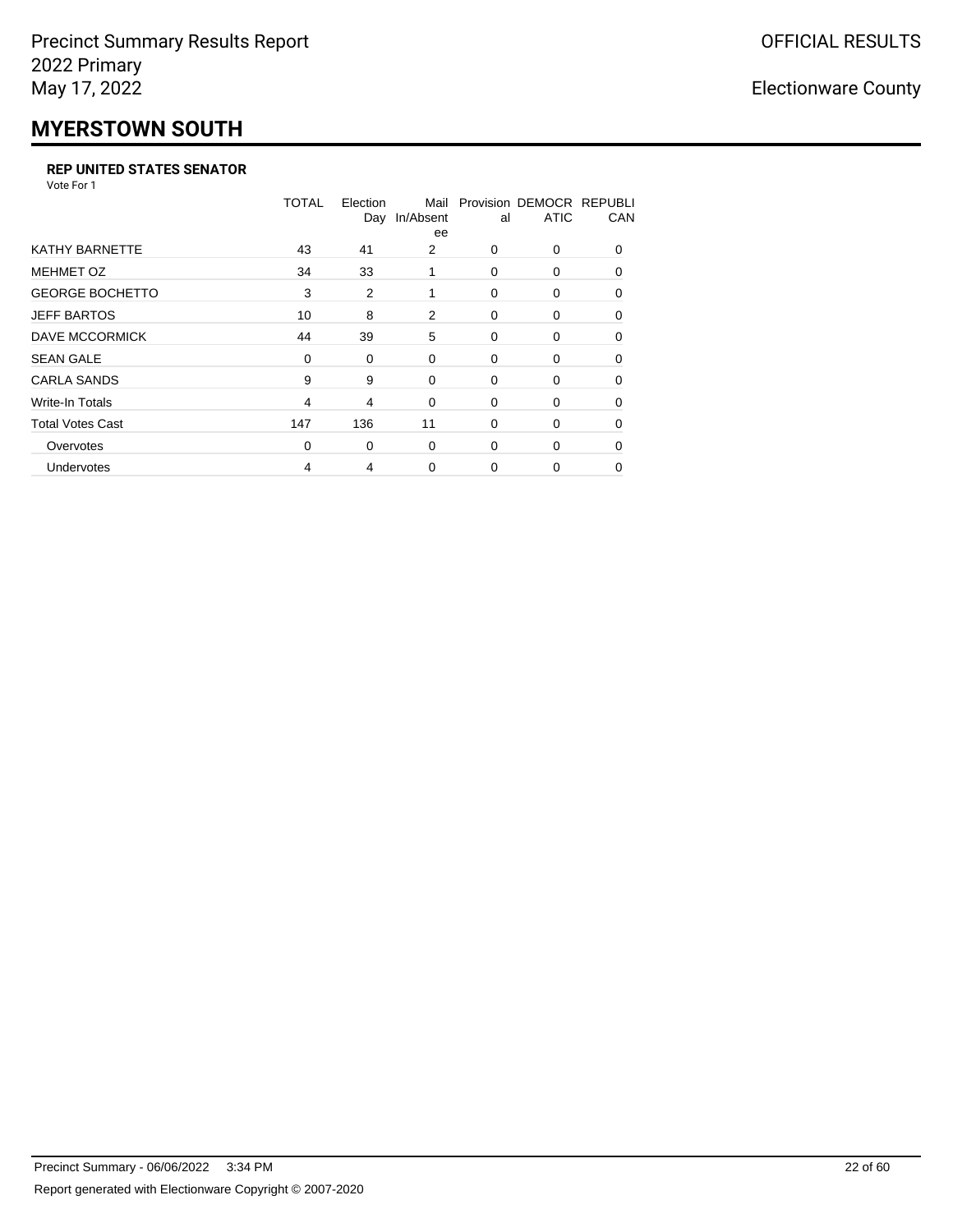# **MYERSTOWN SOUTH**

#### **REP UNITED STATES SENATOR**

Vote For 1

|                         | TOTAL          | Election<br>Day | Mail<br>In/Absent<br>ee | al       | Provision DEMOCR REPUBLI<br><b>ATIC</b> | CAN      |
|-------------------------|----------------|-----------------|-------------------------|----------|-----------------------------------------|----------|
| <b>KATHY BARNETTE</b>   | 43             | 41              | 2                       | $\Omega$ | 0                                       | $\Omega$ |
| <b>MEHMET OZ</b>        | 34             | 33              | 1                       | $\Omega$ | 0                                       | $\Omega$ |
| <b>GEORGE BOCHETTO</b>  | 3              | $\overline{2}$  | 1                       | 0        | 0                                       | $\Omega$ |
| <b>JEFF BARTOS</b>      | 10             | 8               | 2                       | $\Omega$ | $\Omega$                                | 0        |
| DAVE MCCORMICK          | 44             | 39              | 5                       | 0        | 0                                       | 0        |
| <b>SEAN GALE</b>        | 0              | 0               | 0                       | 0        | 0                                       | $\Omega$ |
| <b>CARLA SANDS</b>      | 9              | 9               | 0                       | 0        | 0                                       | 0        |
| Write-In Totals         | $\overline{4}$ | 4               | 0                       | 0        | 0                                       | 0        |
| <b>Total Votes Cast</b> | 147            | 136             | 11                      | 0        | 0                                       | 0        |
| Overvotes               | 0              | 0               | $\Omega$                | $\Omega$ | 0                                       | $\Omega$ |
| Undervotes              | 4              | 4               | $\Omega$                | $\Omega$ | 0                                       | 0        |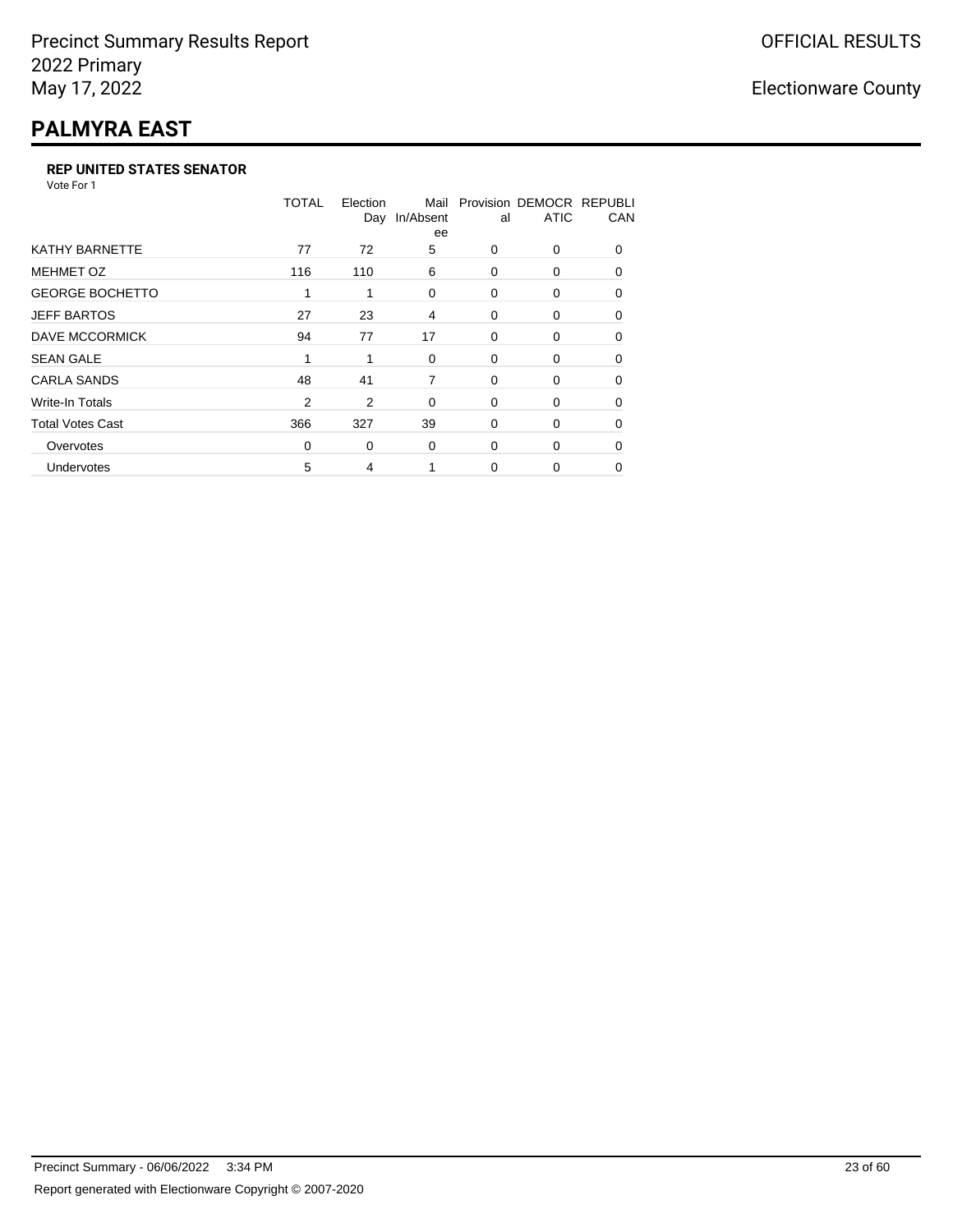# **PALMYRA EAST**

#### **REP UNITED STATES SENATOR**

Vote For 1

|                         | TOTAL    | Election<br>Day | Mail<br>In/Absent<br>ee | al       | Provision DEMOCR REPUBLI<br><b>ATIC</b> | CAN      |
|-------------------------|----------|-----------------|-------------------------|----------|-----------------------------------------|----------|
| <b>KATHY BARNETTE</b>   | 77       | 72              | 5                       | 0        | 0                                       | $\Omega$ |
| <b>MEHMET OZ</b>        | 116      | 110             | 6                       | $\Omega$ | $\Omega$                                | $\Omega$ |
| <b>GEORGE BOCHETTO</b>  | 1        | 1               | 0                       | 0        | 0                                       | 0        |
| <b>JEFF BARTOS</b>      | 27       | 23              | 4                       | $\Omega$ | $\Omega$                                | 0        |
| <b>DAVE MCCORMICK</b>   | 94       | 77              | 17                      | 0        | 0                                       | $\Omega$ |
| <b>SEAN GALE</b>        | 1        |                 | $\Omega$                | 0        | 0                                       | $\Omega$ |
| <b>CARLA SANDS</b>      | 48       | 41              | 7                       | 0        | 0                                       | 0        |
| <b>Write-In Totals</b>  | 2        | 2               | 0                       | 0        | 0                                       | 0        |
| <b>Total Votes Cast</b> | 366      | 327             | 39                      | 0        | 0                                       | $\Omega$ |
| Overvotes               | $\Omega$ | 0               | 0                       | $\Omega$ | 0                                       | $\Omega$ |
| Undervotes              | 5        | 4               |                         | $\Omega$ | 0                                       | 0        |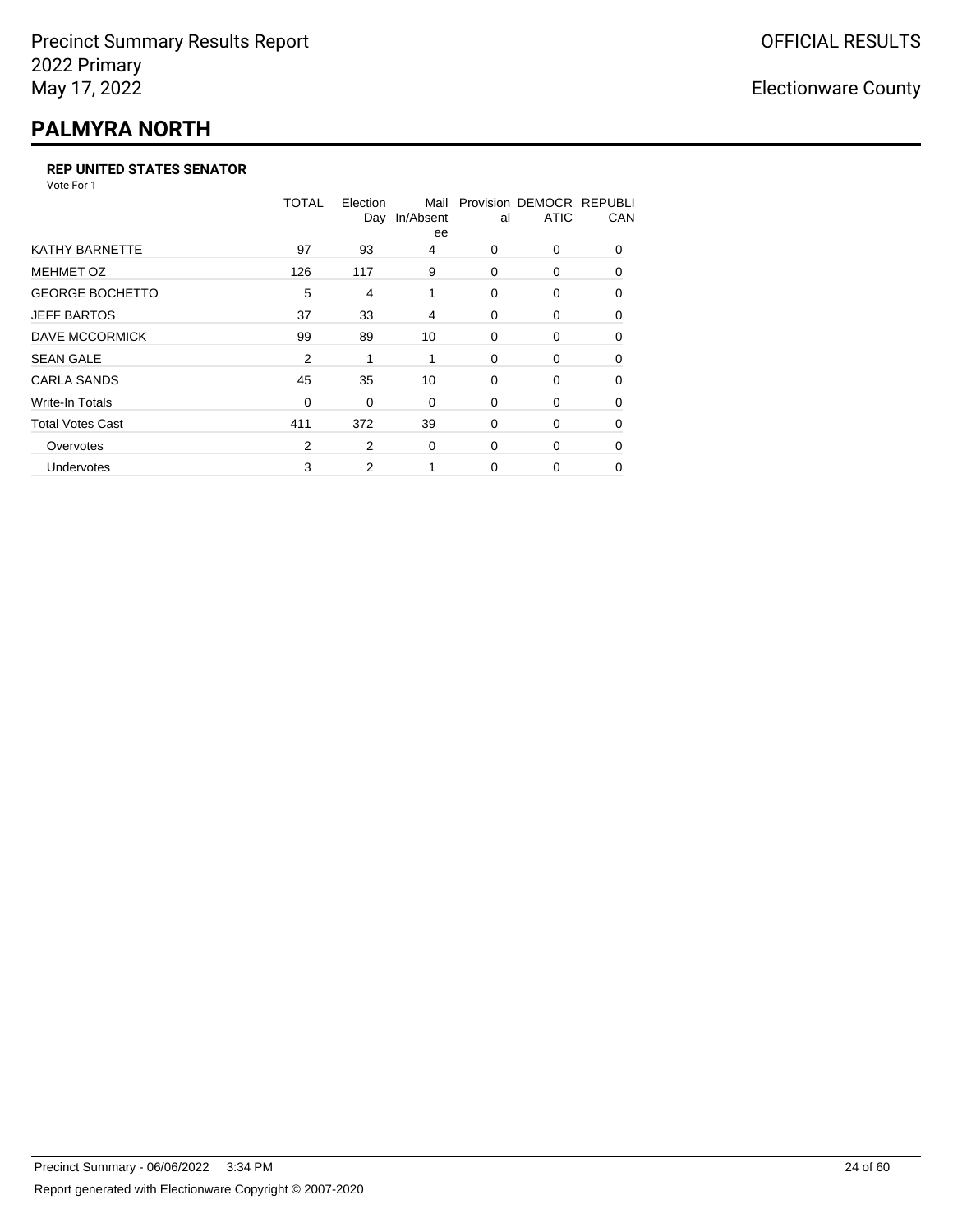## **PALMYRA NORTH**

#### **REP UNITED STATES SENATOR**

Vote For 1

|                         | TOTAL | Election<br>Day | Mail<br>In/Absent<br>ee | al       | Provision DEMOCR REPUBLI<br><b>ATIC</b> | CAN      |
|-------------------------|-------|-----------------|-------------------------|----------|-----------------------------------------|----------|
| <b>KATHY BARNETTE</b>   | 97    | 93              | 4                       | $\Omega$ | 0                                       | $\Omega$ |
| <b>MEHMET OZ</b>        | 126   | 117             | 9                       | $\Omega$ | $\Omega$                                | $\Omega$ |
| <b>GEORGE BOCHETTO</b>  | 5     | 4               | 1                       | 0        | 0                                       | 0        |
| <b>JEFF BARTOS</b>      | 37    | 33              | 4                       | 0        | 0                                       | 0        |
| <b>DAVE MCCORMICK</b>   | 99    | 89              | 10                      | 0        | 0                                       | $\Omega$ |
| <b>SEAN GALE</b>        | 2     |                 | 1                       | 0        | 0                                       | $\Omega$ |
| <b>CARLA SANDS</b>      | 45    | 35              | 10                      | 0        | 0                                       | 0        |
| <b>Write-In Totals</b>  | 0     | 0               | 0                       | 0        | 0                                       | 0        |
| <b>Total Votes Cast</b> | 411   | 372             | 39                      | 0        | 0                                       | $\Omega$ |
| Overvotes               | 2     | 2               | 0                       | $\Omega$ | 0                                       | $\Omega$ |
| Undervotes              | 3     | 2               |                         | $\Omega$ | 0                                       | $\Omega$ |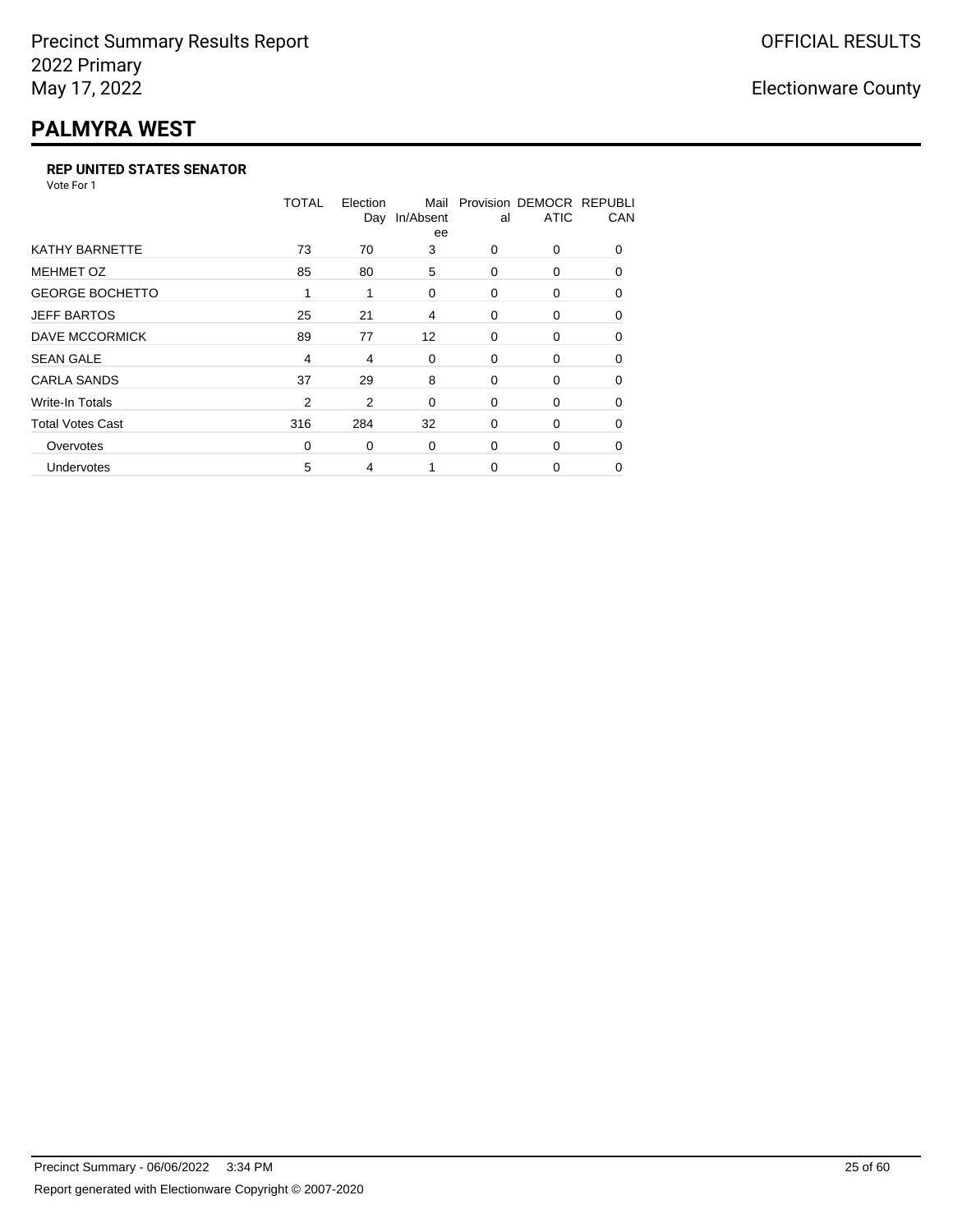# **PALMYRA WEST**

#### **REP UNITED STATES SENATOR**

Vote For 1

|                         | TOTAL | Election<br>Day | Mail<br>In/Absent<br>ee | al       | Provision DEMOCR REPUBLI<br><b>ATIC</b> | CAN      |
|-------------------------|-------|-----------------|-------------------------|----------|-----------------------------------------|----------|
| <b>KATHY BARNETTE</b>   | 73    | 70              | 3                       | 0        | 0                                       | $\Omega$ |
| <b>MEHMET OZ</b>        | 85    | 80              | 5                       | 0        | $\Omega$                                | $\Omega$ |
| <b>GEORGE BOCHETTO</b>  | 1     | 1               | 0                       | 0        | 0                                       | 0        |
| <b>JEFF BARTOS</b>      | 25    | 21              | 4                       | 0        | 0                                       | 0        |
| DAVE MCCORMICK          | 89    | 77              | 12                      | 0        | 0                                       | $\Omega$ |
| <b>SEAN GALE</b>        | 4     | 4               | 0                       | 0        | 0                                       | $\Omega$ |
| <b>CARLA SANDS</b>      | 37    | 29              | 8                       | 0        | 0                                       | 0        |
| <b>Write-In Totals</b>  | 2     | 2               | 0                       | 0        | 0                                       | 0        |
| <b>Total Votes Cast</b> | 316   | 284             | 32                      | 0        | 0                                       | $\Omega$ |
| Overvotes               | 0     | 0               | 0                       | $\Omega$ | 0                                       | $\Omega$ |
| Undervotes              | 5     | 4               |                         | $\Omega$ | 0                                       | $\Omega$ |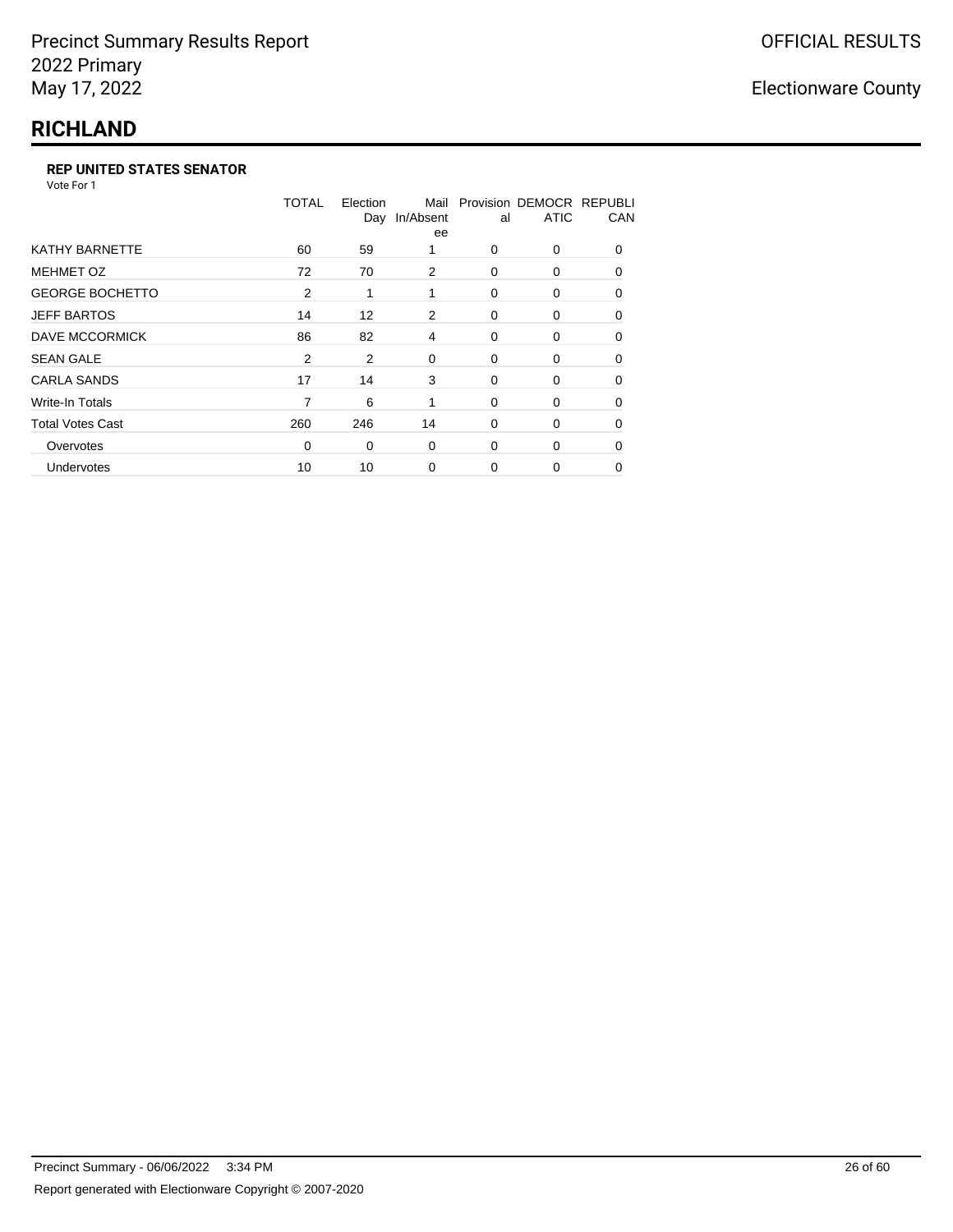## **RICHLAND**

#### **REP UNITED STATES SENATOR**

Vote For 1

|                         | TOTAL | Election<br>Day | Mail<br>In/Absent<br>ee | al          | Provision DEMOCR REPUBLI<br><b>ATIC</b> | CAN      |
|-------------------------|-------|-----------------|-------------------------|-------------|-----------------------------------------|----------|
| KATHY BARNETTE          | 60    | 59              |                         | $\Omega$    | $\Omega$                                | $\Omega$ |
| <b>MEHMET OZ</b>        | 72    | 70              | 2                       | 0           | $\Omega$                                | $\Omega$ |
| <b>GEORGE BOCHETTO</b>  | 2     | 1               | 1                       | $\Omega$    | 0                                       | $\Omega$ |
| <b>JEFF BARTOS</b>      | 14    | 12              | 2                       | $\mathbf 0$ | 0                                       | 0        |
| <b>DAVE MCCORMICK</b>   | 86    | 82              | 4                       | 0           | 0                                       | 0        |
| <b>SEAN GALE</b>        | 2     | 2               | 0                       | 0           | $\Omega$                                | $\Omega$ |
| <b>CARLA SANDS</b>      | 17    | 14              | 3                       | $\mathbf 0$ | 0                                       | 0        |
| <b>Write-In Totals</b>  | 7     | 6               | 1                       | $\mathbf 0$ | 0                                       | 0        |
| <b>Total Votes Cast</b> | 260   | 246             | 14                      | 0           | 0                                       | 0        |
| Overvotes               | 0     | 0               | $\mathbf 0$             | $\Omega$    | $\Omega$                                | 0        |
| Undervotes              | 10    | 10              | $\mathbf 0$             | $\Omega$    | 0                                       | 0        |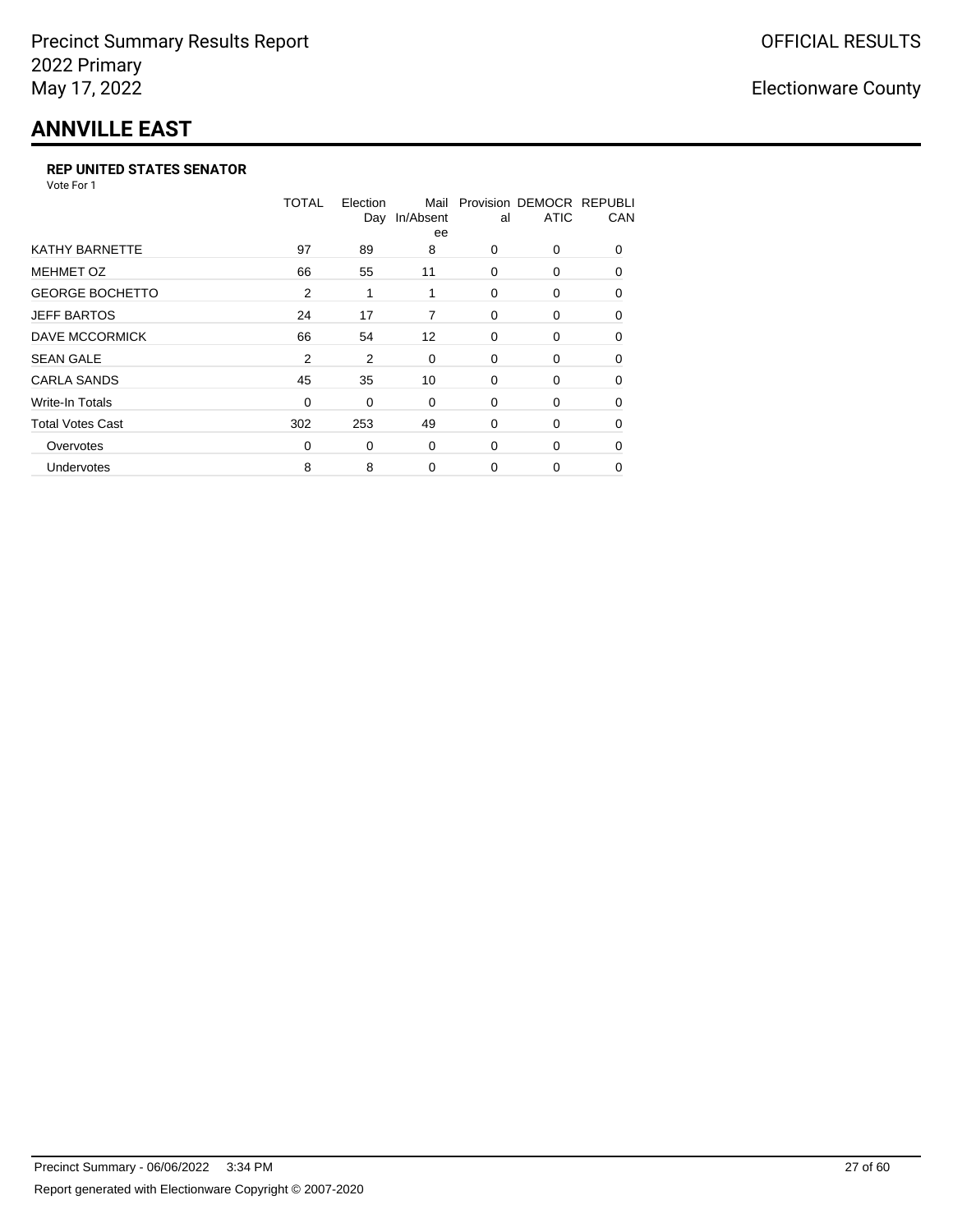## **ANNVILLE EAST**

#### **REP UNITED STATES SENATOR**

Vote For 1

|                         | <b>TOTAL</b> | Election<br>Day | Mail<br>In/Absent<br>ee | al       | Provision DEMOCR REPUBLI<br><b>ATIC</b> | CAN      |
|-------------------------|--------------|-----------------|-------------------------|----------|-----------------------------------------|----------|
| <b>KATHY BARNETTE</b>   | 97           | 89              | 8                       | $\Omega$ | 0                                       | $\Omega$ |
| <b>MEHMET OZ</b>        | 66           | 55              | 11                      | $\Omega$ | 0                                       | $\Omega$ |
| <b>GEORGE BOCHETTO</b>  | 2            | 1               | 1                       | 0        | 0                                       | 0        |
| <b>JEFF BARTOS</b>      | 24           | 17              | 7                       | 0        | 0                                       | $\Omega$ |
| DAVE MCCORMICK          | 66           | 54              | $12 \overline{ }$       | 0        | 0                                       | $\Omega$ |
| <b>SEAN GALE</b>        | 2            | 2               | $\mathbf 0$             | 0        | 0                                       | 0        |
| <b>CARLA SANDS</b>      | 45           | 35              | 10                      | 0        | 0                                       | 0        |
| Write-In Totals         | 0            | 0               | 0                       | 0        | 0                                       | 0        |
| <b>Total Votes Cast</b> | 302          | 253             | 49                      | 0        | 0                                       | $\Omega$ |
| Overvotes               | $\Omega$     | 0               | $\mathbf 0$             | $\Omega$ | 0                                       | $\Omega$ |
| <b>Undervotes</b>       | 8            | 8               | 0                       | $\Omega$ | 0                                       | 0        |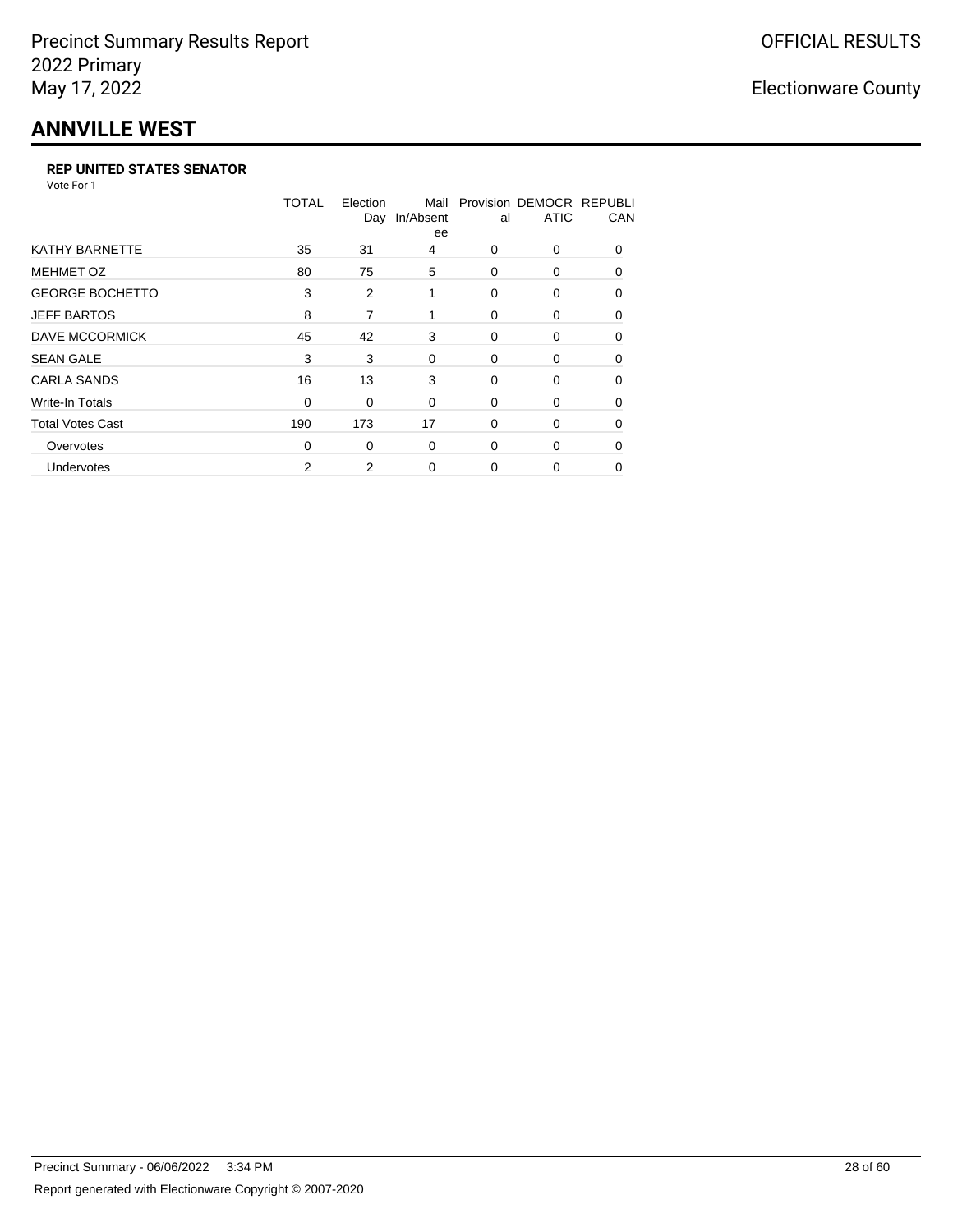## **ANNVILLE WEST**

#### **REP UNITED STATES SENATOR**

Vote For 1

|                         | <b>TOTAL</b> | Election<br>Day | Mail<br>In/Absent<br>ee | al       | Provision DEMOCR REPUBLI<br><b>ATIC</b> | CAN      |
|-------------------------|--------------|-----------------|-------------------------|----------|-----------------------------------------|----------|
| <b>KATHY BARNETTE</b>   | 35           | 31              | 4                       | 0        | 0                                       | $\Omega$ |
| <b>MEHMET OZ</b>        | 80           | 75              | 5                       | $\Omega$ | $\Omega$                                | $\Omega$ |
| <b>GEORGE BOCHETTO</b>  | 3            | 2               | 1                       | 0        | 0                                       | 0        |
| <b>JEFF BARTOS</b>      | 8            | 7               | 1                       | $\Omega$ | $\Omega$                                | 0        |
| <b>DAVE MCCORMICK</b>   | 45           | 42              | 3                       | 0        | 0                                       | $\Omega$ |
| <b>SEAN GALE</b>        | 3            | 3               | 0                       | 0        | $\Omega$                                | $\Omega$ |
| <b>CARLA SANDS</b>      | 16           | 13              | 3                       | 0        | 0                                       | $\Omega$ |
| <b>Write-In Totals</b>  | 0            | 0               | 0                       | 0        | 0                                       | 0        |
| <b>Total Votes Cast</b> | 190          | 173             | 17                      | 0        | $\Omega$                                | $\Omega$ |
| Overvotes               | $\Omega$     | 0               | 0                       | $\Omega$ | $\Omega$                                | $\Omega$ |
| Undervotes              | 2            | 2               | 0                       | $\Omega$ | 0                                       | 0        |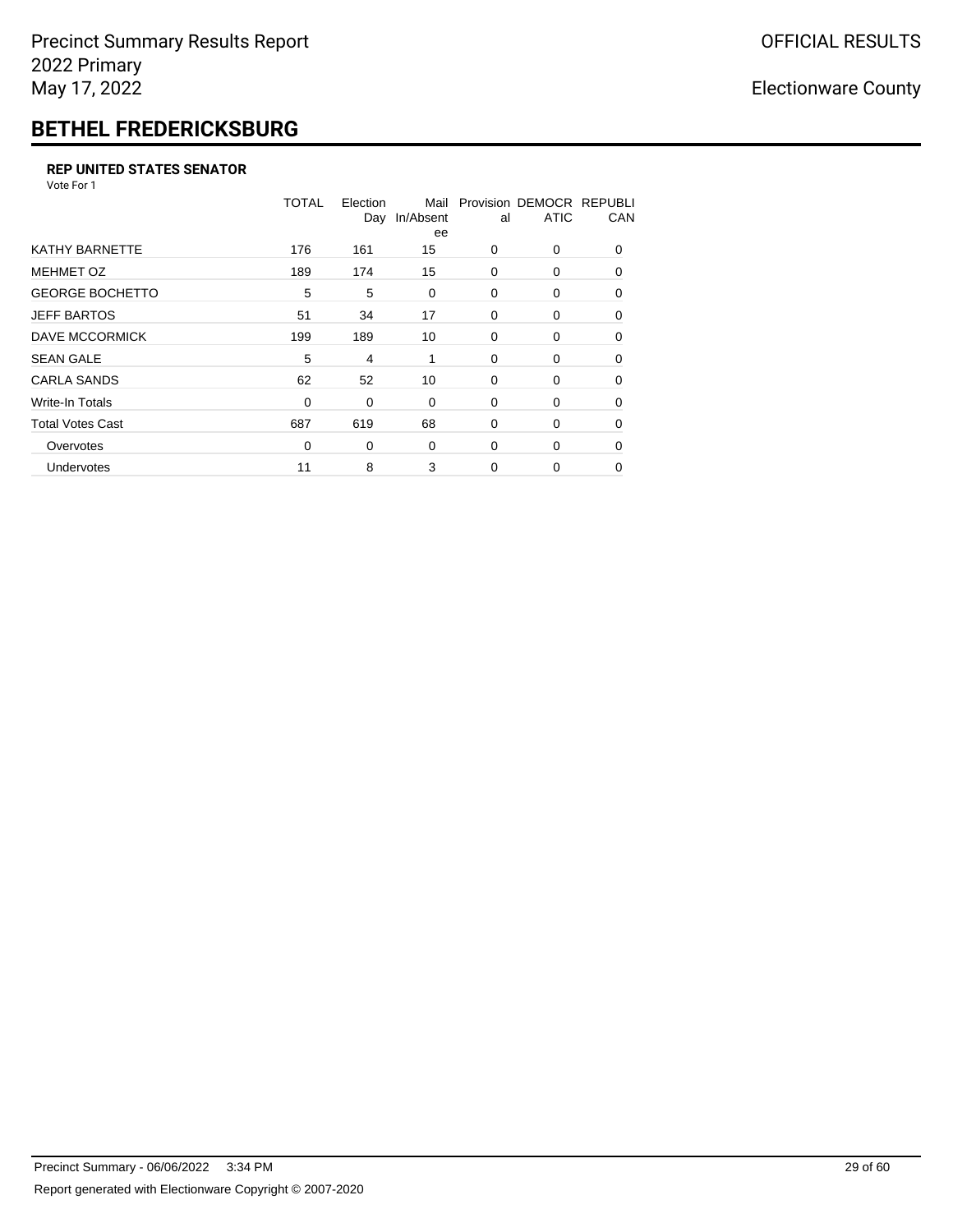# **BETHEL FREDERICKSBURG**

#### **REP UNITED STATES SENATOR**

Vote For 1

| Provision DEMOCR REPUBLI<br>CAN |
|---------------------------------|
| $\Omega$                        |
| $\Omega$                        |
| 0                               |
| 0                               |
| $\Omega$                        |
| 0                               |
| 0                               |
| 0                               |
| $\Omega$                        |
| $\Omega$                        |
| 0                               |
|                                 |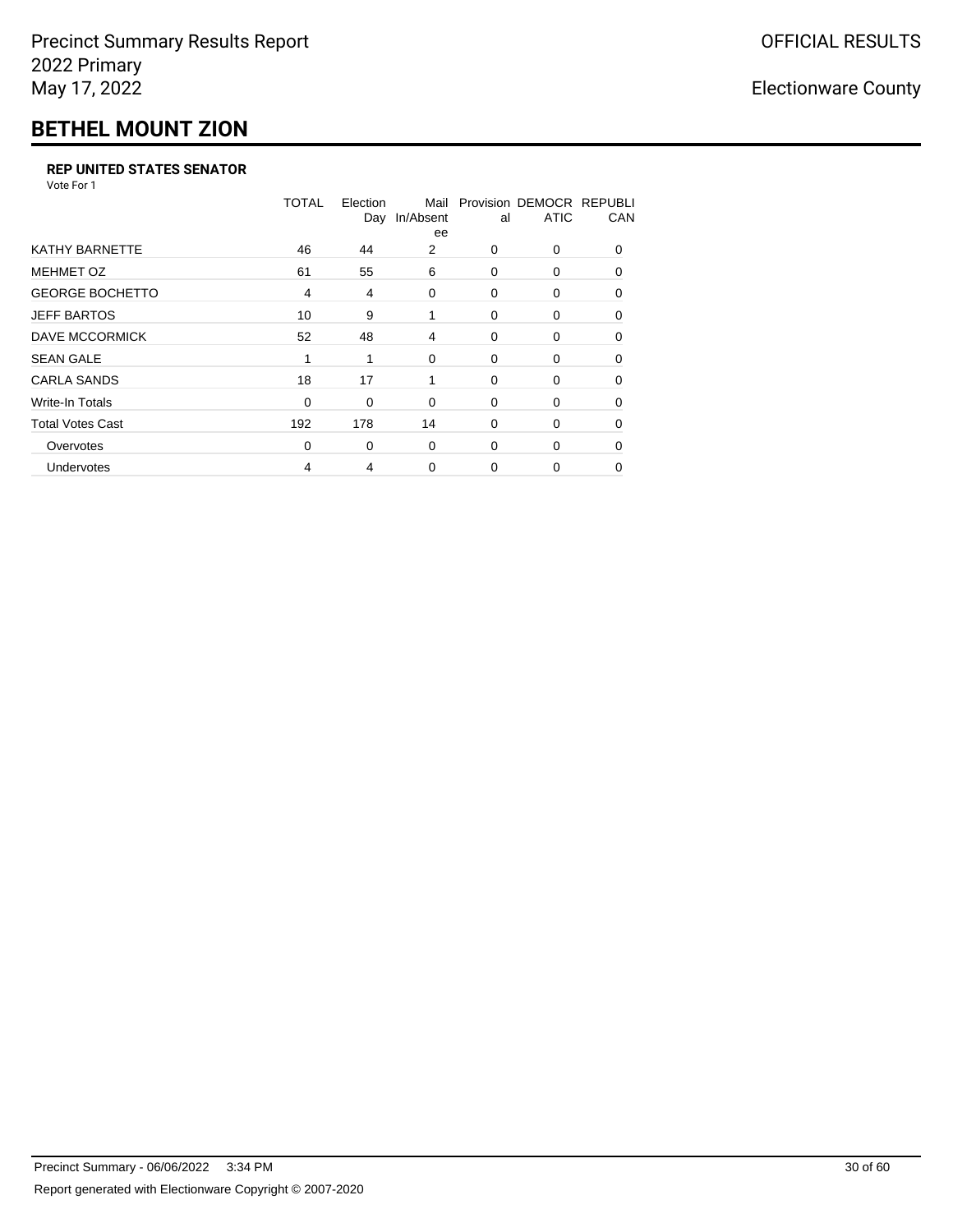## **BETHEL MOUNT ZION**

#### **REP UNITED STATES SENATOR**

Vote For 1

|                         | <b>TOTAL</b>   | Election<br>Day | Mail<br>In/Absent<br>ee | al       | Provision DEMOCR REPUBLI<br><b>ATIC</b> | CAN      |
|-------------------------|----------------|-----------------|-------------------------|----------|-----------------------------------------|----------|
| <b>KATHY BARNETTE</b>   | 46             | 44              | 2                       | 0        | 0                                       | $\Omega$ |
| <b>MEHMET OZ</b>        | 61             | 55              | 6                       | $\Omega$ | $\Omega$                                | $\Omega$ |
| <b>GEORGE BOCHETTO</b>  | $\overline{4}$ | 4               | 0                       | 0        | 0                                       | 0        |
| <b>JEFF BARTOS</b>      | 10             | 9               | 1                       | $\Omega$ | $\Omega$                                | 0        |
| <b>DAVE MCCORMICK</b>   | 52             | 48              | 4                       | 0        | 0                                       | $\Omega$ |
| <b>SEAN GALE</b>        | 1              |                 | $\Omega$                | 0        | $\Omega$                                | $\Omega$ |
| <b>CARLA SANDS</b>      | 18             | 17              | 1                       | 0        | 0                                       | $\Omega$ |
| <b>Write-In Totals</b>  | 0              | 0               | 0                       | 0        | 0                                       | 0        |
| <b>Total Votes Cast</b> | 192            | 178             | 14                      | 0        | 0                                       | $\Omega$ |
| Overvotes               | 0              | 0               | 0                       | $\Omega$ | 0                                       | $\Omega$ |
| Undervotes              | 4              | 4               | 0                       | $\Omega$ | 0                                       | 0        |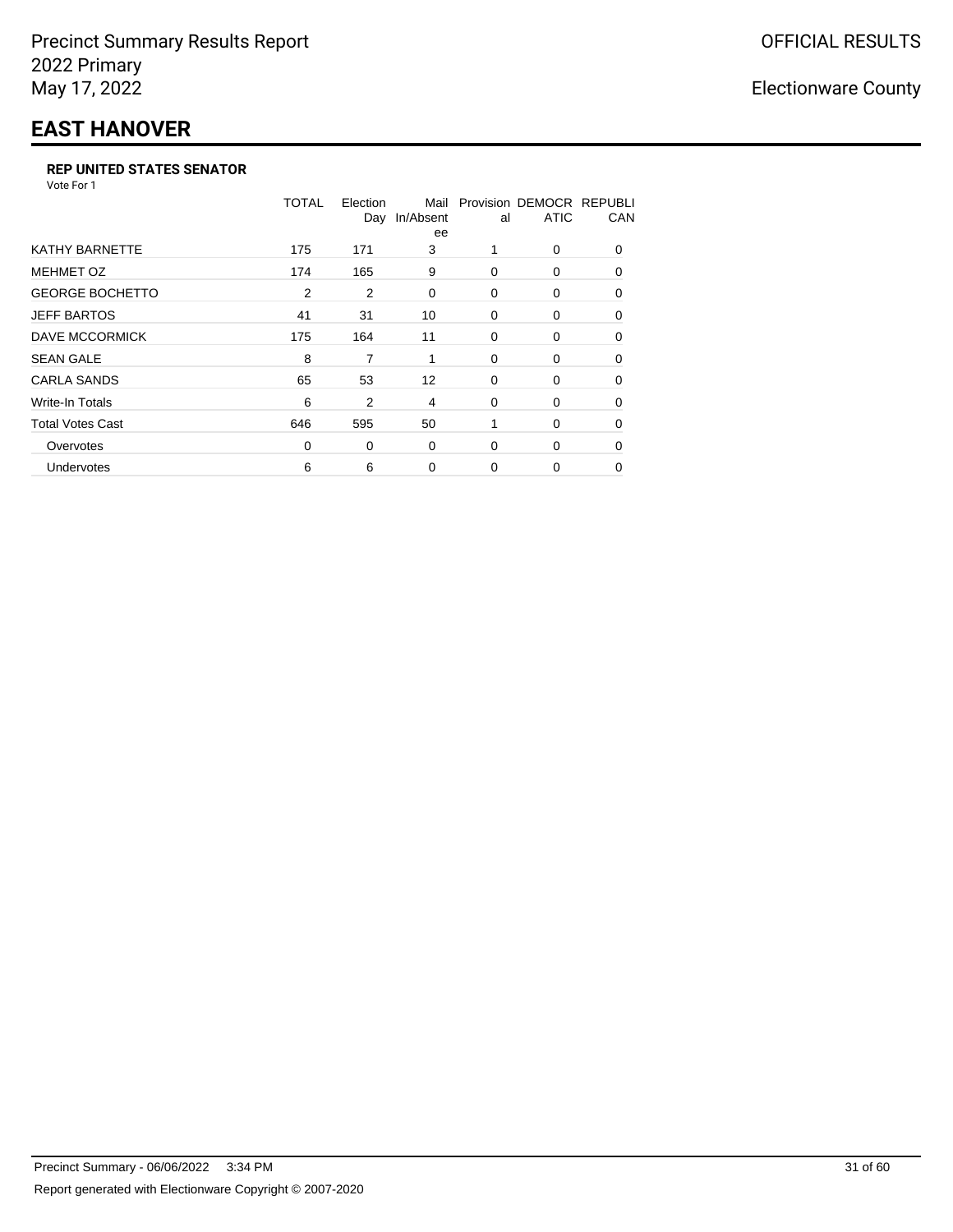## **EAST HANOVER**

#### **REP UNITED STATES SENATOR**

Vote For 1

|                         | TOTAL | Election       | Mail<br>Day In/Absent<br>ee | al       | Provision DEMOCR REPUBLI<br><b>ATIC</b> | CAN      |
|-------------------------|-------|----------------|-----------------------------|----------|-----------------------------------------|----------|
| KATHY BARNETTE          | 175   | 171            | 3                           |          | 0                                       | $\Omega$ |
| <b>MEHMET OZ</b>        | 174   | 165            | 9                           | $\Omega$ | 0                                       | $\Omega$ |
| <b>GEORGE BOCHETTO</b>  | 2     | $\overline{2}$ | 0                           | 0        | 0                                       | 0        |
| <b>JEFF BARTOS</b>      | 41    | 31             | 10                          | 0        | 0                                       | 0        |
| <b>DAVE MCCORMICK</b>   | 175   | 164            | 11                          | 0        | 0                                       | $\Omega$ |
| <b>SEAN GALE</b>        | 8     | 7              | 1                           | 0        | 0                                       | $\Omega$ |
| <b>CARLA SANDS</b>      | 65    | 53             | $12 \overline{ }$           | 0        | 0                                       | 0        |
| <b>Write-In Totals</b>  | 6     | 2              | 4                           | 0        | 0                                       | 0        |
| <b>Total Votes Cast</b> | 646   | 595            | 50                          |          | 0                                       | $\Omega$ |
| Overvotes               | 0     | 0              | 0                           | $\Omega$ | 0                                       | $\Omega$ |
| Undervotes              | 6     | 6              | 0                           | $\Omega$ | 0                                       | $\Omega$ |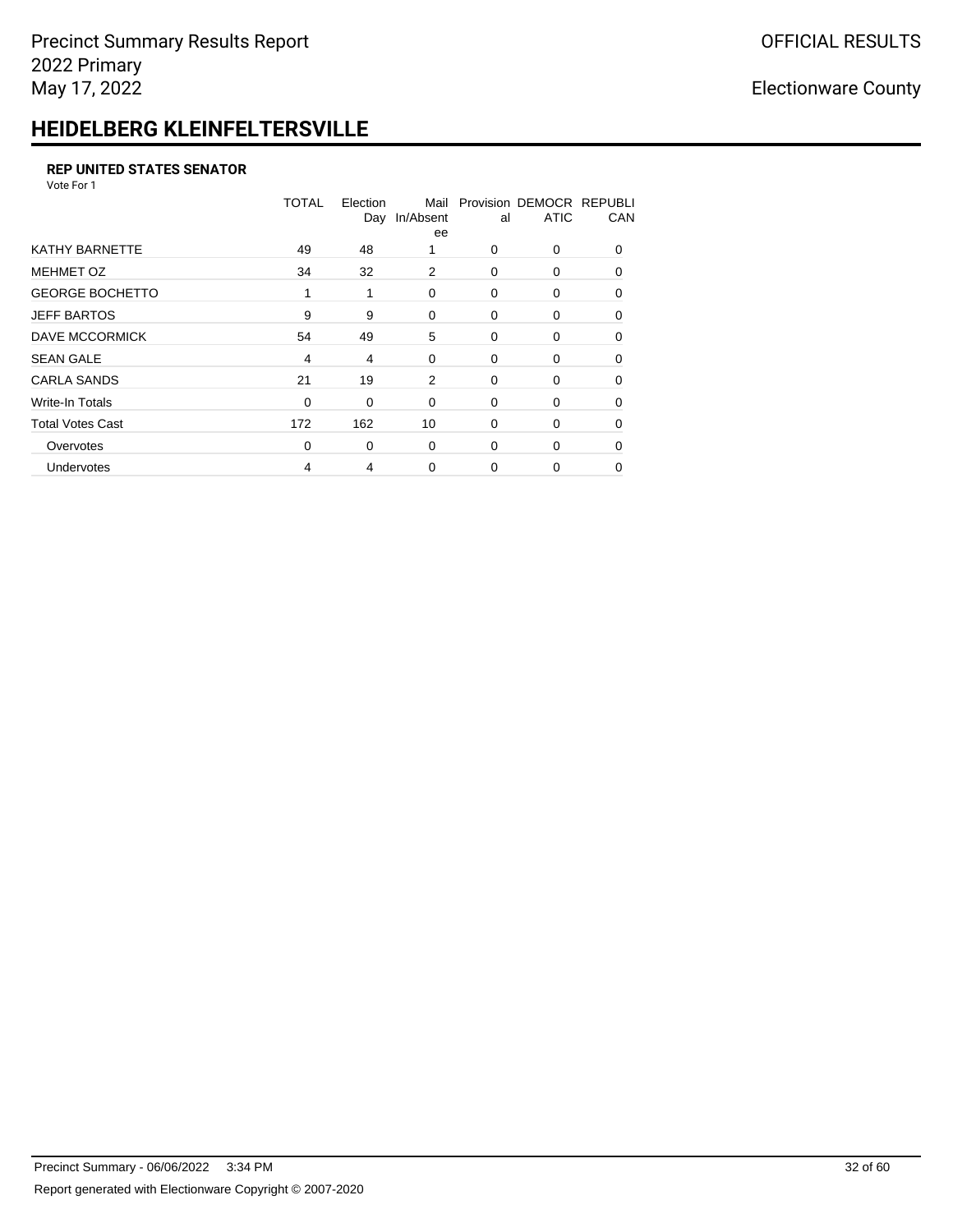## **HEIDELBERG KLEINFELTERSVILLE**

#### **REP UNITED STATES SENATOR**

Vote For 1

|                         | <b>TOTAL</b> | Election<br>Day | Mail<br>In/Absent<br>ee | al       | Provision DEMOCR REPUBLI<br><b>ATIC</b> | CAN      |
|-------------------------|--------------|-----------------|-------------------------|----------|-----------------------------------------|----------|
| <b>KATHY BARNETTE</b>   | 49           | 48              |                         | $\Omega$ | 0                                       | $\Omega$ |
| <b>MEHMET OZ</b>        | 34           | 32              | 2                       | 0        | 0                                       | $\Omega$ |
| <b>GEORGE BOCHETTO</b>  | 1            | 1               | 0                       | 0        | 0                                       | 0        |
| <b>JEFF BARTOS</b>      | 9            | 9               | 0                       | 0        | 0                                       | 0        |
| <b>DAVE MCCORMICK</b>   | 54           | 49              | 5                       | 0        | 0                                       | $\Omega$ |
| <b>SEAN GALE</b>        | 4            | 4               | 0                       | 0        | 0                                       | $\Omega$ |
| <b>CARLA SANDS</b>      | 21           | 19              | 2                       | 0        | 0                                       | $\Omega$ |
| <b>Write-In Totals</b>  | 0            | 0               | 0                       | 0        | 0                                       | 0        |
| <b>Total Votes Cast</b> | 172          | 162             | 10                      | 0        | 0                                       | 0        |
| Overvotes               | 0            | 0               | 0                       | 0        | 0                                       | $\Omega$ |
| Undervotes              | 4            | 4               | 0                       | $\Omega$ | 0                                       | 0        |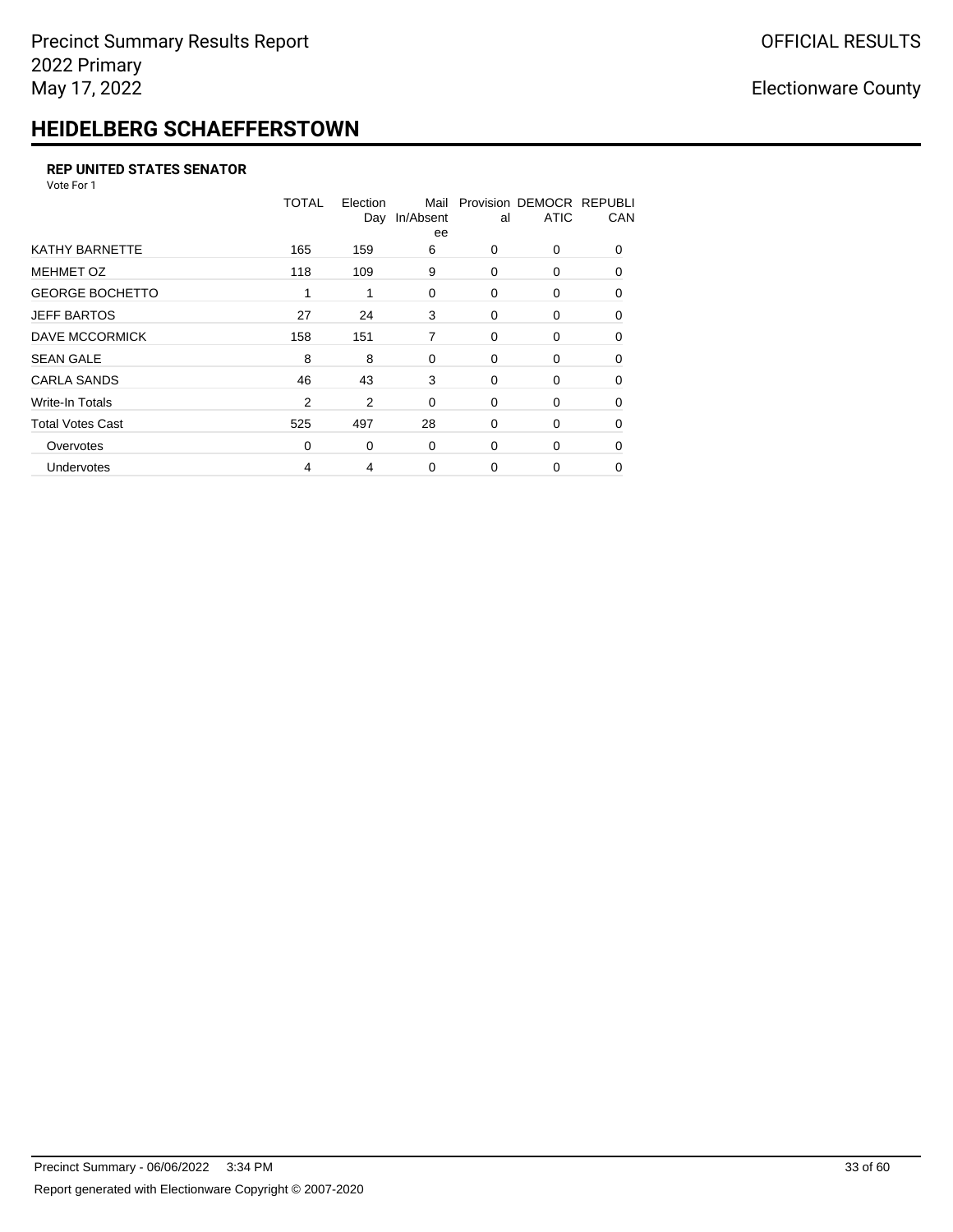## **HEIDELBERG SCHAEFFERSTOWN**

#### **REP UNITED STATES SENATOR**

Vote For 1

|                         | <b>TOTAL</b>   | Election | Mail<br>Day In/Absent<br>ee | al | Provision DEMOCR REPUBLI<br><b>ATIC</b> | CAN      |
|-------------------------|----------------|----------|-----------------------------|----|-----------------------------------------|----------|
| <b>KATHY BARNETTE</b>   | 165            | 159      | 6                           | 0  | 0                                       | $\Omega$ |
| <b>MEHMET OZ</b>        | 118            | 109      | 9                           | 0  | 0                                       | $\Omega$ |
| <b>GEORGE BOCHETTO</b>  | 1              | 1        | 0                           | 0  | 0                                       | $\Omega$ |
| <b>JEFF BARTOS</b>      | 27             | 24       | 3                           | 0  | 0                                       | 0        |
| DAVE MCCORMICK          | 158            | 151      | 7                           | 0  | 0                                       | $\Omega$ |
| <b>SEAN GALE</b>        | 8              | 8        | 0                           | 0  | 0                                       | $\Omega$ |
| <b>CARLA SANDS</b>      | 46             | 43       | 3                           | 0  | 0                                       | $\Omega$ |
| Write-In Totals         | $\overline{2}$ | 2        | 0                           | 0  | 0                                       | 0        |
| <b>Total Votes Cast</b> | 525            | 497      | 28                          | 0  | 0                                       | 0        |
| Overvotes               | 0              | 0        | 0                           | 0  | 0                                       | $\Omega$ |
| Undervotes              | 4              | 4        | $\Omega$                    | 0  | 0                                       | 0        |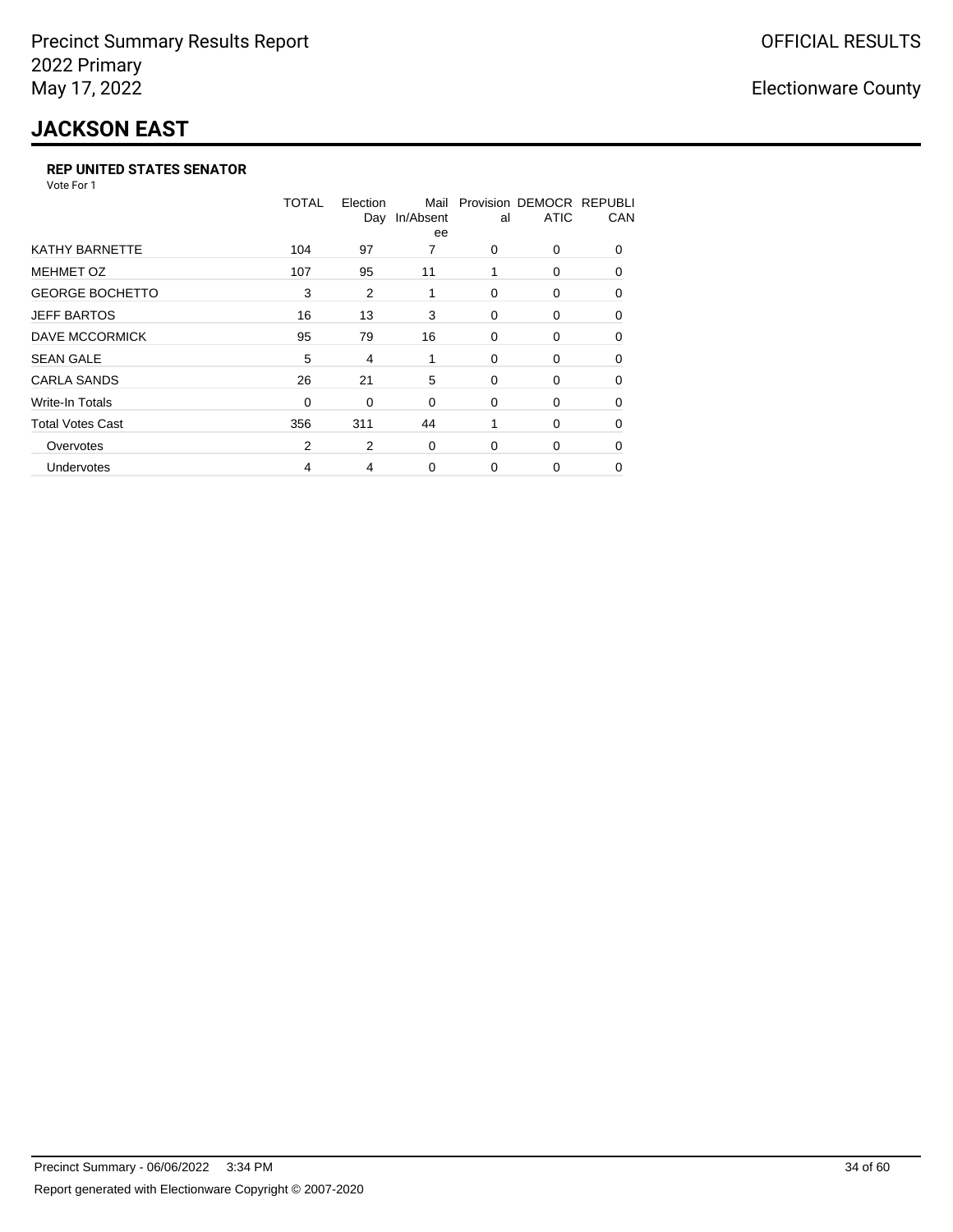## **JACKSON EAST**

#### **REP UNITED STATES SENATOR**

Vote For 1

|                         | <b>TOTAL</b> | Election<br>Day | Mail<br>In/Absent<br>ee | al       | Provision DEMOCR REPUBLI<br><b>ATIC</b> | CAN      |
|-------------------------|--------------|-----------------|-------------------------|----------|-----------------------------------------|----------|
| <b>KATHY BARNETTE</b>   | 104          | 97              | 7                       | 0        | 0                                       | $\Omega$ |
| <b>MEHMET OZ</b>        | 107          | 95              | 11                      | 1        | 0                                       | $\Omega$ |
| <b>GEORGE BOCHETTO</b>  | 3            | 2               | 1                       | $\Omega$ | 0                                       | $\Omega$ |
| <b>JEFF BARTOS</b>      | 16           | 13              | 3                       | 0        | 0                                       | 0        |
| DAVE MCCORMICK          | 95           | 79              | 16                      | 0        | 0                                       | 0        |
| <b>SEAN GALE</b>        | 5            | 4               | 1                       | 0        | 0                                       | 0        |
| <b>CARLA SANDS</b>      | 26           | 21              | 5                       | 0        | 0                                       | 0        |
| Write-In Totals         | 0            | 0               | 0                       | 0        | 0                                       | 0        |
| <b>Total Votes Cast</b> | 356          | 311             | 44                      |          | 0                                       | $\Omega$ |
| Overvotes               | 2            | 2               | $\Omega$                | 0        | 0                                       | $\Omega$ |
| Undervotes              | 4            | 4               | 0                       | $\Omega$ | 0                                       | 0        |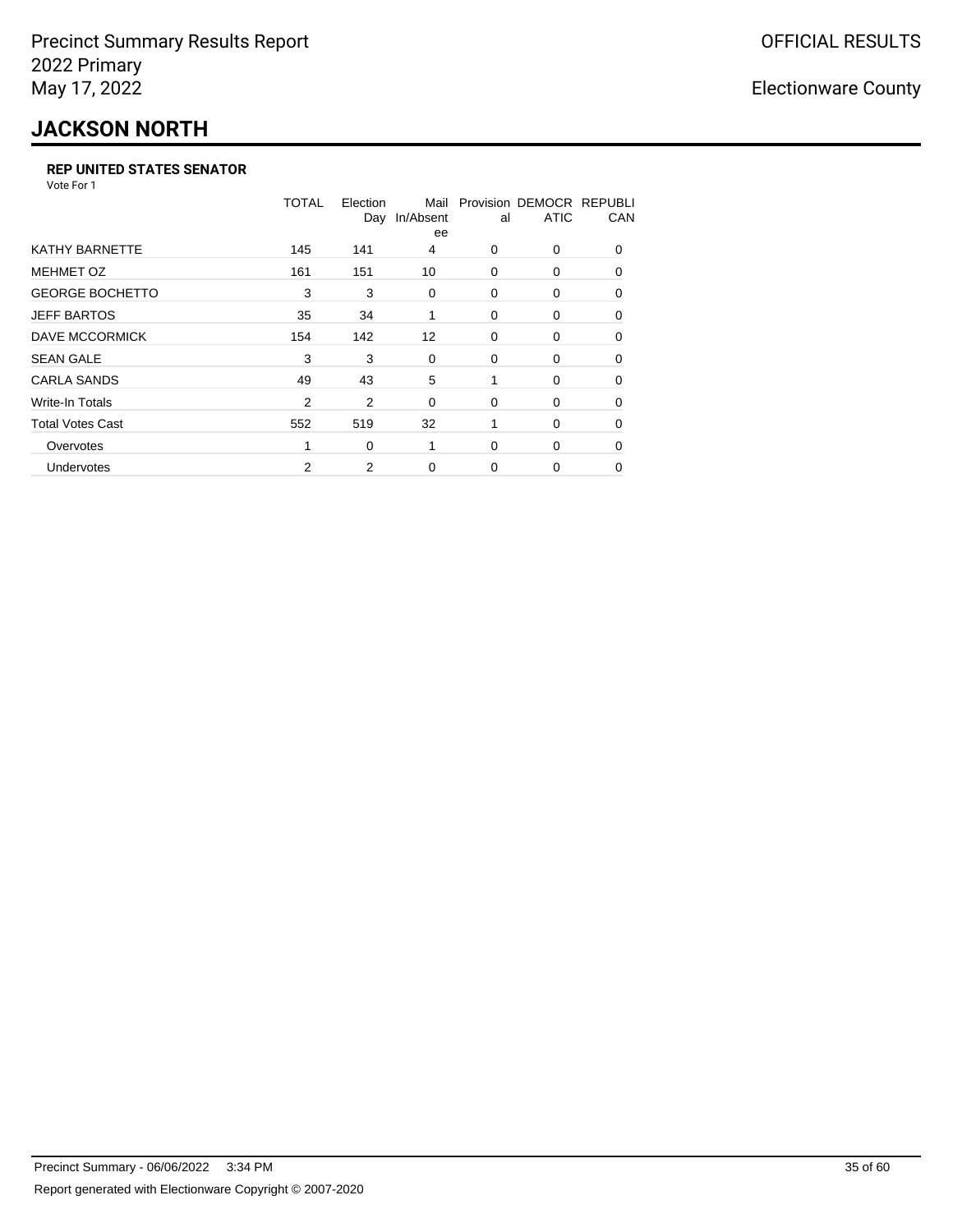# **JACKSON NORTH**

#### **REP UNITED STATES SENATOR**

Vote For 1

|                         | TOTAL          | Election<br>Day | Mail<br>In/Absent<br>ee | al       | Provision DEMOCR REPUBLI<br><b>ATIC</b> | CAN      |
|-------------------------|----------------|-----------------|-------------------------|----------|-----------------------------------------|----------|
| <b>KATHY BARNETTE</b>   | 145            | 141             | 4                       | $\Omega$ | 0                                       | $\Omega$ |
| <b>MEHMET OZ</b>        | 161            | 151             | 10                      | 0        | 0                                       | $\Omega$ |
| <b>GEORGE BOCHETTO</b>  | 3              | 3               | 0                       | 0        | 0                                       | 0        |
| <b>JEFF BARTOS</b>      | 35             | 34              | 1                       | 0        | 0                                       | 0        |
| DAVE MCCORMICK          | 154            | 142             | $12 \overline{ }$       | 0        | 0                                       | $\Omega$ |
| <b>SEAN GALE</b>        | 3              | 3               | 0                       | 0        | 0                                       | $\Omega$ |
| <b>CARLA SANDS</b>      | 49             | 43              | 5                       | 1        | 0                                       | 0        |
| Write-In Totals         | $\overline{2}$ | 2               | 0                       | 0        | 0                                       | 0        |
| <b>Total Votes Cast</b> | 552            | 519             | 32                      |          | 0                                       | $\Omega$ |
| Overvotes               | 1              | 0               | 1                       | $\Omega$ | 0                                       | $\Omega$ |
| Undervotes              | 2              | 2               | $\Omega$                | $\Omega$ | 0                                       | $\Omega$ |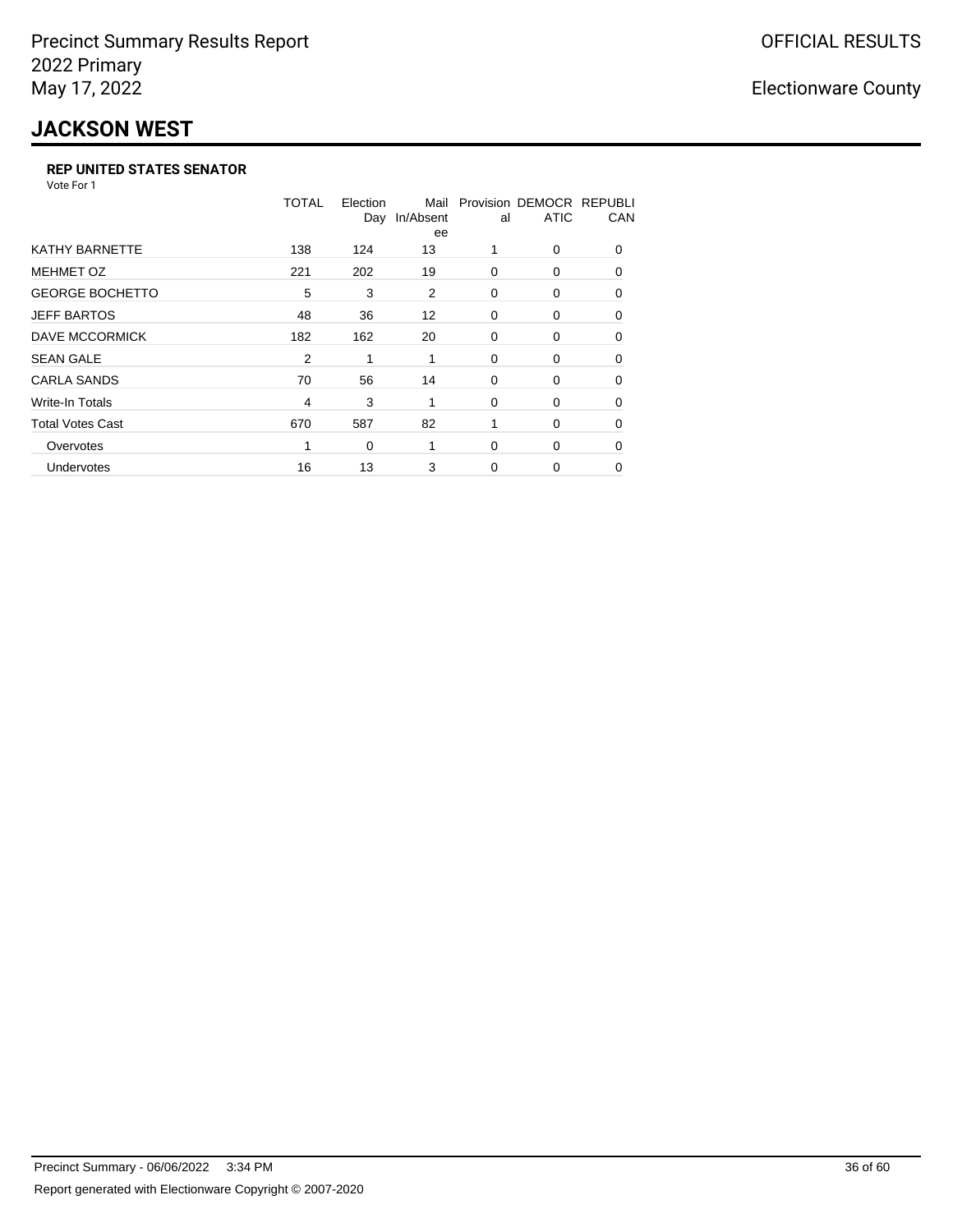## **JACKSON WEST**

#### **REP UNITED STATES SENATOR**

Vote For 1

|                         | TOTAL | Election<br>Day | Mail<br>In/Absent<br>ee | al       | Provision DEMOCR REPUBLI<br><b>ATIC</b> | CAN      |
|-------------------------|-------|-----------------|-------------------------|----------|-----------------------------------------|----------|
| <b>KATHY BARNETTE</b>   | 138   | 124             | 13                      |          | 0                                       | $\Omega$ |
| <b>MEHMET OZ</b>        | 221   | 202             | 19                      | $\Omega$ | $\Omega$                                | $\Omega$ |
| <b>GEORGE BOCHETTO</b>  | 5     | 3               | 2                       | 0        | 0                                       | 0        |
| <b>JEFF BARTOS</b>      | 48    | 36              | $12 \overline{ }$       | 0        | 0                                       | 0        |
| <b>DAVE MCCORMICK</b>   | 182   | 162             | 20                      | 0        | 0                                       | $\Omega$ |
| <b>SEAN GALE</b>        | 2     |                 | 1                       | 0        | 0                                       | 0        |
| <b>CARLA SANDS</b>      | 70    | 56              | 14                      | 0        | 0                                       | 0        |
| <b>Write-In Totals</b>  | 4     | 3               | 1                       | 0        | 0                                       | 0        |
| <b>Total Votes Cast</b> | 670   | 587             | 82                      | 1        | 0                                       | $\Omega$ |
| Overvotes               | 1     | 0               | 1                       | $\Omega$ | 0                                       | $\Omega$ |
| Undervotes              | 16    | 13              | 3                       | $\Omega$ | 0                                       | 0        |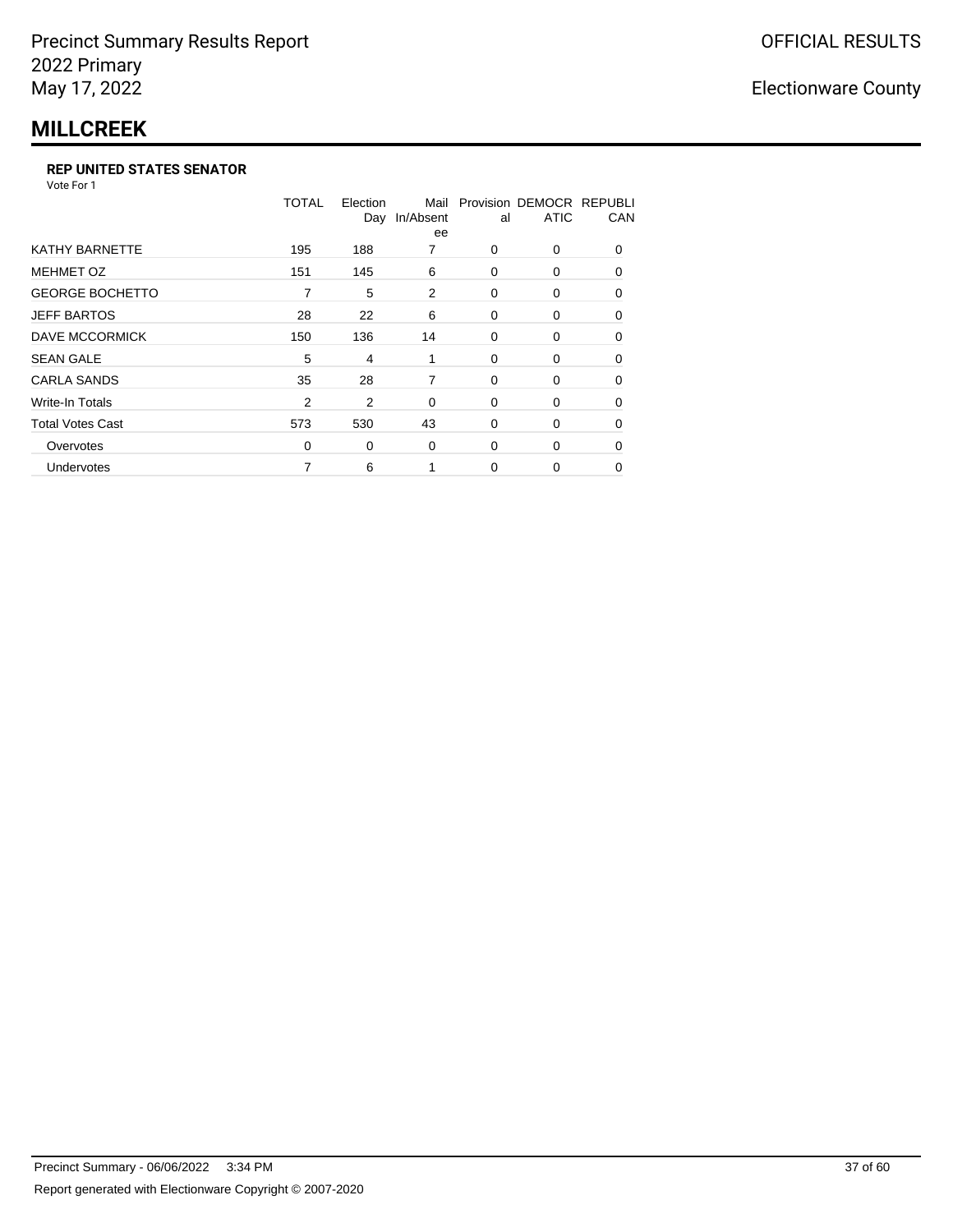### **MILLCREEK**

#### **REP UNITED STATES SENATOR**

Vote For 1

|                         | TOTAL          | Election<br>Day | Mail<br>In/Absent<br>ee | al       | Provision DEMOCR REPUBLI<br><b>ATIC</b> | CAN      |
|-------------------------|----------------|-----------------|-------------------------|----------|-----------------------------------------|----------|
| <b>KATHY BARNETTE</b>   | 195            | 188             | 7                       | 0        | 0                                       | $\Omega$ |
| <b>MEHMET OZ</b>        | 151            | 145             | 6                       | $\Omega$ | 0                                       | $\Omega$ |
| <b>GEORGE BOCHETTO</b>  | 7              | 5               | 2                       | 0        | 0                                       | $\Omega$ |
| <b>JEFF BARTOS</b>      | 28             | 22              | 6                       | 0        | 0                                       | 0        |
| DAVE MCCORMICK          | 150            | 136             | 14                      | 0        | 0                                       | 0        |
| <b>SEAN GALE</b>        | 5              | 4               | 1                       | 0        | 0                                       | $\Omega$ |
| <b>CARLA SANDS</b>      | 35             | 28              | 7                       | 0        | 0                                       | $\Omega$ |
| Write-In Totals         | $\overline{2}$ | 2               | 0                       | 0        | 0                                       | 0        |
| <b>Total Votes Cast</b> | 573            | 530             | 43                      | 0        | 0                                       | 0        |
| Overvotes               | 0              | 0               | 0                       | 0        | 0                                       | $\Omega$ |
| Undervotes              | 7              | 6               |                         | 0        | 0                                       | 0        |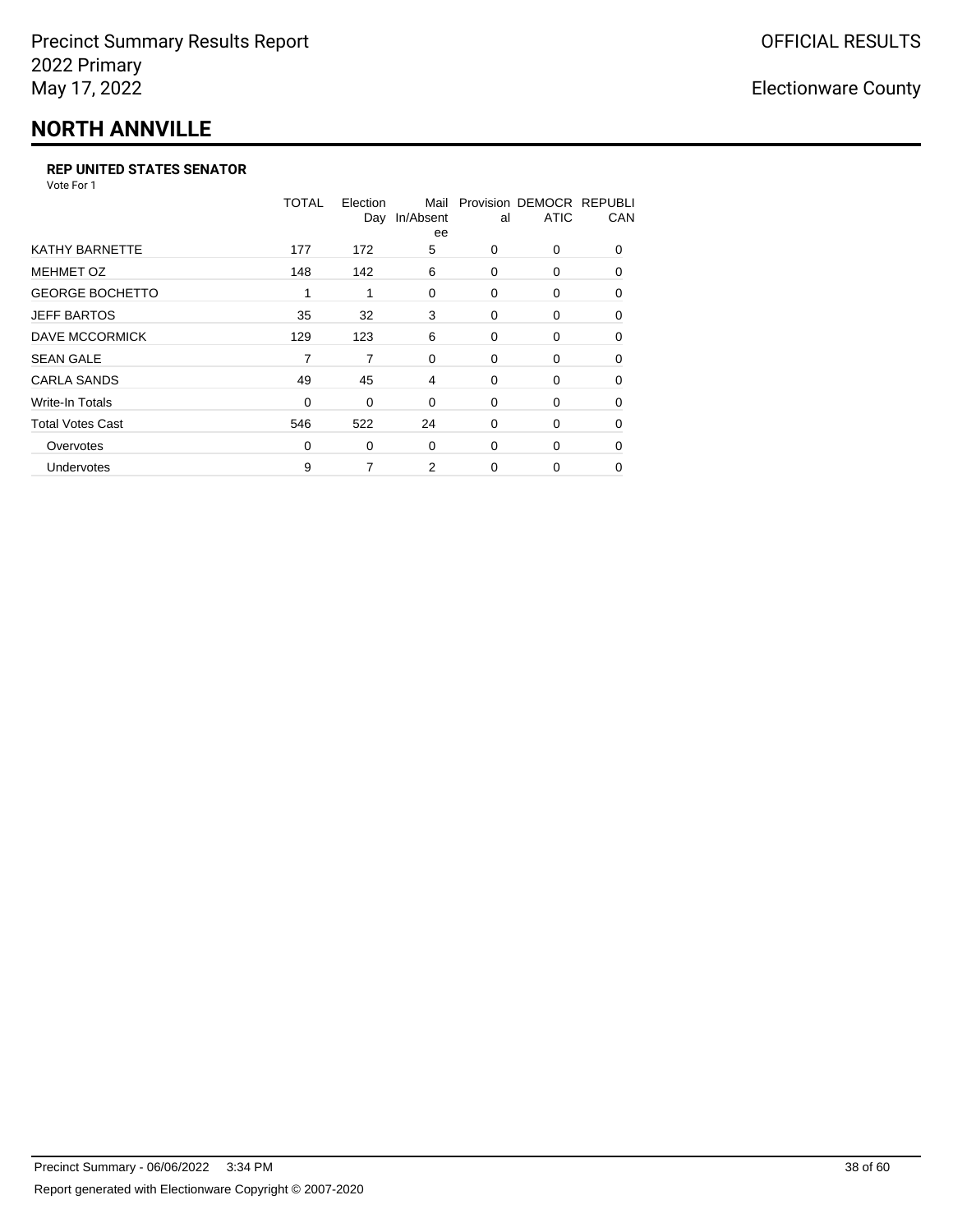# **NORTH ANNVILLE**

#### **REP UNITED STATES SENATOR**

Vote For 1

|                         | TOTAL | Election<br>Day | Mail<br>In/Absent<br>ee | al       | Provision DEMOCR REPUBLI<br><b>ATIC</b> | CAN      |
|-------------------------|-------|-----------------|-------------------------|----------|-----------------------------------------|----------|
| <b>KATHY BARNETTE</b>   | 177   | 172             | 5                       | 0        | 0                                       | $\Omega$ |
| <b>MEHMET OZ</b>        | 148   | 142             | 6                       | $\Omega$ | $\Omega$                                | $\Omega$ |
| <b>GEORGE BOCHETTO</b>  | 1     | 1               | 0                       | 0        | 0                                       | 0        |
| <b>JEFF BARTOS</b>      | 35    | 32              | 3                       | 0        | 0                                       | 0        |
| <b>DAVE MCCORMICK</b>   | 129   | 123             | 6                       | 0        | 0                                       | $\Omega$ |
| <b>SEAN GALE</b>        | 7     | 7               | 0                       | 0        | 0                                       | $\Omega$ |
| <b>CARLA SANDS</b>      | 49    | 45              | 4                       | 0        | 0                                       | 0        |
| <b>Write-In Totals</b>  | 0     | 0               | 0                       | 0        | 0                                       | 0        |
| <b>Total Votes Cast</b> | 546   | 522             | 24                      | 0        | 0                                       | $\Omega$ |
| Overvotes               | 0     | 0               | 0                       | $\Omega$ | 0                                       | $\Omega$ |
| Undervotes              | 9     | 7               | 2                       | $\Omega$ | 0                                       | $\Omega$ |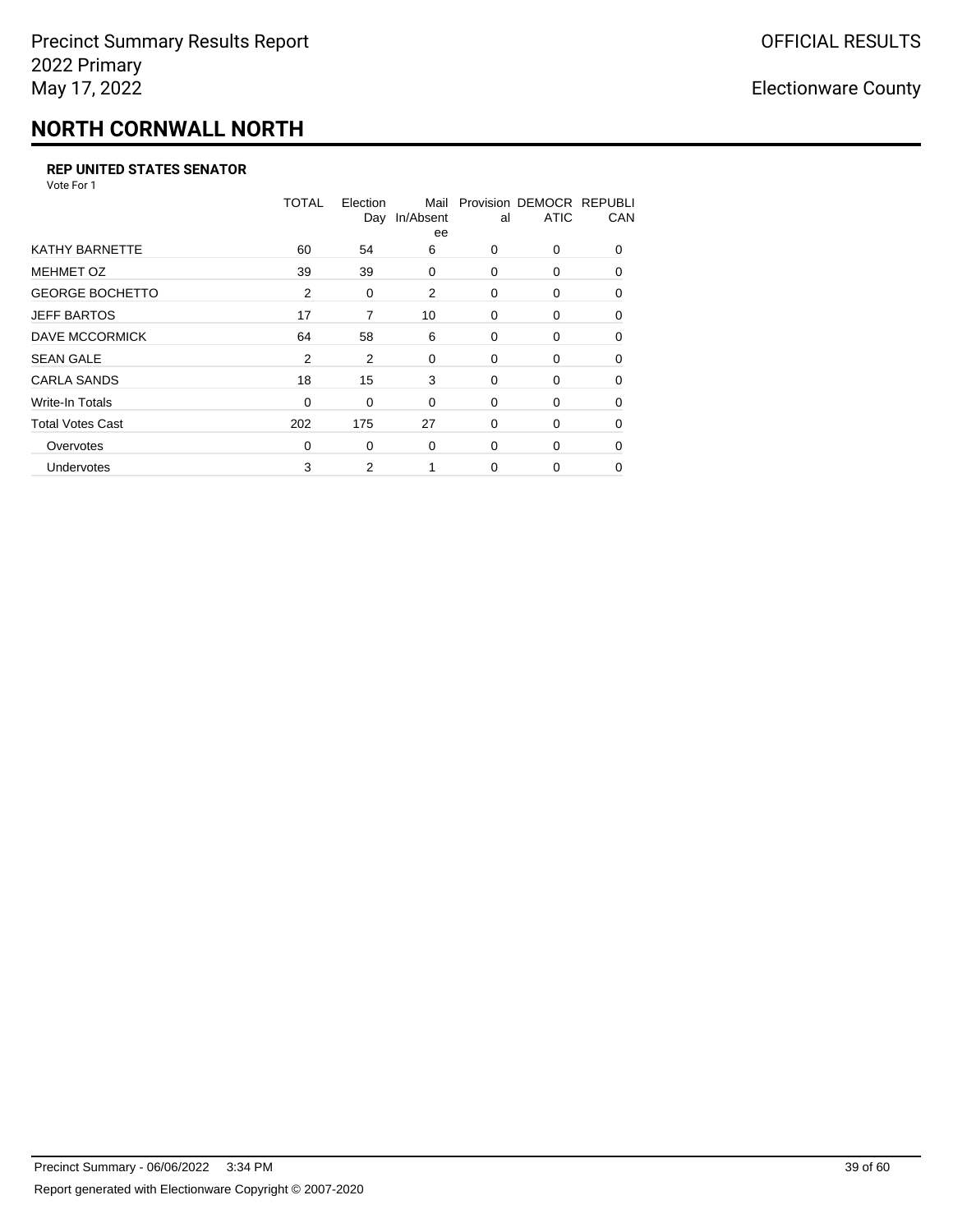## **NORTH CORNWALL NORTH**

#### **REP UNITED STATES SENATOR**

Vote For 1

|                         | <b>TOTAL</b> | Election<br>Day | Mail<br>In/Absent<br>ee | al       | Provision DEMOCR REPUBLI<br><b>ATIC</b> | CAN      |
|-------------------------|--------------|-----------------|-------------------------|----------|-----------------------------------------|----------|
| <b>KATHY BARNETTE</b>   | 60           | 54              | 6                       | 0        | 0                                       | $\Omega$ |
| <b>MEHMET OZ</b>        | 39           | 39              | 0                       | $\Omega$ | $\Omega$                                | $\Omega$ |
| <b>GEORGE BOCHETTO</b>  | 2            | 0               | 2                       | 0        | 0                                       | 0        |
| <b>JEFF BARTOS</b>      | 17           | 7               | 10                      | 0        | 0                                       | 0        |
| <b>DAVE MCCORMICK</b>   | 64           | 58              | 6                       | 0        | 0                                       | $\Omega$ |
| <b>SEAN GALE</b>        | 2            | 2               | 0                       | 0        | $\Omega$                                | 0        |
| <b>CARLA SANDS</b>      | 18           | 15              | 3                       | 0        | 0                                       | $\Omega$ |
| <b>Write-In Totals</b>  | 0            | 0               | 0                       | 0        | 0                                       | 0        |
| <b>Total Votes Cast</b> | 202          | 175             | 27                      | 0        | 0                                       | $\Omega$ |
| Overvotes               | 0            | 0               | 0                       | $\Omega$ | $\Omega$                                | $\Omega$ |
| Undervotes              | 3            | 2               |                         | $\Omega$ | $\Omega$                                | 0        |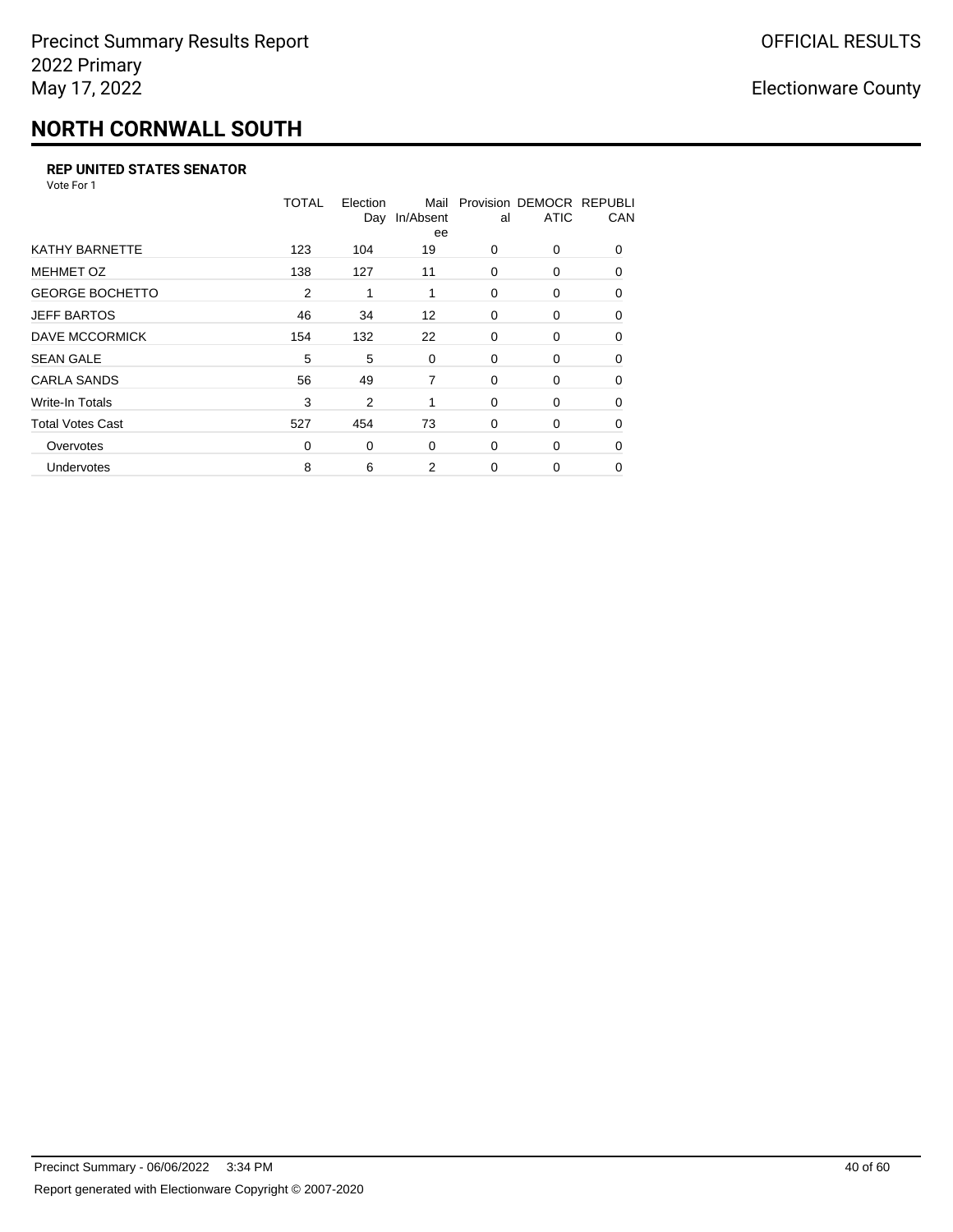## **NORTH CORNWALL SOUTH**

#### **REP UNITED STATES SENATOR**

Vote For 1

|                         | <b>TOTAL</b> | Election<br>Day | Mail<br>In/Absent<br>ee | al       | Provision DEMOCR REPUBLI<br><b>ATIC</b> | CAN      |
|-------------------------|--------------|-----------------|-------------------------|----------|-----------------------------------------|----------|
| <b>KATHY BARNETTE</b>   | 123          | 104             | 19                      | $\Omega$ | 0                                       | $\Omega$ |
| <b>MEHMET OZ</b>        | 138          | 127             | 11                      | $\Omega$ | 0                                       | $\Omega$ |
| <b>GEORGE BOCHETTO</b>  | 2            | 1               | 1                       | $\Omega$ | 0                                       | $\Omega$ |
| <b>JEFF BARTOS</b>      | 46           | 34              | 12                      | 0        | 0                                       | 0        |
| DAVE MCCORMICK          | 154          | 132             | 22                      | 0        | 0                                       | $\Omega$ |
| <b>SEAN GALE</b>        | 5            | 5               | 0                       | 0        | 0                                       | $\Omega$ |
| <b>CARLA SANDS</b>      | 56           | 49              | 7                       | $\Omega$ | 0                                       | 0        |
| Write-In Totals         | 3            | 2               | 1                       | 0        | 0                                       | 0        |
| <b>Total Votes Cast</b> | 527          | 454             | 73                      | 0        | 0                                       | $\Omega$ |
| Overvotes               | 0            | 0               | 0                       | $\Omega$ | 0                                       | $\Omega$ |
| Undervotes              | 8            | 6               | 2                       | 0        | 0                                       | 0        |
|                         |              |                 |                         |          |                                         |          |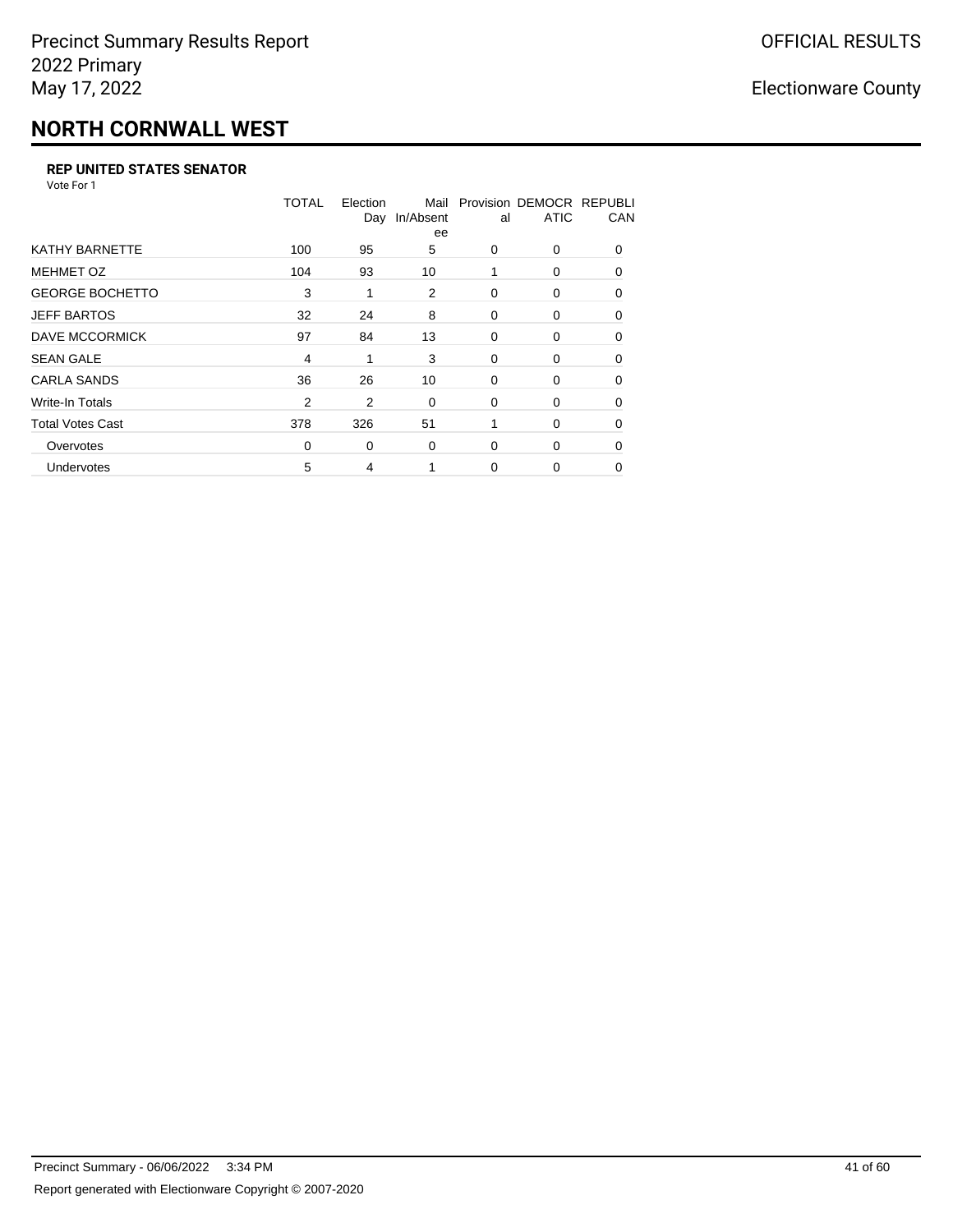## **NORTH CORNWALL WEST**

#### **REP UNITED STATES SENATOR**

Vote For 1

|                         | <b>TOTAL</b>   | Election<br>Day | Mail<br>In/Absent<br>ee | al       | Provision DEMOCR REPUBLI<br><b>ATIC</b> | CAN      |
|-------------------------|----------------|-----------------|-------------------------|----------|-----------------------------------------|----------|
| <b>KATHY BARNETTE</b>   | 100            | 95              | 5                       | 0        | 0                                       | $\Omega$ |
| <b>MEHMET OZ</b>        | 104            | 93              | 10                      | 1        | 0                                       | $\Omega$ |
| <b>GEORGE BOCHETTO</b>  | 3              | 1               | 2                       | 0        | 0                                       | $\Omega$ |
| <b>JEFF BARTOS</b>      | 32             | 24              | 8                       | 0        | 0                                       | $\Omega$ |
| DAVE MCCORMICK          | 97             | 84              | 13                      | 0        | 0                                       | $\Omega$ |
| <b>SEAN GALE</b>        | 4              | 1               | 3                       | 0        | 0                                       | 0        |
| <b>CARLA SANDS</b>      | 36             | 26              | 10                      | 0        | 0                                       | 0        |
| Write-In Totals         | $\overline{2}$ | 2               | 0                       | 0        | 0                                       | 0        |
| <b>Total Votes Cast</b> | 378            | 326             | 51                      | 1        | 0                                       | $\Omega$ |
| Overvotes               | $\Omega$       | 0               | 0                       | $\Omega$ | 0                                       | $\Omega$ |
| <b>Undervotes</b>       | 5              | 4               |                         | $\Omega$ | 0                                       | 0        |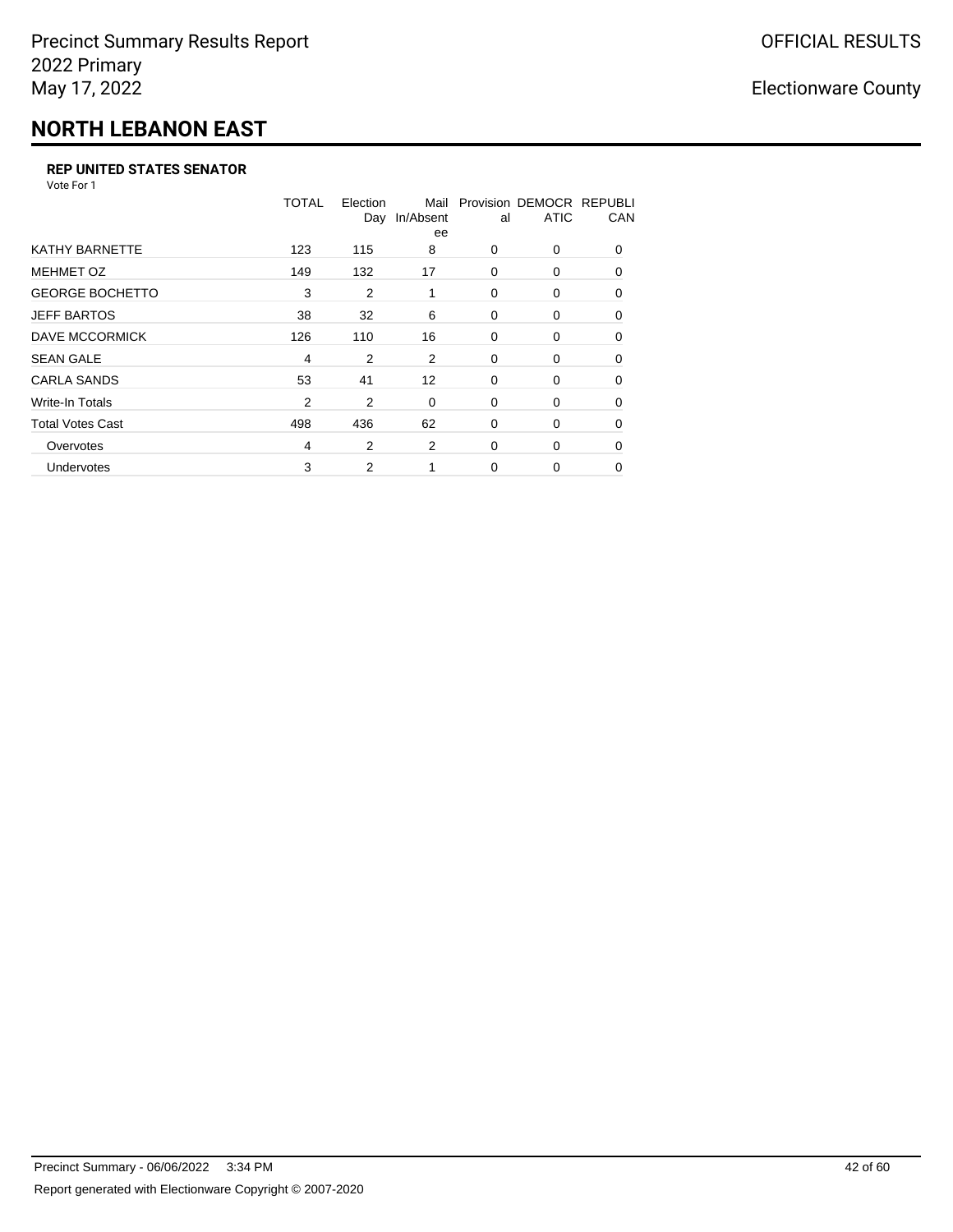# **NORTH LEBANON EAST**

#### **REP UNITED STATES SENATOR**

Vote For 1

|                         | TOTAL          | Election<br>Day | Mail<br>In/Absent<br>ee | al       | Provision DEMOCR REPUBLI<br><b>ATIC</b> | CAN      |
|-------------------------|----------------|-----------------|-------------------------|----------|-----------------------------------------|----------|
| <b>KATHY BARNETTE</b>   | 123            | 115             | 8                       | $\Omega$ | 0                                       | $\Omega$ |
| <b>MEHMET OZ</b>        | 149            | 132             | 17                      | 0        | 0                                       | $\Omega$ |
| <b>GEORGE BOCHETTO</b>  | 3              | $\overline{2}$  | 1                       | 0        | 0                                       | 0        |
| <b>JEFF BARTOS</b>      | 38             | 32              | 6                       | 0        | 0                                       | 0        |
| DAVE MCCORMICK          | 126            | 110             | 16                      | 0        | 0                                       | $\Omega$ |
| <b>SEAN GALE</b>        | $\overline{4}$ | 2               | 2                       | 0        | 0                                       | $\Omega$ |
| <b>CARLA SANDS</b>      | 53             | 41              | 12                      | 0        | 0                                       | 0        |
| Write-In Totals         | $\overline{2}$ | 2               | 0                       | 0        | 0                                       | 0        |
| <b>Total Votes Cast</b> | 498            | 436             | 62                      | 0        | 0                                       | $\Omega$ |
| Overvotes               | $\overline{4}$ | 2               | 2                       | $\Omega$ | 0                                       | $\Omega$ |
| Undervotes              | 3              | 2               |                         | $\Omega$ | 0                                       | $\Omega$ |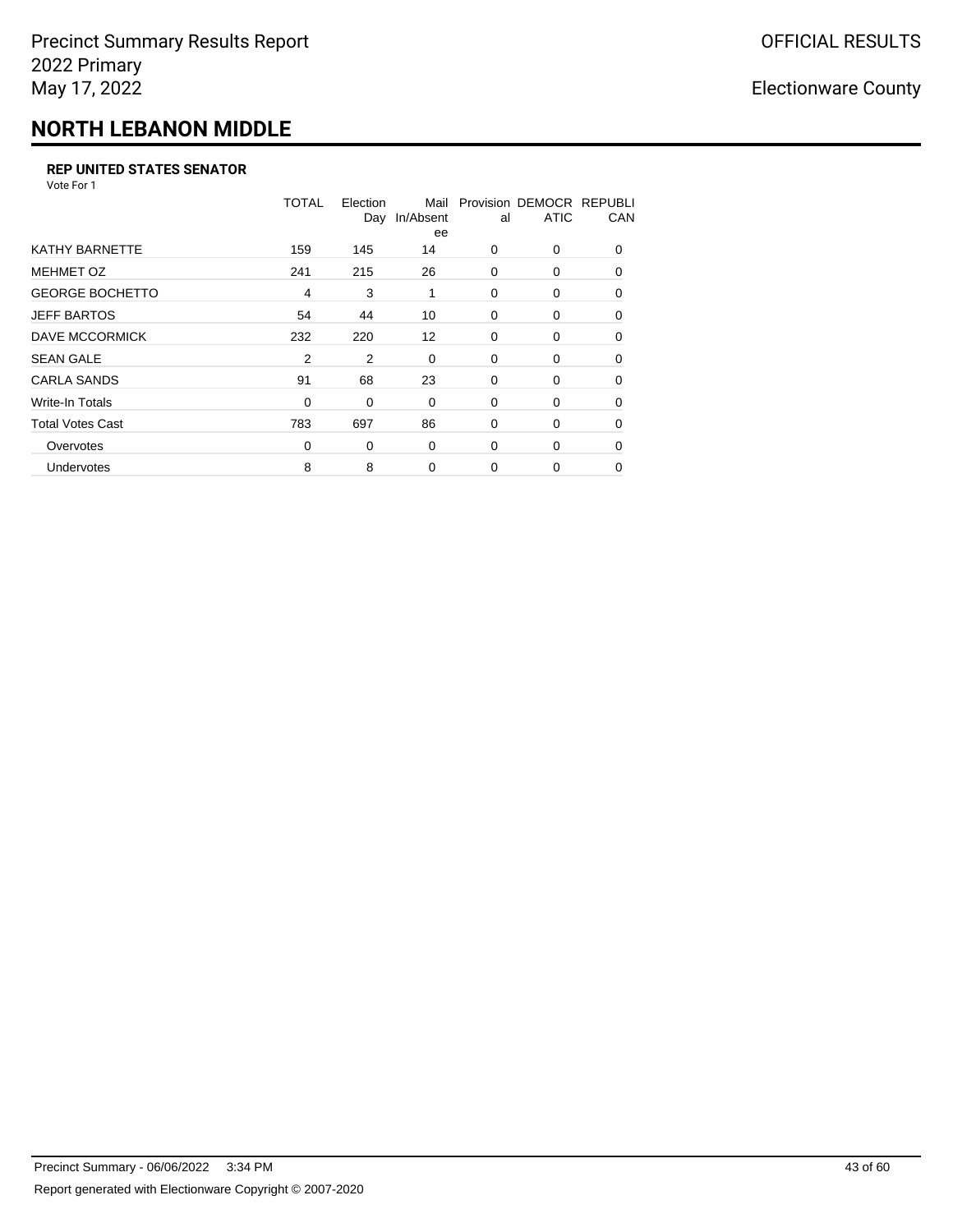# **NORTH LEBANON MIDDLE**

#### **REP UNITED STATES SENATOR**

Vote For 1

|                         | TOTAL          | Election<br>Day | Mail<br>In/Absent<br>ee | al       | Provision DEMOCR REPUBLI<br><b>ATIC</b> | CAN      |
|-------------------------|----------------|-----------------|-------------------------|----------|-----------------------------------------|----------|
| <b>KATHY BARNETTE</b>   | 159            | 145             | 14                      | $\Omega$ | 0                                       | $\Omega$ |
| <b>MEHMET OZ</b>        | 241            | 215             | 26                      | 0        | 0                                       | $\Omega$ |
| <b>GEORGE BOCHETTO</b>  | $\overline{4}$ | 3               | 1                       | 0        | 0                                       | 0        |
| <b>JEFF BARTOS</b>      | 54             | 44              | 10                      | 0        | 0                                       | 0        |
| DAVE MCCORMICK          | 232            | 220             | $12 \overline{ }$       | 0        | 0                                       | $\Omega$ |
| <b>SEAN GALE</b>        | 2              | 2               | 0                       | 0        | 0                                       | $\Omega$ |
| <b>CARLA SANDS</b>      | 91             | 68              | 23                      | 0        | 0                                       | 0        |
| Write-In Totals         | 0              | 0               | 0                       | 0        | 0                                       | 0        |
| <b>Total Votes Cast</b> | 783            | 697             | 86                      | 0        | 0                                       | $\Omega$ |
| Overvotes               | $\Omega$       | 0               | 0                       | $\Omega$ | 0                                       | $\Omega$ |
| <b>Undervotes</b>       | 8              | 8               | $\Omega$                | $\Omega$ | 0                                       | $\Omega$ |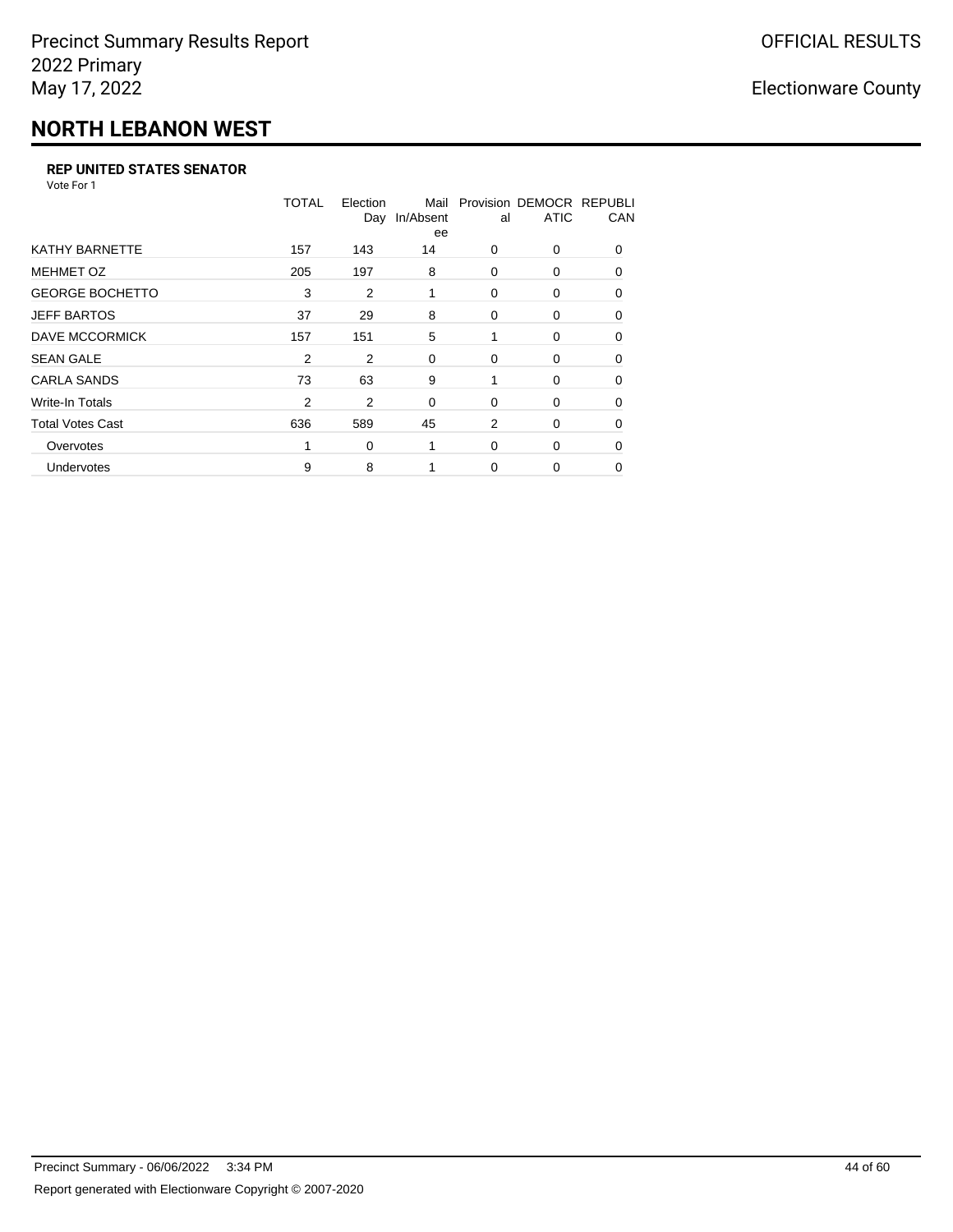# **NORTH LEBANON WEST**

#### **REP UNITED STATES SENATOR**

Vote For 1

|                         | <b>TOTAL</b>   | Election<br>Day | Mail<br>In/Absent<br>ee | al       | Provision DEMOCR REPUBLI<br><b>ATIC</b> | CAN      |
|-------------------------|----------------|-----------------|-------------------------|----------|-----------------------------------------|----------|
| <b>KATHY BARNETTE</b>   | 157            | 143             | 14                      | $\Omega$ | 0                                       | $\Omega$ |
| <b>MEHMET OZ</b>        | 205            | 197             | 8                       | 0        | 0                                       | $\Omega$ |
| <b>GEORGE BOCHETTO</b>  | 3              | 2               | 1                       | 0        | 0                                       | 0        |
| <b>JEFF BARTOS</b>      | 37             | 29              | 8                       | 0        | 0                                       | 0        |
| DAVE MCCORMICK          | 157            | 151             | 5                       |          | 0                                       | 0        |
| <b>SEAN GALE</b>        | $\overline{2}$ | 2               | 0                       | 0        | 0                                       | $\Omega$ |
| <b>CARLA SANDS</b>      | 73             | 63              | 9                       | 1        | 0                                       | 0        |
| Write-In Totals         | $\overline{2}$ | 2               | 0                       | 0        | 0                                       | 0        |
| <b>Total Votes Cast</b> | 636            | 589             | 45                      | 2        | 0                                       | $\Omega$ |
| Overvotes               |                | 0               | 1                       | $\Omega$ | 0                                       | $\Omega$ |
| Undervotes              | 9              | 8               |                         | $\Omega$ | 0                                       | $\Omega$ |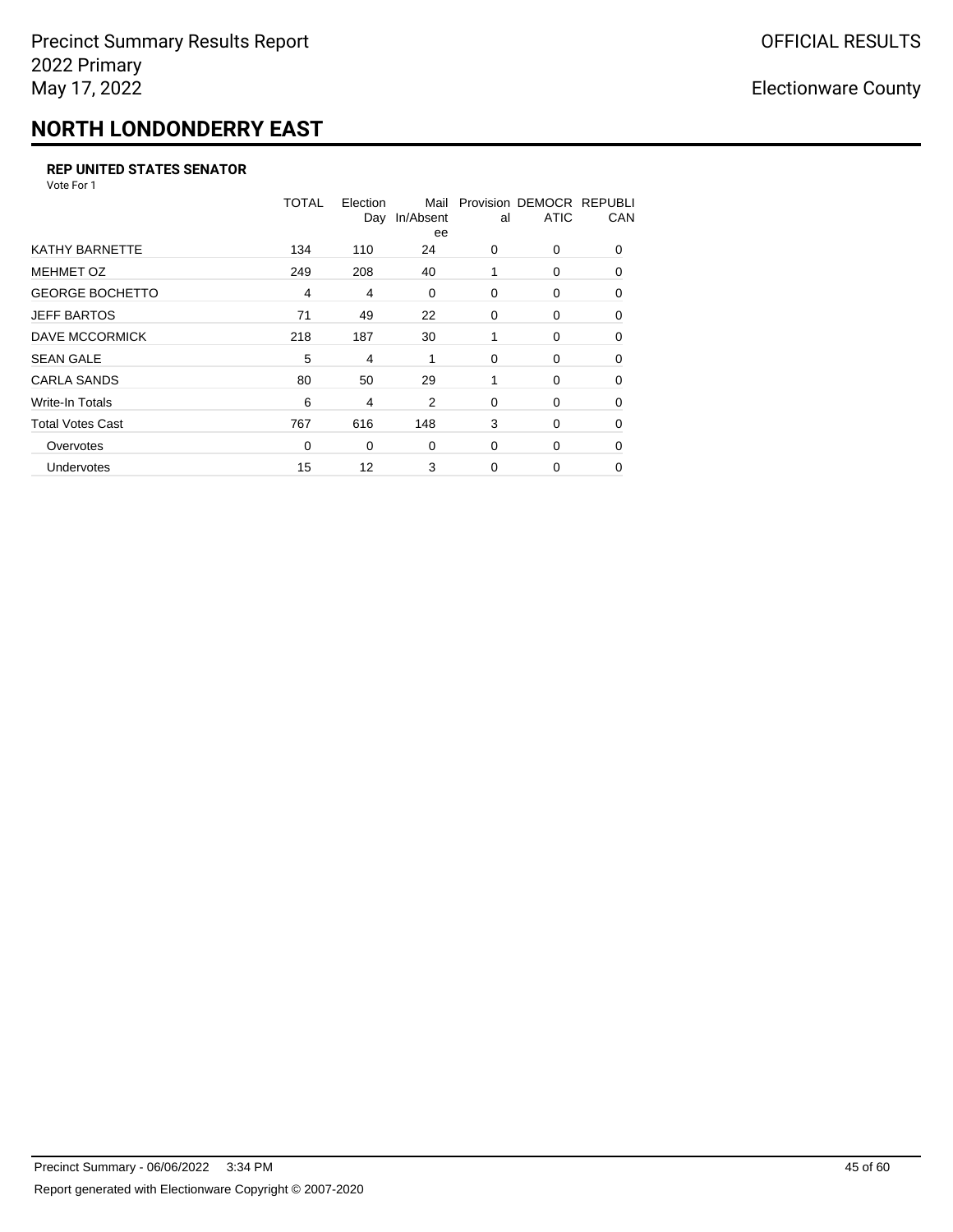## **NORTH LONDONDERRY EAST**

#### **REP UNITED STATES SENATOR**

Vote For 1

|                         | TOTAL    | Election<br>Day | Mail<br>In/Absent<br>ee | al       | Provision DEMOCR REPUBLI<br><b>ATIC</b> | CAN      |
|-------------------------|----------|-----------------|-------------------------|----------|-----------------------------------------|----------|
| <b>KATHY BARNETTE</b>   | 134      | 110             | 24                      | 0        | 0                                       | $\Omega$ |
| <b>MEHMET OZ</b>        | 249      | 208             | 40                      | 1        | 0                                       | $\Omega$ |
| <b>GEORGE BOCHETTO</b>  | 4        | 4               | 0                       | 0        | 0                                       | 0        |
| <b>JEFF BARTOS</b>      | 71       | 49              | 22                      | 0        | 0                                       | 0        |
| DAVE MCCORMICK          | 218      | 187             | 30                      |          | 0                                       | $\Omega$ |
| <b>SEAN GALE</b>        | 5        | 4               | 1                       | 0        | 0                                       | $\Omega$ |
| <b>CARLA SANDS</b>      | 80       | 50              | 29                      |          | 0                                       | 0        |
| Write-In Totals         | 6        | 4               | 2                       | 0        | 0                                       | 0        |
| <b>Total Votes Cast</b> | 767      | 616             | 148                     | 3        | 0                                       | $\Omega$ |
| Overvotes               | $\Omega$ | 0               | 0                       | $\Omega$ | 0                                       | $\Omega$ |
| Undervotes              | 15       | 12              | 3                       | $\Omega$ | 0                                       | 0        |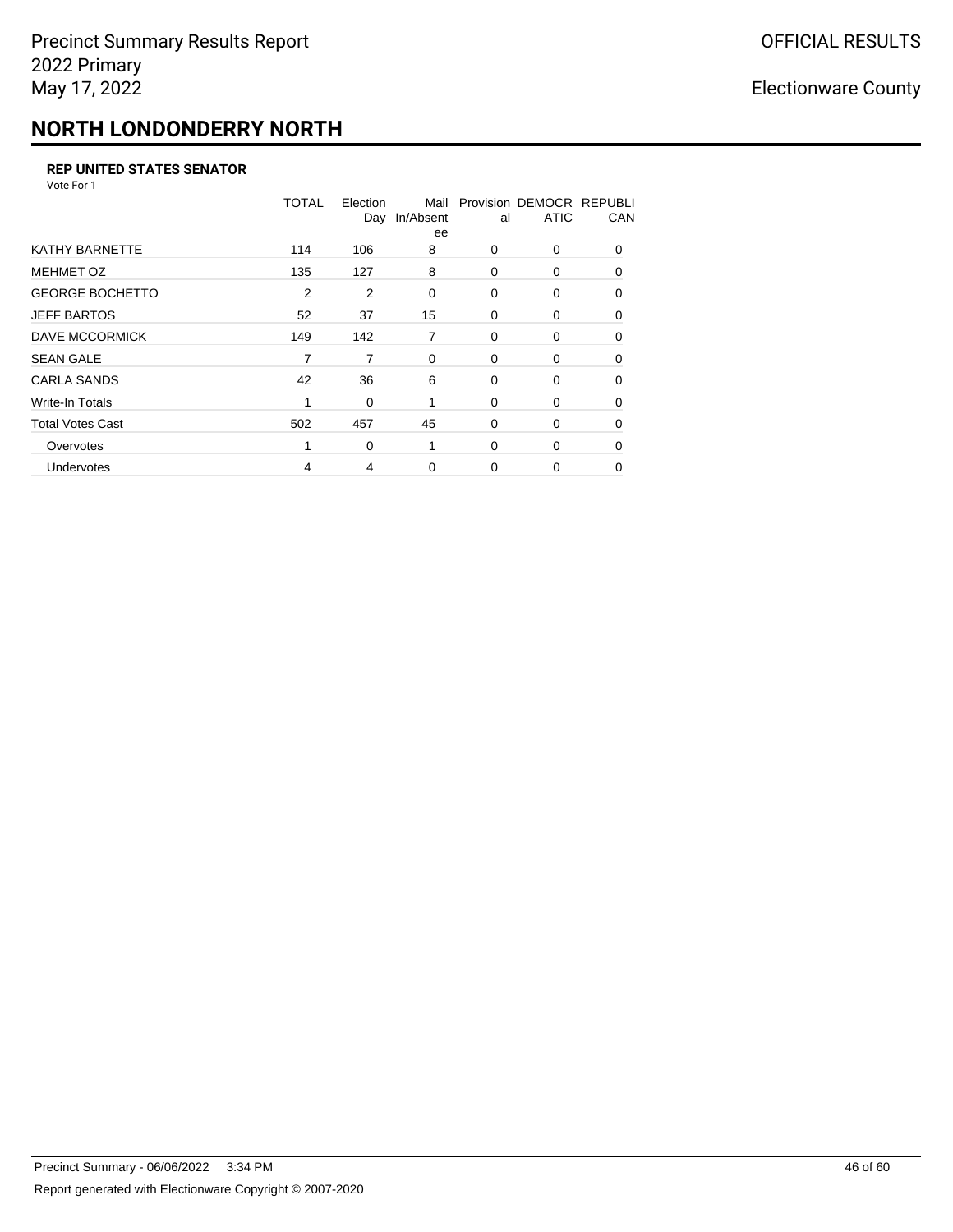# **NORTH LONDONDERRY NORTH**

#### **REP UNITED STATES SENATOR**

Vote For 1

|                         | TOTAL | Election<br>Day | Mail<br>In/Absent<br>ee | al       | Provision DEMOCR REPUBLI<br><b>ATIC</b> | CAN      |
|-------------------------|-------|-----------------|-------------------------|----------|-----------------------------------------|----------|
| <b>KATHY BARNETTE</b>   | 114   | 106             | 8                       | $\Omega$ | 0                                       | $\Omega$ |
| <b>MEHMET OZ</b>        | 135   | 127             | 8                       | 0        | 0                                       | $\Omega$ |
| <b>GEORGE BOCHETTO</b>  | 2     | 2               | 0                       | 0        | 0                                       | 0        |
| <b>JEFF BARTOS</b>      | 52    | 37              | 15                      | 0        | 0                                       | 0        |
| DAVE MCCORMICK          | 149   | 142             | 7                       | 0        | 0                                       | $\Omega$ |
| <b>SEAN GALE</b>        | 7     | 7               | 0                       | 0        | 0                                       | $\Omega$ |
| <b>CARLA SANDS</b>      | 42    | 36              | 6                       | 0        | 0                                       | 0        |
| Write-In Totals         | 1     | 0               |                         | 0        | 0                                       | 0        |
| <b>Total Votes Cast</b> | 502   | 457             | 45                      | 0        | 0                                       | $\Omega$ |
| Overvotes               | 1     | 0               | 1                       | $\Omega$ | 0                                       | $\Omega$ |
| Undervotes              | 4     | 4               | 0                       | $\Omega$ | 0                                       | 0        |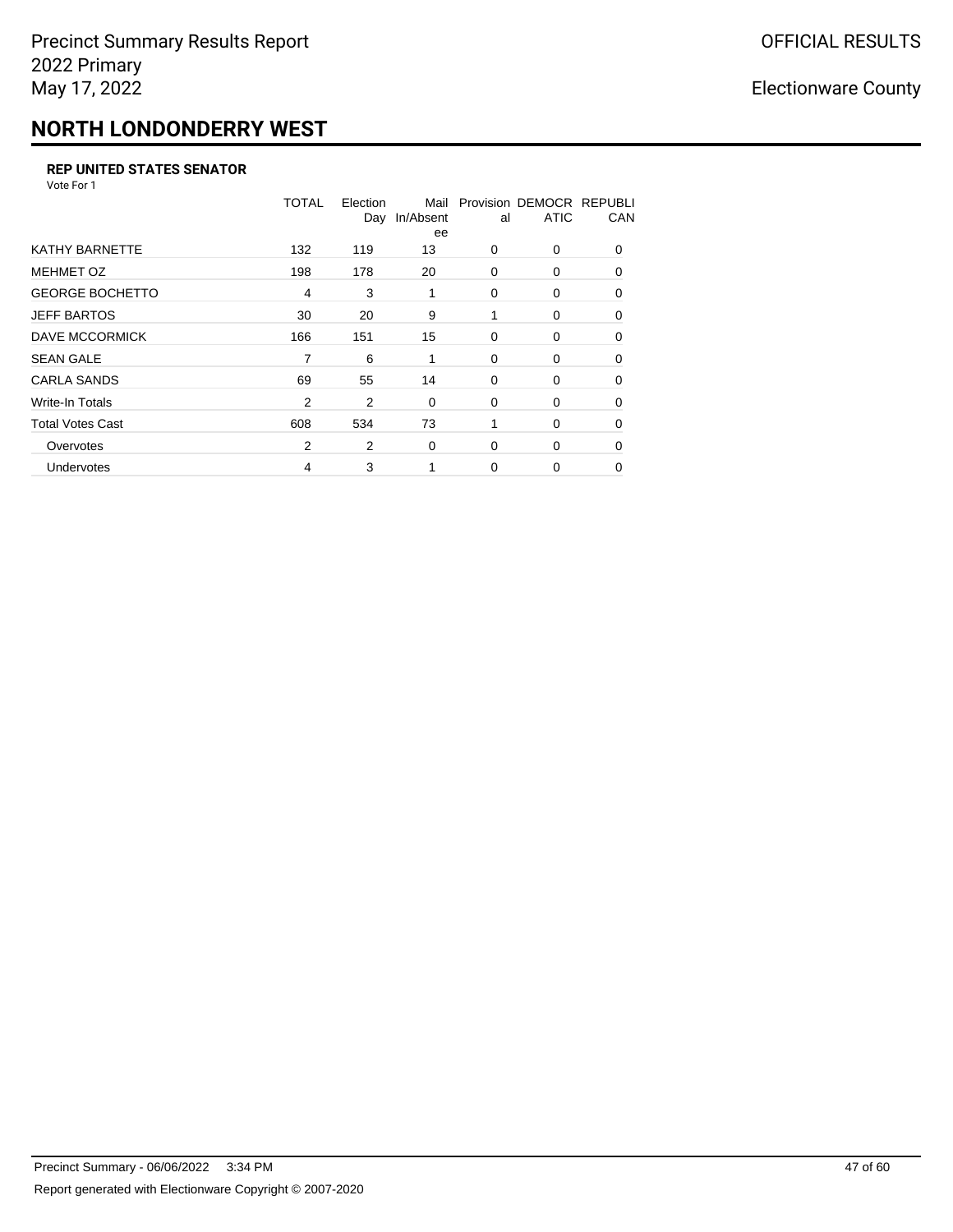# **NORTH LONDONDERRY WEST**

#### **REP UNITED STATES SENATOR**

Vote For 1

|                         | TOTAL          | Election<br>Day | Mail<br>In/Absent<br>ee | al       | Provision DEMOCR REPUBLI<br><b>ATIC</b> | CAN      |
|-------------------------|----------------|-----------------|-------------------------|----------|-----------------------------------------|----------|
| <b>KATHY BARNETTE</b>   | 132            | 119             | 13                      | $\Omega$ | 0                                       | $\Omega$ |
| <b>MEHMET OZ</b>        | 198            | 178             | 20                      | 0        | 0                                       | $\Omega$ |
| <b>GEORGE BOCHETTO</b>  | $\overline{4}$ | 3               | 1                       | 0        | 0                                       | 0        |
| <b>JEFF BARTOS</b>      | 30             | 20              | 9                       | 1        | 0                                       | 0        |
| DAVE MCCORMICK          | 166            | 151             | 15                      | 0        | 0                                       | $\Omega$ |
| <b>SEAN GALE</b>        | 7              | 6               | 1                       | 0        | 0                                       | $\Omega$ |
| <b>CARLA SANDS</b>      | 69             | 55              | 14                      | 0        | 0                                       | 0        |
| Write-In Totals         | $\overline{2}$ | 2               | 0                       | 0        | 0                                       | 0        |
| <b>Total Votes Cast</b> | 608            | 534             | 73                      |          | 0                                       | $\Omega$ |
| Overvotes               | 2              | 2               | 0                       | $\Omega$ | 0                                       | $\Omega$ |
| Undervotes              | 4              | 3               |                         | $\Omega$ | 0                                       | $\Omega$ |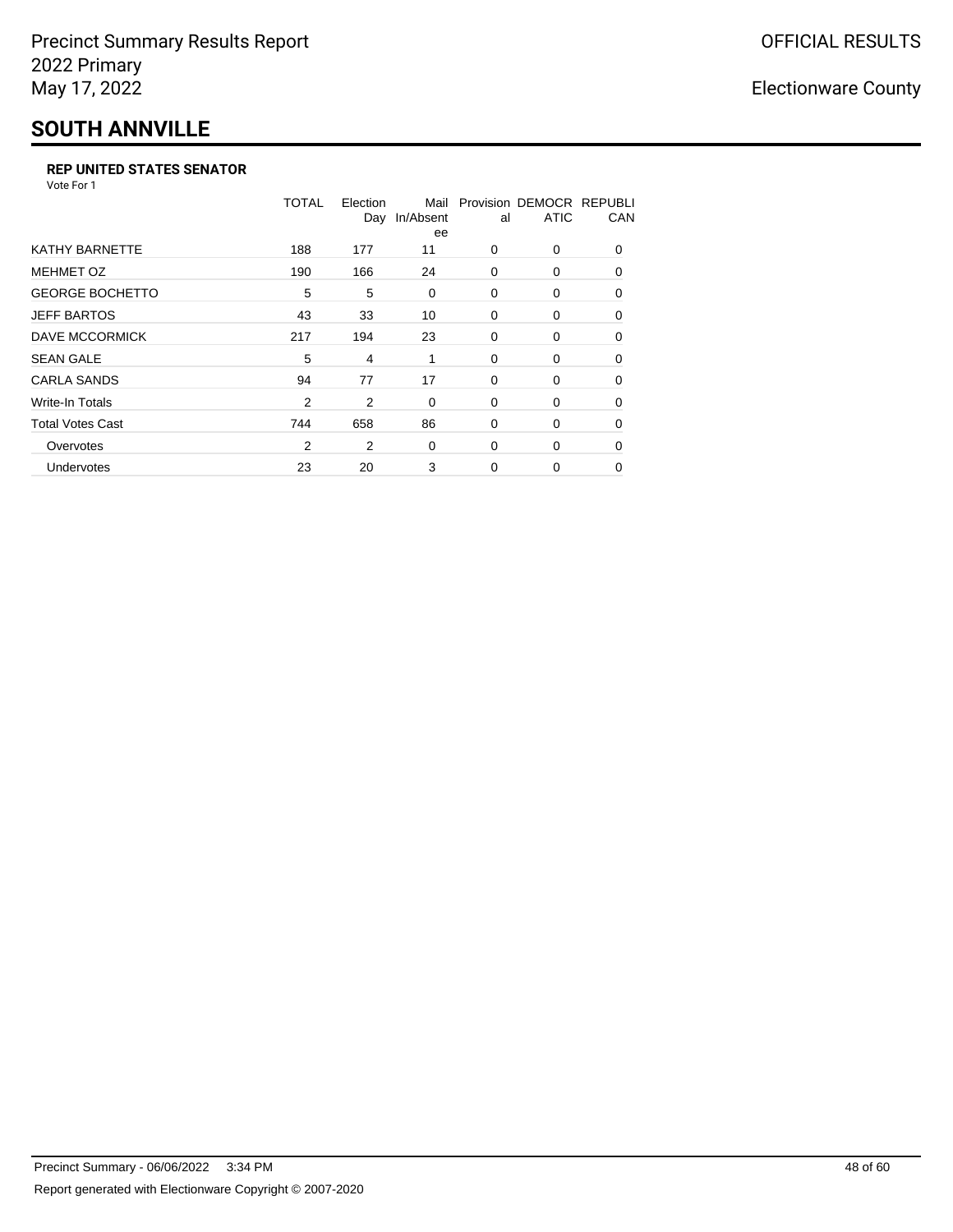## **SOUTH ANNVILLE**

#### **REP UNITED STATES SENATOR**

Vote For 1

|                         | <b>TOTAL</b>   | Election<br>Day | Mail<br>In/Absent<br>ee | al       | Provision DEMOCR REPUBLI<br><b>ATIC</b> | CAN      |
|-------------------------|----------------|-----------------|-------------------------|----------|-----------------------------------------|----------|
| <b>KATHY BARNETTE</b>   | 188            | 177             | 11                      | $\Omega$ | $\Omega$                                | $\Omega$ |
| <b>MEHMET OZ</b>        | 190            | 166             | 24                      | 0        | 0                                       | $\Omega$ |
| <b>GEORGE BOCHETTO</b>  | 5              | 5               | 0                       | 0        | 0                                       | 0        |
| <b>JEFF BARTOS</b>      | 43             | 33              | 10                      | 0        | 0                                       | 0        |
| <b>DAVE MCCORMICK</b>   | 217            | 194             | 23                      | 0        | 0                                       | $\Omega$ |
| <b>SEAN GALE</b>        | 5              | 4               | 1                       | 0        | 0                                       | 0        |
| <b>CARLA SANDS</b>      | 94             | 77              | 17                      | 0        | 0                                       | 0        |
| Write-In Totals         | $\overline{2}$ | 2               | 0                       | 0        | 0                                       | 0        |
| <b>Total Votes Cast</b> | 744            | 658             | 86                      | 0        | 0                                       | 0        |
| Overvotes               | 2              | 2               | 0                       | $\Omega$ | 0                                       | $\Omega$ |
| Undervotes              | 23             | 20              | 3                       | $\Omega$ | 0                                       | $\Omega$ |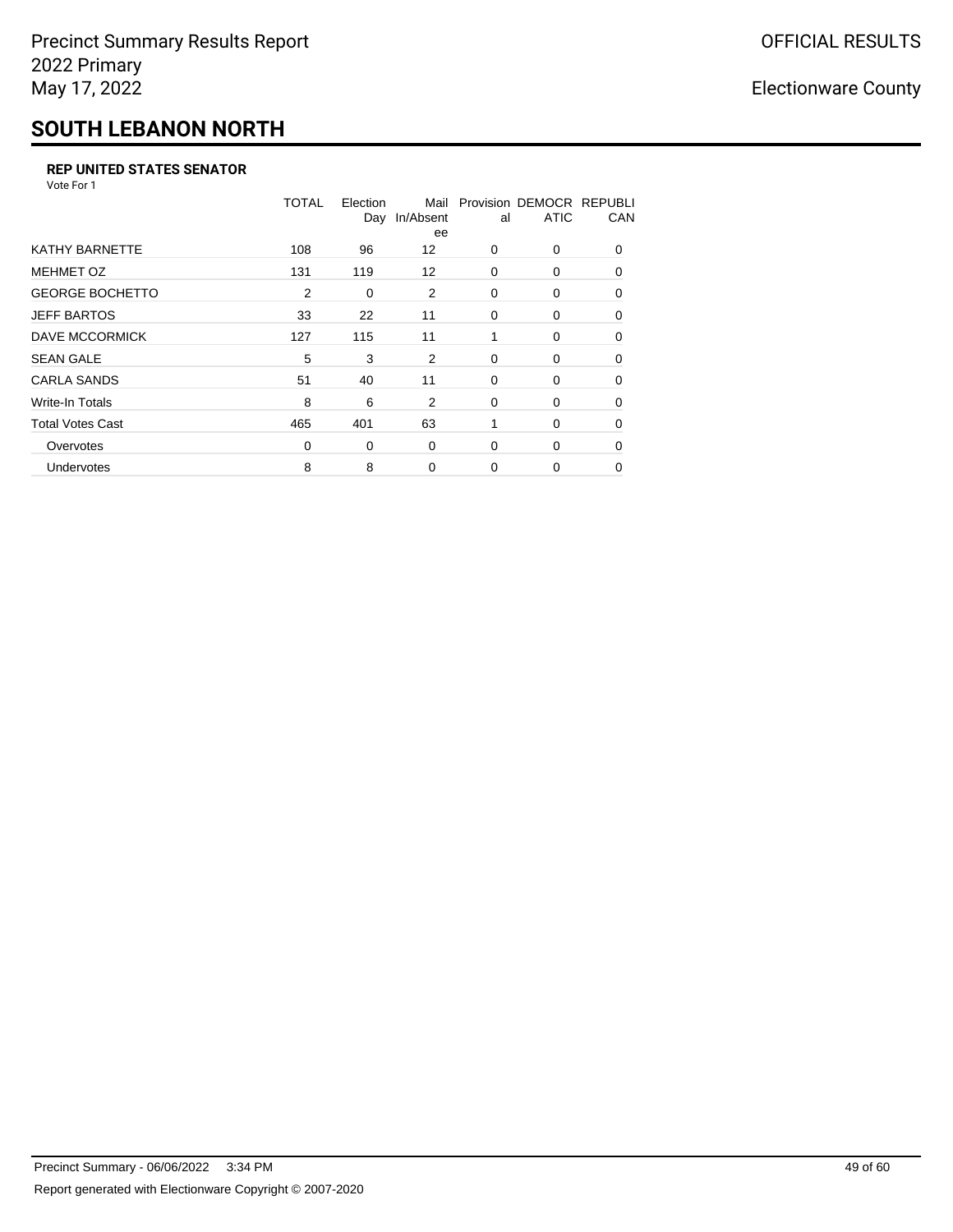# **SOUTH LEBANON NORTH**

#### **REP UNITED STATES SENATOR**

Vote For 1

|                         | <b>TOTAL</b> | Election<br>Day | Mail<br>In/Absent<br>ee | al | Provision DEMOCR REPUBLI<br><b>ATIC</b> | CAN      |
|-------------------------|--------------|-----------------|-------------------------|----|-----------------------------------------|----------|
| KATHY BARNETTE          | 108          | 96              | 12                      | 0  | 0                                       | $\Omega$ |
| <b>MEHMET OZ</b>        | 131          | 119             | 12                      | 0  | 0                                       | $\Omega$ |
| <b>GEORGE BOCHETTO</b>  | 2            | 0               | 2                       | 0  | 0                                       | 0        |
| <b>JEFF BARTOS</b>      | 33           | 22              | 11                      | 0  | 0                                       | 0        |
| DAVE MCCORMICK          | 127          | 115             | 11                      | 1  | 0                                       | $\Omega$ |
| <b>SEAN GALE</b>        | 5            | 3               | 2                       | 0  | 0                                       | $\Omega$ |
| <b>CARLA SANDS</b>      | 51           | 40              | 11                      | 0  | 0                                       | $\Omega$ |
| Write-In Totals         | 8            | 6               | 2                       | 0  | 0                                       | 0        |
| <b>Total Votes Cast</b> | 465          | 401             | 63                      | 1  | 0                                       | 0        |
| Overvotes               | 0            | 0               | 0                       | 0  | 0                                       | $\Omega$ |
| Undervotes              | 8            | 8               | $\Omega$                | 0  | 0                                       | 0        |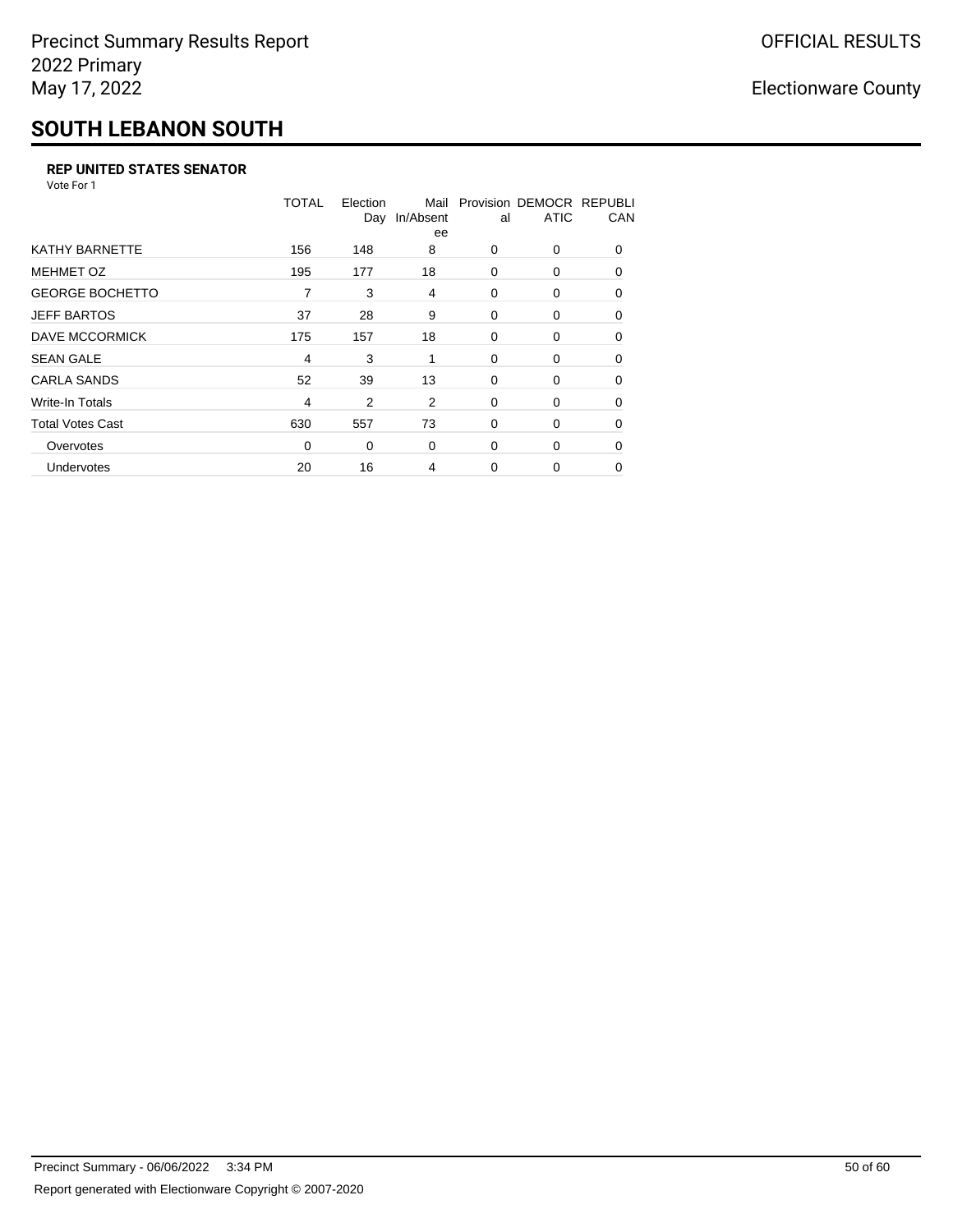## **SOUTH LEBANON SOUTH**

#### **REP UNITED STATES SENATOR**

Vote For 1

|                         | <b>TOTAL</b>   | Election<br>Day | Mail<br>In/Absent<br>ee | al | Provision DEMOCR REPUBLI<br><b>ATIC</b> | CAN      |
|-------------------------|----------------|-----------------|-------------------------|----|-----------------------------------------|----------|
| KATHY BARNETTE          | 156            | 148             | 8                       | 0  | 0                                       | $\Omega$ |
| <b>MEHMET OZ</b>        | 195            | 177             | 18                      | 0  | 0                                       | $\Omega$ |
| <b>GEORGE BOCHETTO</b>  | 7              | 3               | 4                       | 0  | 0                                       | 0        |
| <b>JEFF BARTOS</b>      | 37             | 28              | 9                       | 0  | 0                                       | 0        |
| DAVE MCCORMICK          | 175            | 157             | 18                      | 0  | 0                                       | $\Omega$ |
| <b>SEAN GALE</b>        | 4              | 3               | 1                       | 0  | 0                                       | $\Omega$ |
| <b>CARLA SANDS</b>      | 52             | 39              | 13                      | 0  | 0                                       | $\Omega$ |
| Write-In Totals         | $\overline{4}$ | 2               | 2                       | 0  | 0                                       | 0        |
| <b>Total Votes Cast</b> | 630            | 557             | 73                      | 0  | 0                                       | 0        |
| Overvotes               | 0              | 0               | 0                       | 0  | 0                                       | $\Omega$ |
| Undervotes              | 20             | 16              | 4                       | 0  | 0                                       | $\Omega$ |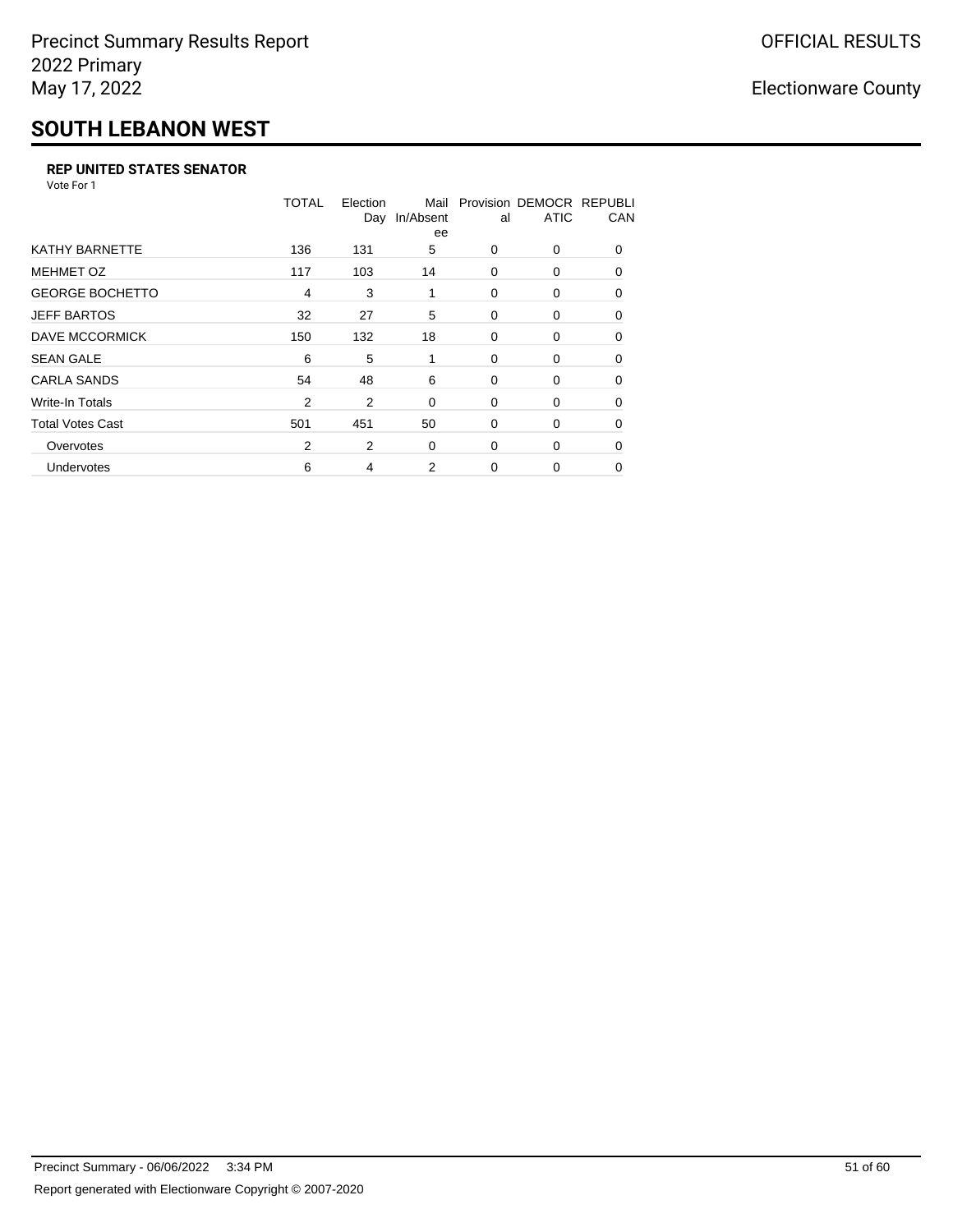### **SOUTH LEBANON WEST**

#### **REP UNITED STATES SENATOR**

Vote For 1

|                         | TOTAL | Election<br>Day | Mail<br>In/Absent<br>ee | al          | Provision DEMOCR REPUBLI<br><b>ATIC</b> | CAN      |
|-------------------------|-------|-----------------|-------------------------|-------------|-----------------------------------------|----------|
| <b>KATHY BARNETTE</b>   | 136   | 131             | 5                       | 0           | 0                                       | $\Omega$ |
| <b>MEHMET OZ</b>        | 117   | 103             | 14                      | $\Omega$    | 0                                       | $\Omega$ |
| <b>GEORGE BOCHETTO</b>  | 4     | 3               | 1                       | 0           | 0                                       | 0        |
| <b>JEFF BARTOS</b>      | 32    | 27              | 5                       | 0           | 0                                       | 0        |
| DAVE MCCORMICK          | 150   | 132             | 18                      | 0           | 0                                       | 0        |
| <b>SEAN GALE</b>        | 6     | 5               | 1                       | 0           | 0                                       | $\Omega$ |
| <b>CARLA SANDS</b>      | 54    | 48              | 6                       | 0           | 0                                       | $\Omega$ |
| Write-In Totals         | 2     | 2               | 0                       | 0           | 0                                       | 0        |
| <b>Total Votes Cast</b> | 501   | 451             | 50                      | 0           | 0                                       | 0        |
| Overvotes               | 2     | 2               | 0                       | 0           | 0                                       | $\Omega$ |
| <b>Undervotes</b>       | 6     | 4               | 2                       | $\mathbf 0$ | 0                                       | 0        |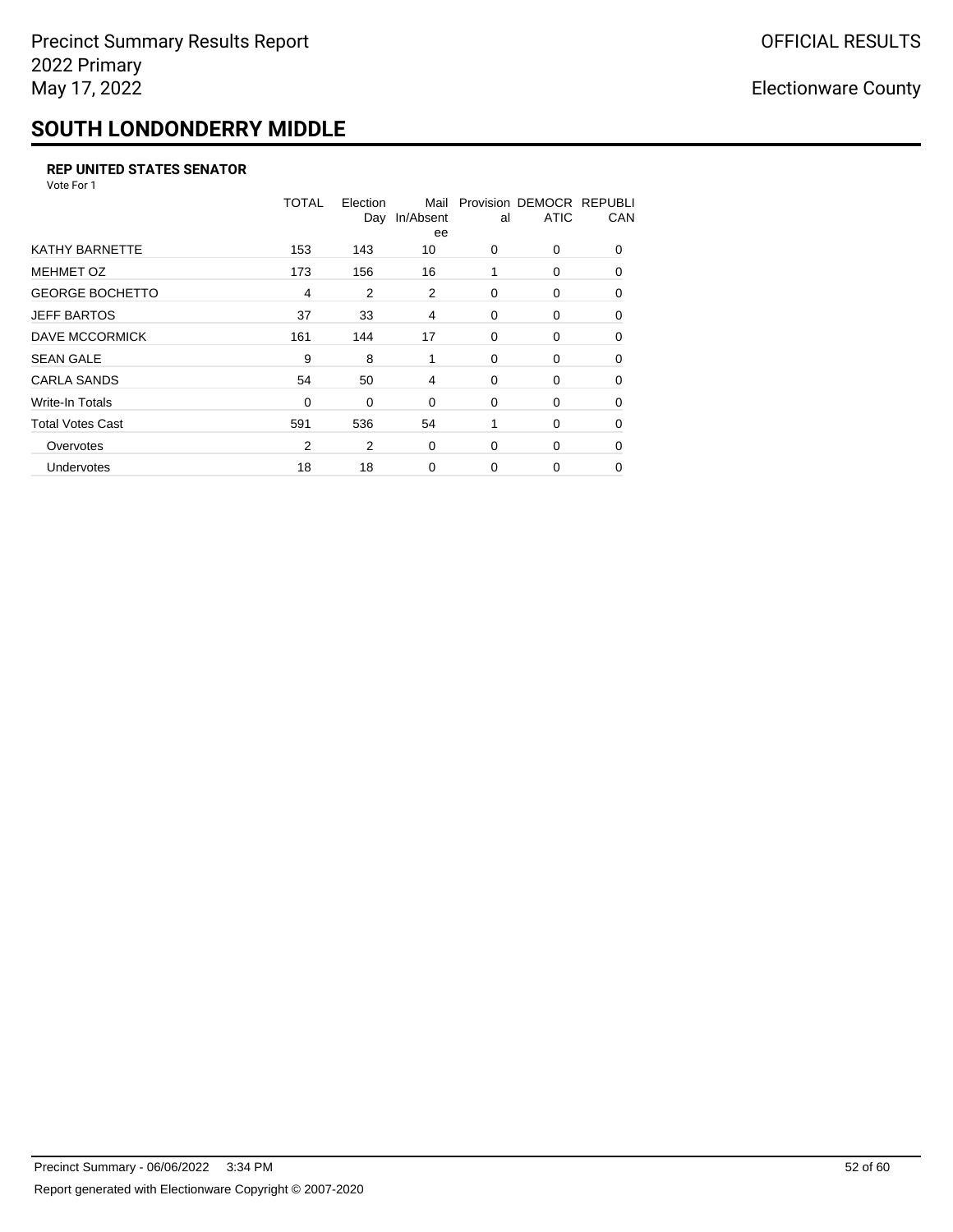## **SOUTH LONDONDERRY MIDDLE**

#### **REP UNITED STATES SENATOR**

Vote For 1

|                         | <b>TOTAL</b>   | Election | Mail<br>Day In/Absent<br>ee | al          | Provision DEMOCR REPUBLI<br><b>ATIC</b> | CAN      |
|-------------------------|----------------|----------|-----------------------------|-------------|-----------------------------------------|----------|
| <b>KATHY BARNETTE</b>   | 153            | 143      | 10                          | 0           | 0                                       | $\Omega$ |
| <b>MEHMET OZ</b>        | 173            | 156      | 16                          | 1           | 0                                       | $\Omega$ |
| <b>GEORGE BOCHETTO</b>  | $\overline{4}$ | 2        | 2                           | 0           | 0                                       | 0        |
| <b>JEFF BARTOS</b>      | 37             | 33       | 4                           | 0           | 0                                       | 0        |
| DAVE MCCORMICK          | 161            | 144      | 17                          | 0           | 0                                       | $\Omega$ |
| <b>SEAN GALE</b>        | 9              | 8        | 1                           | 0           | 0                                       | $\Omega$ |
| <b>CARLA SANDS</b>      | 54             | 50       | 4                           | 0           | 0                                       | $\Omega$ |
| Write-In Totals         | 0              | 0        | 0                           | 0           | 0                                       | 0        |
| <b>Total Votes Cast</b> | 591            | 536      | 54                          | 1           | 0                                       | 0        |
| Overvotes               | $\overline{2}$ | 2        | 0                           | 0           | 0                                       | $\Omega$ |
| <b>Undervotes</b>       | 18             | 18       | $\mathbf 0$                 | $\mathbf 0$ | 0                                       | $\Omega$ |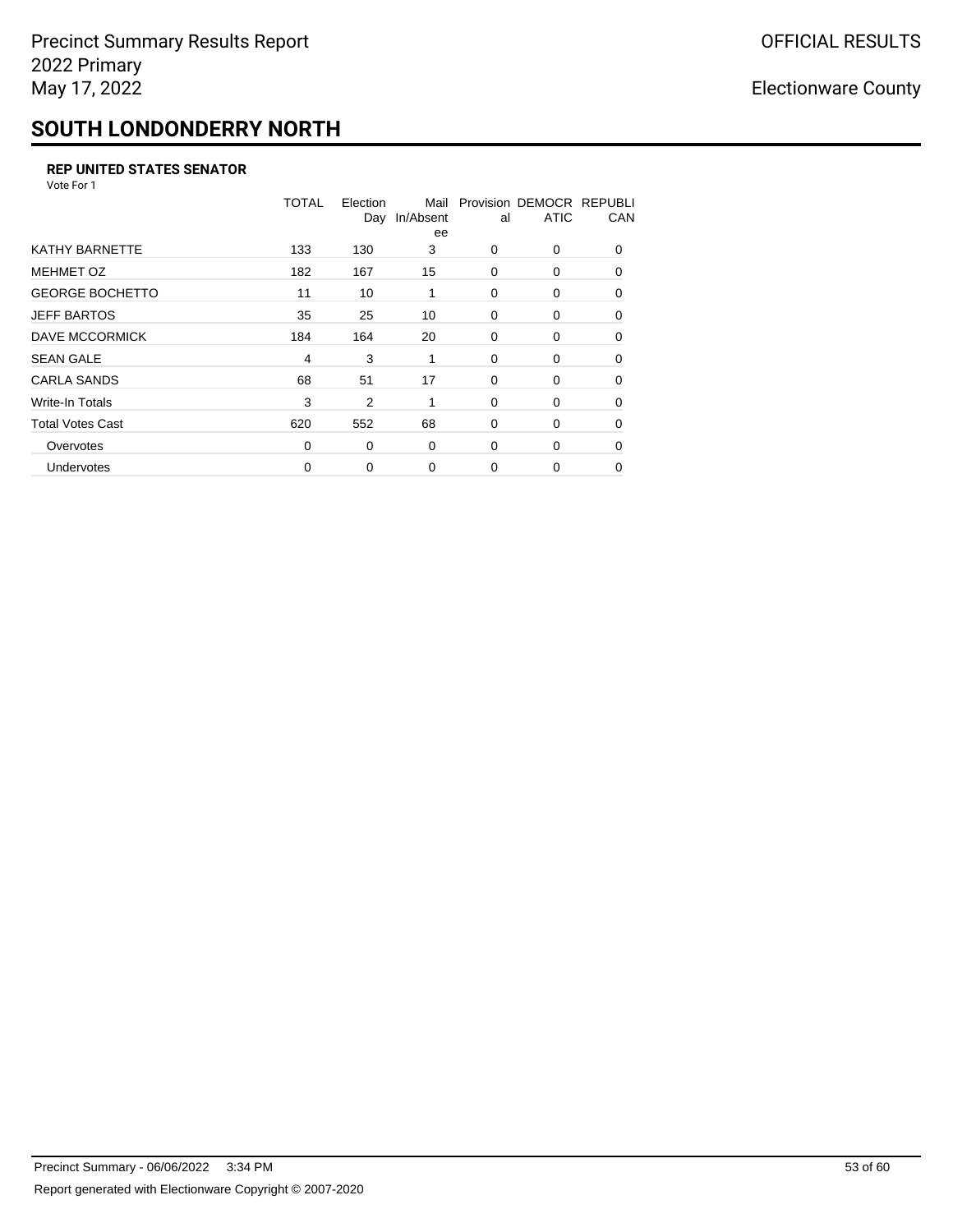## **SOUTH LONDONDERRY NORTH**

#### **REP UNITED STATES SENATOR**

Vote For 1

|                         | TOTAL    | Election<br>Day | Mail<br>In/Absent<br>ee | al       | Provision DEMOCR REPUBLI<br><b>ATIC</b> | CAN      |
|-------------------------|----------|-----------------|-------------------------|----------|-----------------------------------------|----------|
| <b>KATHY BARNETTE</b>   | 133      | 130             | 3                       | $\Omega$ | 0                                       | $\Omega$ |
| <b>MEHMET OZ</b>        | 182      | 167             | 15                      | 0        | 0                                       | $\Omega$ |
| <b>GEORGE BOCHETTO</b>  | 11       | 10              | 1                       | 0        | 0                                       | 0        |
| <b>JEFF BARTOS</b>      | 35       | 25              | 10                      | 0        | 0                                       | 0        |
| DAVE MCCORMICK          | 184      | 164             | 20                      | 0        | 0                                       | $\Omega$ |
| <b>SEAN GALE</b>        | 4        | 3               | 1                       | 0        | 0                                       | $\Omega$ |
| <b>CARLA SANDS</b>      | 68       | 51              | 17                      | 0        | 0                                       | 0        |
| Write-In Totals         | 3        | 2               | 1                       | 0        | 0                                       | 0        |
| <b>Total Votes Cast</b> | 620      | 552             | 68                      | 0        | 0                                       | $\Omega$ |
| Overvotes               | $\Omega$ | 0               | 0                       | $\Omega$ | 0                                       | $\Omega$ |
| <b>Undervotes</b>       | $\Omega$ | 0               | $\Omega$                | $\Omega$ | 0                                       | $\Omega$ |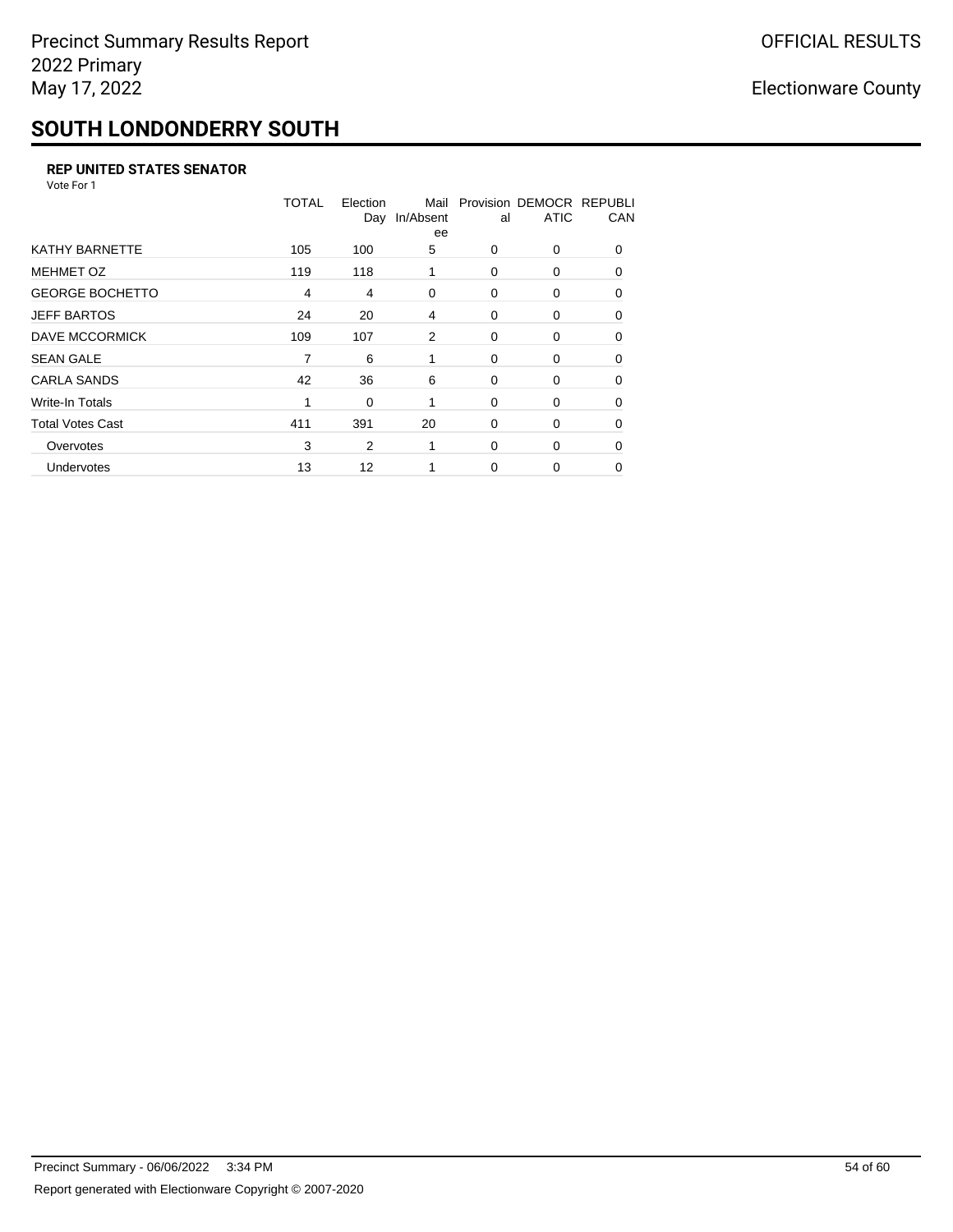## **SOUTH LONDONDERRY SOUTH**

#### **REP UNITED STATES SENATOR**

Vote For 1

|                         | <b>TOTAL</b>   | Election | Mail<br>Day In/Absent<br>ee | al       | Provision DEMOCR REPUBLI<br><b>ATIC</b> | CAN      |
|-------------------------|----------------|----------|-----------------------------|----------|-----------------------------------------|----------|
| <b>KATHY BARNETTE</b>   | 105            | 100      | 5                           | 0        | 0                                       | $\Omega$ |
| <b>MEHMET OZ</b>        | 119            | 118      | 1                           | $\Omega$ | 0                                       | $\Omega$ |
| <b>GEORGE BOCHETTO</b>  | $\overline{4}$ | 4        | 0                           | 0        | 0                                       | 0        |
| <b>JEFF BARTOS</b>      | 24             | 20       | 4                           | 0        | 0                                       | 0        |
| DAVE MCCORMICK          | 109            | 107      | 2                           | 0        | 0                                       | $\Omega$ |
| <b>SEAN GALE</b>        | 7              | 6        | 1                           | 0        | 0                                       | $\Omega$ |
| <b>CARLA SANDS</b>      | 42             | 36       | 6                           | 0        | 0                                       | $\Omega$ |
| Write-In Totals         | 1              | 0        |                             | 0        | 0                                       | 0        |
| <b>Total Votes Cast</b> | 411            | 391      | 20                          | 0        | 0                                       | 0        |
| Overvotes               | 3              | 2        | 1                           | 0        | 0                                       | $\Omega$ |
| Undervotes              | 13             | 12       |                             | $\Omega$ | 0                                       | 0        |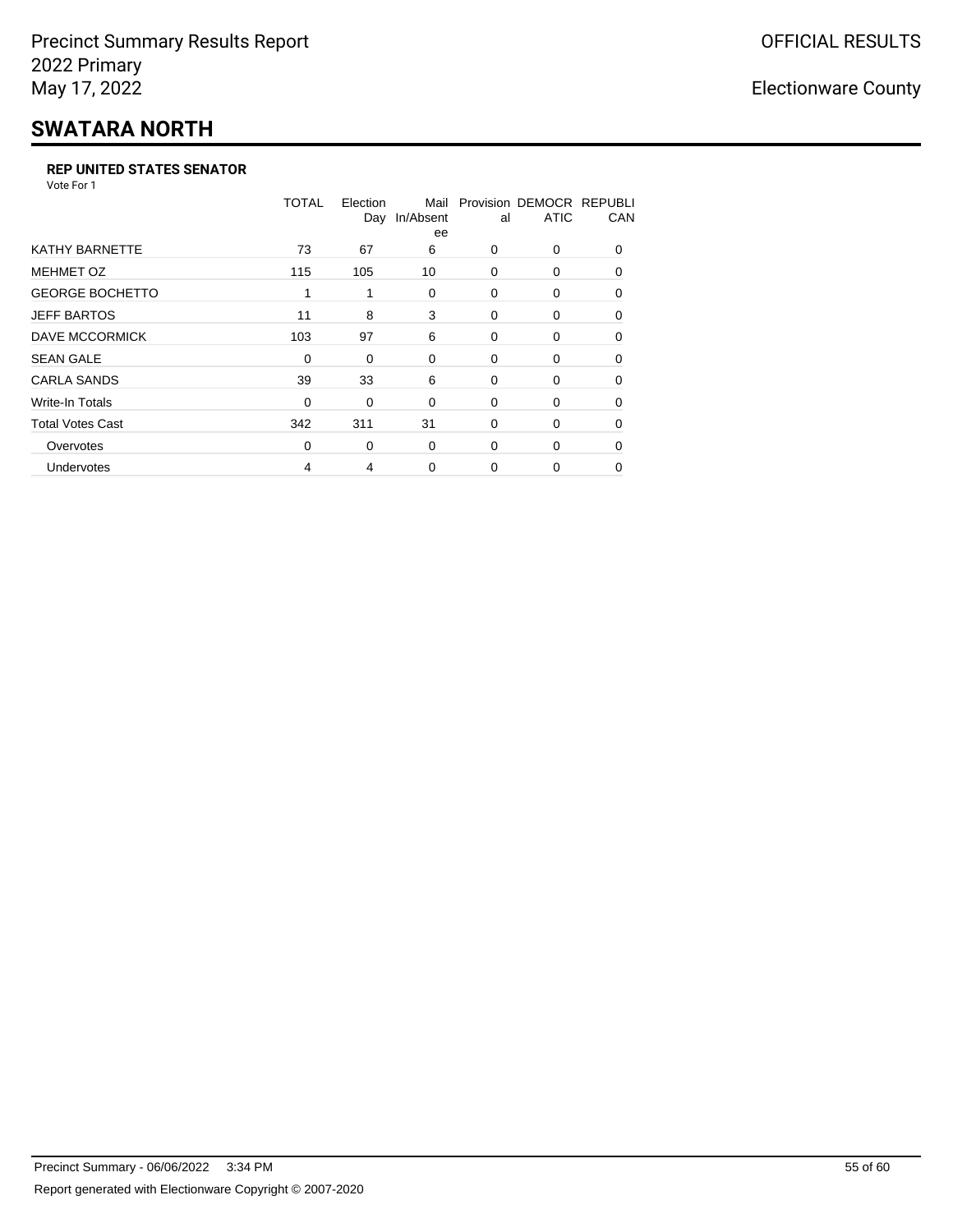# **SWATARA NORTH**

#### **REP UNITED STATES SENATOR**

Vote For 1

|                         | TOTAL    | Election<br>Day | Mail<br>In/Absent<br>ee | al       | Provision DEMOCR REPUBLI<br><b>ATIC</b> | CAN      |
|-------------------------|----------|-----------------|-------------------------|----------|-----------------------------------------|----------|
| <b>KATHY BARNETTE</b>   | 73       | 67              | 6                       | 0        | 0                                       | $\Omega$ |
| <b>MEHMET OZ</b>        | 115      | 105             | 10                      | $\Omega$ | 0                                       | $\Omega$ |
| <b>GEORGE BOCHETTO</b>  | 1        | 1               | 0                       | 0        | 0                                       | 0        |
| <b>JEFF BARTOS</b>      | 11       | 8               | 3                       | $\Omega$ | $\Omega$                                | 0        |
| DAVE MCCORMICK          | 103      | 97              | 6                       | 0        | 0                                       | $\Omega$ |
| <b>SEAN GALE</b>        | 0        | 0               | 0                       | 0        | 0                                       | $\Omega$ |
| <b>CARLA SANDS</b>      | 39       | 33              | 6                       | 0        | 0                                       | $\Omega$ |
| Write-In Totals         | 0        | 0               | 0                       | 0        | 0                                       | 0        |
| <b>Total Votes Cast</b> | 342      | 311             | 31                      | $\Omega$ | 0                                       | $\Omega$ |
| Overvotes               | $\Omega$ | 0               | 0                       | 0        | 0                                       | $\Omega$ |
| Undervotes              | 4        | 4               | 0                       | 0        | 0                                       | 0        |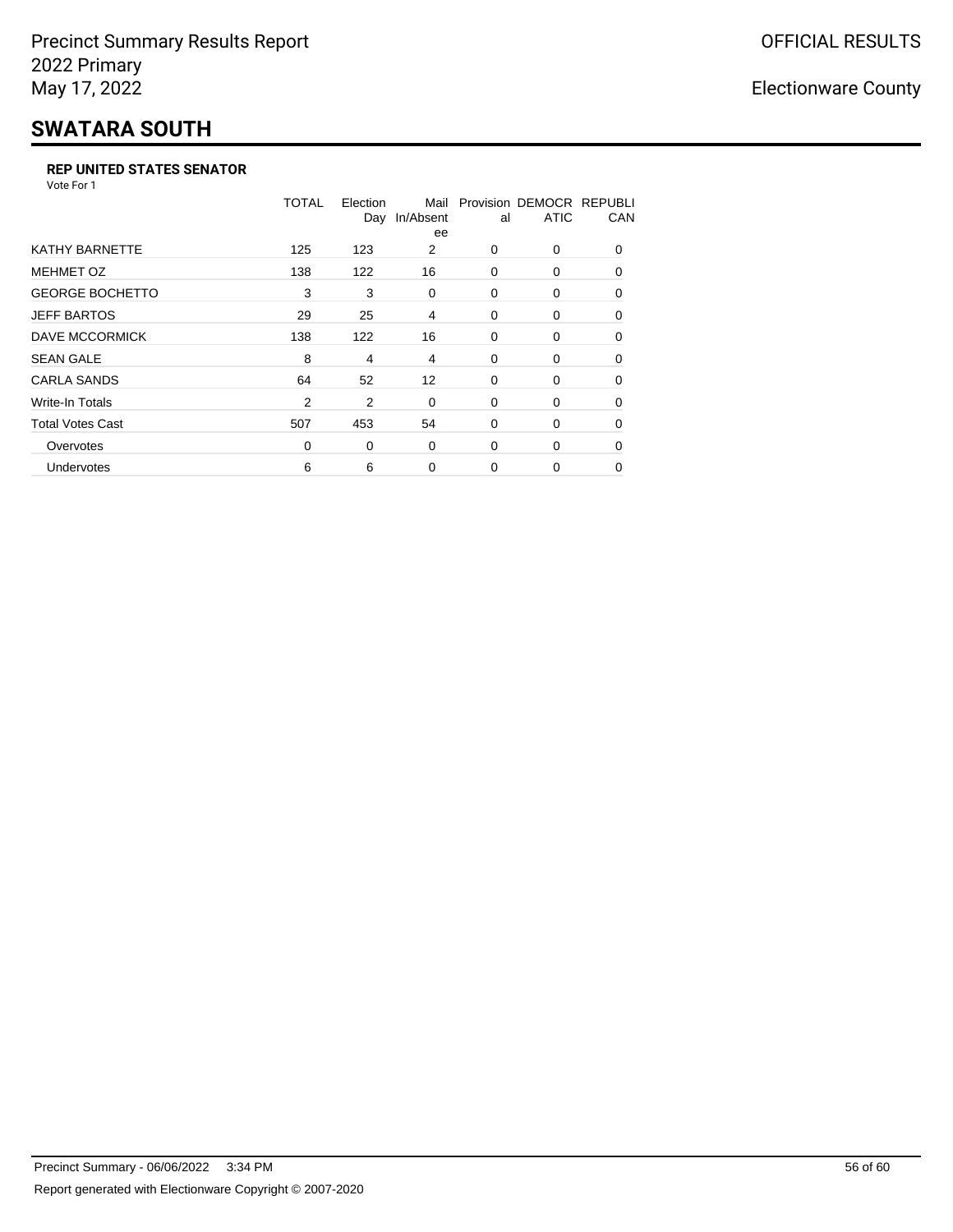## **SWATARA SOUTH**

#### **REP UNITED STATES SENATOR**

Vote For 1

|                         | TOTAL | Election<br>Day | Mail<br>In/Absent<br>ee | al       | Provision DEMOCR REPUBLI<br><b>ATIC</b> | CAN      |
|-------------------------|-------|-----------------|-------------------------|----------|-----------------------------------------|----------|
| <b>KATHY BARNETTE</b>   | 125   | 123             | 2                       | 0        | 0                                       | $\Omega$ |
| <b>MEHMET OZ</b>        | 138   | 122             | 16                      | 0        | $\Omega$                                | $\Omega$ |
| <b>GEORGE BOCHETTO</b>  | 3     | 3               | 0                       | 0        | 0                                       | 0        |
| <b>JEFF BARTOS</b>      | 29    | 25              | 4                       | 0        | 0                                       | 0        |
| <b>DAVE MCCORMICK</b>   | 138   | 122             | 16                      | 0        | 0                                       | $\Omega$ |
| <b>SEAN GALE</b>        | 8     | 4               | 4                       | 0        | 0                                       | $\Omega$ |
| <b>CARLA SANDS</b>      | 64    | 52              | $12 \overline{ }$       | 0        | 0                                       | 0        |
| <b>Write-In Totals</b>  | 2     | 2               | 0                       | 0        | 0                                       | 0        |
| <b>Total Votes Cast</b> | 507   | 453             | 54                      | 0        | 0                                       | $\Omega$ |
| Overvotes               | 0     | 0               | 0                       | $\Omega$ | 0                                       | $\Omega$ |
| Undervotes              | 6     | 6               | $\Omega$                | $\Omega$ | 0                                       | $\Omega$ |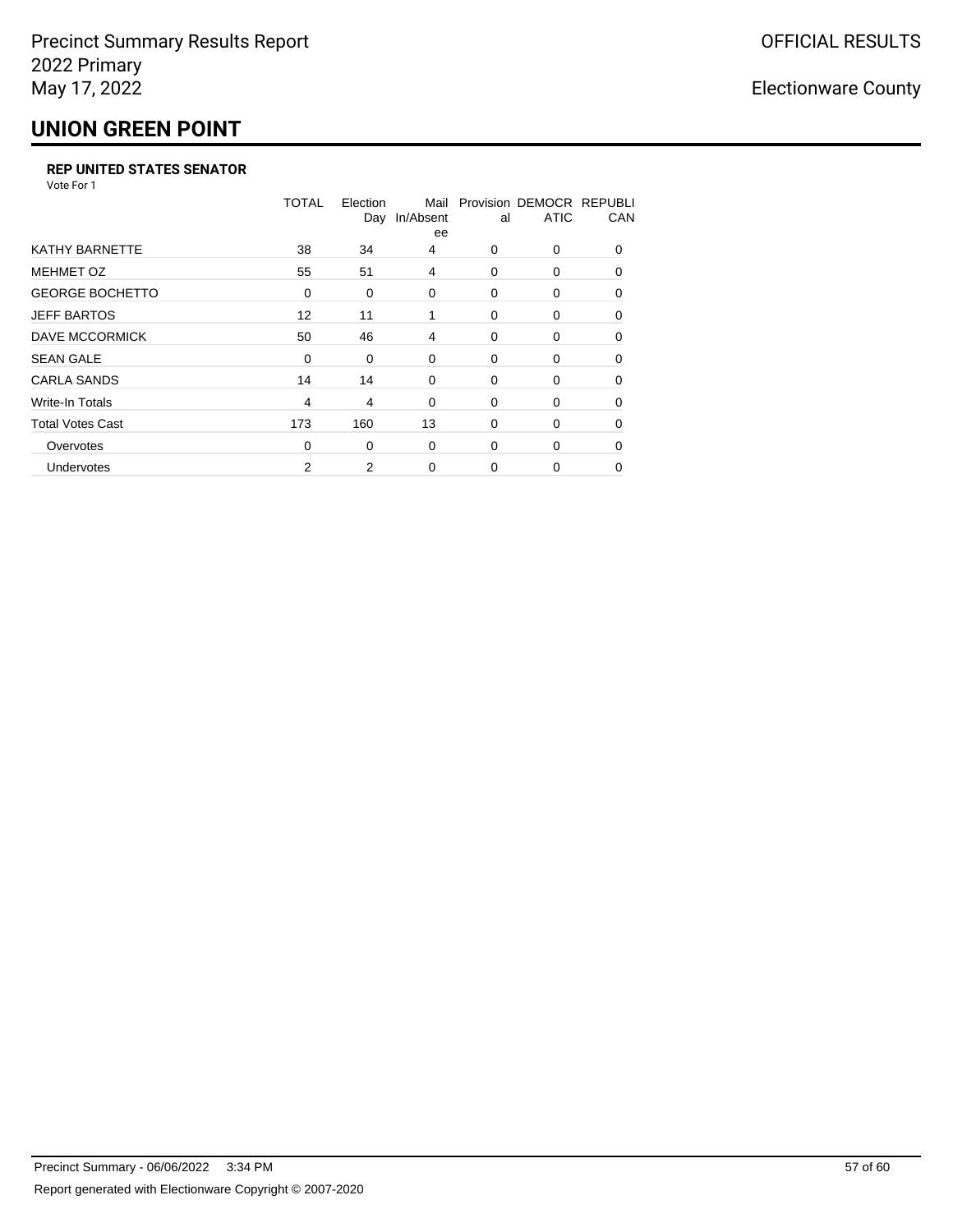## **UNION GREEN POINT**

#### **REP UNITED STATES SENATOR**

Vote For 1

|                         | <b>TOTAL</b>   | Election<br>Day | Mail<br>In/Absent<br>ee | al       | Provision DEMOCR REPUBLI<br><b>ATIC</b> | CAN      |
|-------------------------|----------------|-----------------|-------------------------|----------|-----------------------------------------|----------|
| <b>KATHY BARNETTE</b>   | 38             | 34              | 4                       | 0        | 0                                       | $\Omega$ |
| <b>MEHMET OZ</b>        | 55             | 51              | 4                       | 0        | 0                                       | $\Omega$ |
| <b>GEORGE BOCHETTO</b>  | 0              | 0               | 0                       | 0        | 0                                       | $\Omega$ |
| <b>JEFF BARTOS</b>      | 12             | 11              | 1                       | 0        | 0                                       | 0        |
| DAVE MCCORMICK          | 50             | 46              | 4                       | 0        | 0                                       | $\Omega$ |
| <b>SEAN GALE</b>        | 0              | 0               | 0                       | 0        | 0                                       | 0        |
| <b>CARLA SANDS</b>      | 14             | 14              | 0                       | 0        | 0                                       | 0        |
| Write-In Totals         | $\overline{4}$ | 4               | 0                       | 0        | 0                                       | 0        |
| <b>Total Votes Cast</b> | 173            | 160             | 13                      | $\Omega$ | 0                                       | $\Omega$ |
| Overvotes               | $\Omega$       | 0               | 0                       | $\Omega$ | 0                                       | $\Omega$ |
| Undervotes              | 2              | 2               | 0                       | $\Omega$ | 0                                       | 0        |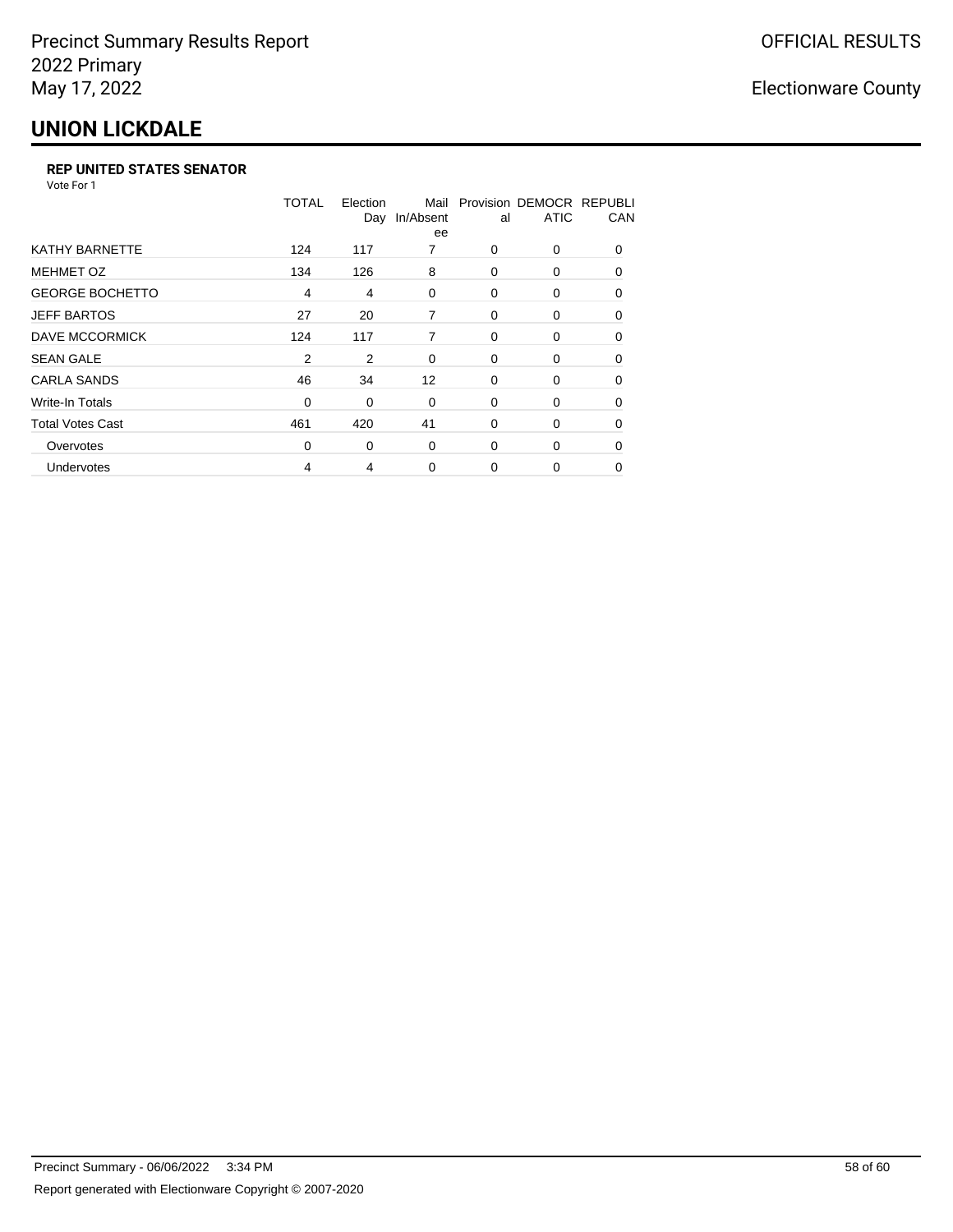## **UNION LICKDALE**

#### **REP UNITED STATES SENATOR**

Vote For 1

|                         | TOTAL          | Election<br>Day | Mail<br>In/Absent<br>ee | al       | Provision DEMOCR REPUBLI<br><b>ATIC</b> | CAN      |
|-------------------------|----------------|-----------------|-------------------------|----------|-----------------------------------------|----------|
| <b>KATHY BARNETTE</b>   | 124            | 117             | 7                       | $\Omega$ | 0                                       | $\Omega$ |
| <b>MEHMET OZ</b>        | 134            | 126             | 8                       | 0        | 0                                       | $\Omega$ |
| <b>GEORGE BOCHETTO</b>  | $\overline{4}$ | 4               | 0                       | 0        | 0                                       | 0        |
| <b>JEFF BARTOS</b>      | 27             | 20              | 7                       | 0        | 0                                       | 0        |
| DAVE MCCORMICK          | 124            | 117             | 7                       | 0        | 0                                       | $\Omega$ |
| <b>SEAN GALE</b>        | $\overline{2}$ | 2               | 0                       | 0        | 0                                       | $\Omega$ |
| <b>CARLA SANDS</b>      | 46             | 34              | $12 \overline{ }$       | 0        | 0                                       | 0        |
| Write-In Totals         | 0              | 0               | 0                       | 0        | 0                                       | 0        |
| <b>Total Votes Cast</b> | 461            | 420             | 41                      | 0        | 0                                       | $\Omega$ |
| Overvotes               | 0              | 0               | 0                       | 0        | 0                                       | $\Omega$ |
| Undervotes              | $\overline{4}$ | 4               | $\Omega$                | $\Omega$ | 0                                       | $\Omega$ |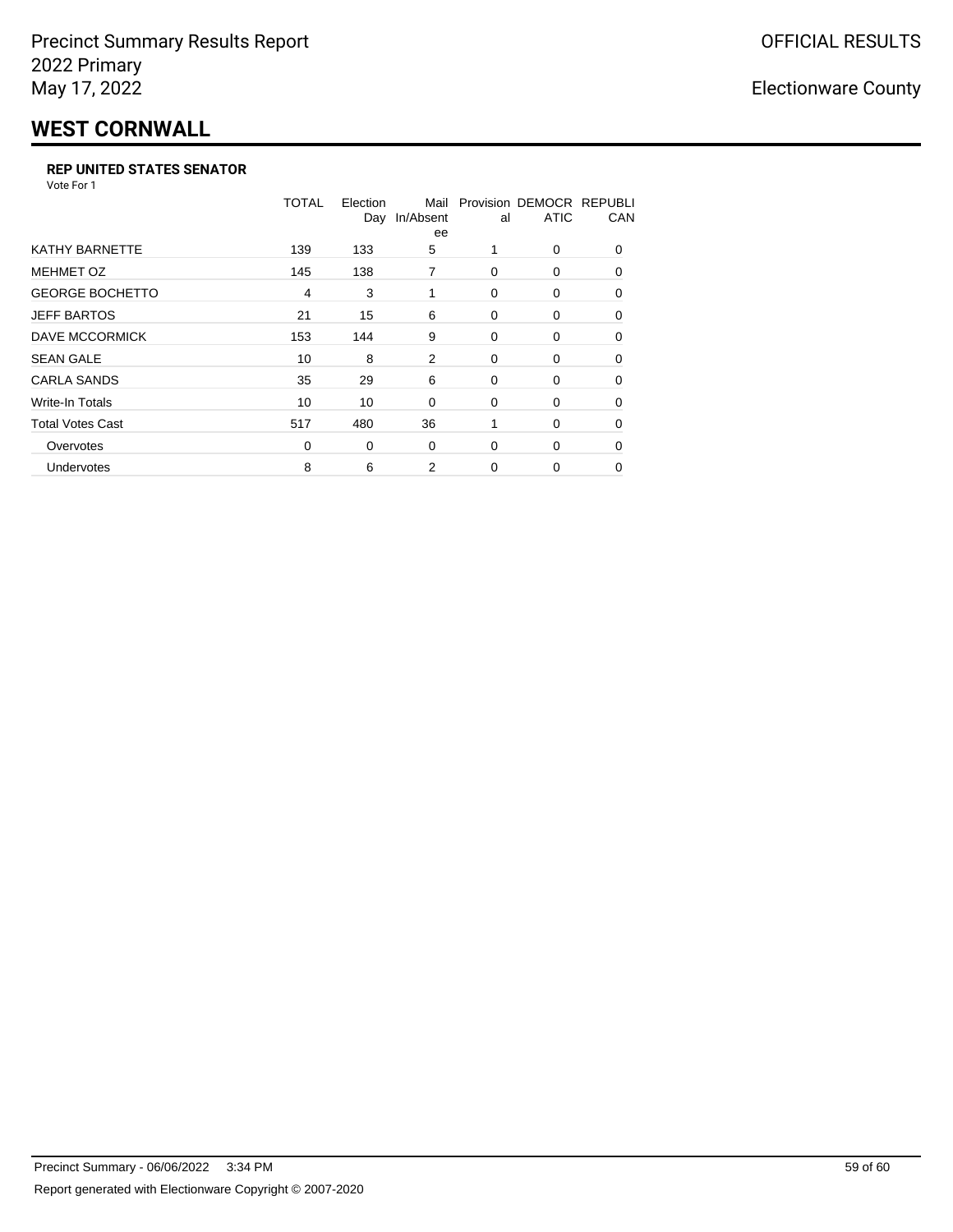# **WEST CORNWALL**

#### **REP UNITED STATES SENATOR**

Vote For 1

|                         | <b>TOTAL</b>   | Election<br>Day | Mail<br>In/Absent<br>ee | al       | Provision DEMOCR REPUBLI<br><b>ATIC</b> | CAN      |
|-------------------------|----------------|-----------------|-------------------------|----------|-----------------------------------------|----------|
| <b>KATHY BARNETTE</b>   | 139            | 133             | 5                       |          | 0                                       | $\Omega$ |
| <b>MEHMET OZ</b>        | 145            | 138             | 7                       | 0        | 0                                       | $\Omega$ |
| <b>GEORGE BOCHETTO</b>  | $\overline{4}$ | 3               | 1                       | $\Omega$ | 0                                       | $\Omega$ |
| <b>JEFF BARTOS</b>      | 21             | 15              | 6                       | 0        | 0                                       | 0        |
| DAVE MCCORMICK          | 153            | 144             | 9                       | 0        | 0                                       | 0        |
| <b>SEAN GALE</b>        | 10             | 8               | 2                       | 0        | 0                                       | $\Omega$ |
| <b>CARLA SANDS</b>      | 35             | 29              | 6                       | 0        | 0                                       | 0        |
| Write-In Totals         | 10             | 10              | 0                       | 0        | 0                                       | 0        |
| <b>Total Votes Cast</b> | 517            | 480             | 36                      | 1        | 0                                       | $\Omega$ |
| Overvotes               | $\Omega$       | 0               | $\Omega$                | 0        | 0                                       | $\Omega$ |
| Undervotes              | 8              | 6               | 2                       | $\Omega$ | 0                                       | 0        |